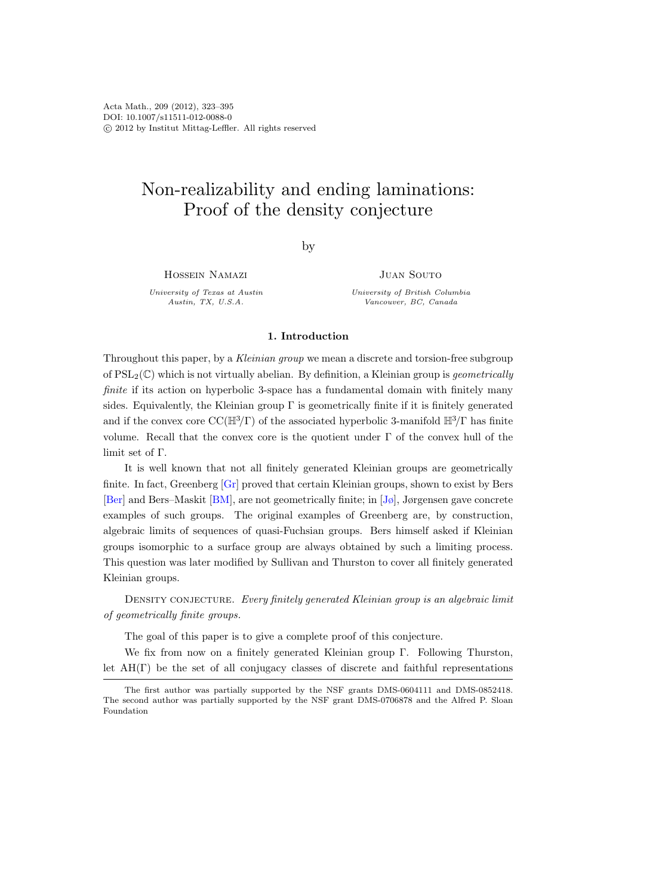# Non-realizability and ending laminations: Proof of the density conjecture

by

Hossein Namazi

University of Texas at Austin Austin, TX, U.S.A.

Juan Souto University of British Columbia Vancouver, BC, Canada

# 1. Introduction

Throughout this paper, by a Kleinian group we mean a discrete and torsion-free subgroup of  $PSL_2(\mathbb{C})$  which is not virtually abelian. By definition, a Kleinian group is *geometrically* finite if its action on hyperbolic 3-space has a fundamental domain with finitely many sides. Equivalently, the Kleinian group  $\Gamma$  is geometrically finite if it is finitely generated and if the convex core  $CC(\mathbb{H}^3/\Gamma)$  of the associated hyperbolic 3-manifold  $\mathbb{H}^3/\Gamma$  has finite volume. Recall that the convex core is the quotient under  $\Gamma$  of the convex hull of the limit set of Γ.

It is well known that not all finitely generated Kleinian groups are geometrically finite. In fact, Greenberg [\[Gr\]](#page-70-0) proved that certain Kleinian groups, shown to exist by Bers [\[Ber\]](#page-69-0) and Bers–Maskit [\[BM\]](#page-69-1), are not geometrically finite; in [\[Jø\]](#page-70-1), Jørgensen gave concrete examples of such groups. The original examples of Greenberg are, by construction, algebraic limits of sequences of quasi-Fuchsian groups. Bers himself asked if Kleinian groups isomorphic to a surface group are always obtained by such a limiting process. This question was later modified by Sullivan and Thurston to cover all finitely generated Kleinian groups.

DENSITY CONJECTURE. Every finitely generated Kleinian group is an algebraic limit of geometrically finite groups.

The goal of this paper is to give a complete proof of this conjecture.

We fix from now on a finitely generated Kleinian group Γ. Following Thurston, let  $AH(\Gamma)$  be the set of all conjugacy classes of discrete and faithful representations

The first author was partially supported by the NSF grants DMS-0604111 and DMS-0852418. The second author was partially supported by the NSF grant DMS-0706878 and the Alfred P. Sloan Foundation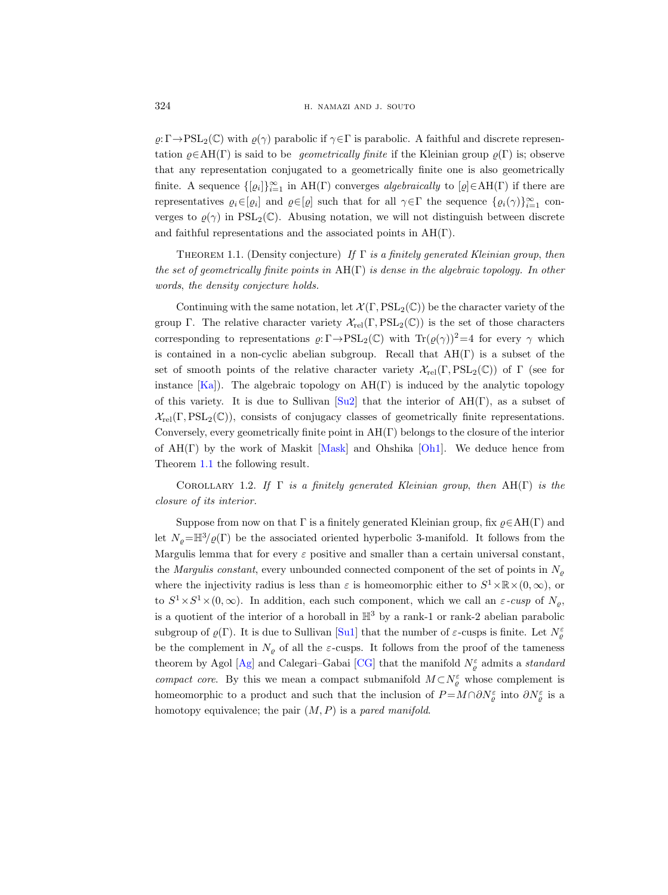$\varrho:\Gamma\to\mathrm{PSL}_2(\mathbb{C})$  with  $\varrho(\gamma)$  parabolic if  $\gamma\in\Gamma$  is parabolic. A faithful and discrete representation  $\rho \in AH(\Gamma)$  is said to be *geometrically finite* if the Kleinian group  $\rho(\Gamma)$  is; observe that any representation conjugated to a geometrically finite one is also geometrically finite. A sequence  $\{[\varrho_i]\}_{i=1}^{\infty}$  in AH(Γ) converges algebraically to  $[\varrho] \in AH(\Gamma)$  if there are representatives  $\varrho_i \in [\varrho_i]$  and  $\varrho \in [\varrho]$  such that for all  $\gamma \in \Gamma$  the sequence  $\{\varrho_i(\gamma)\}_{i=1}^{\infty}$  converges to  $\varrho(\gamma)$  in PSL<sub>2</sub>(C). Abusing notation, we will not distinguish between discrete and faithful representations and the associated points in  $AH(\Gamma)$ .

<span id="page-1-0"></span>THEOREM 1.1. (Density conjecture) If  $\Gamma$  is a finitely generated Kleinian group, then the set of geometrically finite points in  $\text{AH}(\Gamma)$  is dense in the algebraic topology. In other words, the density conjecture holds.

Continuing with the same notation, let  $\mathcal{X}(\Gamma, \mathrm{PSL}_2(\mathbb{C}))$  be the character variety of the group Γ. The relative character variety  $\mathcal{X}_{rel}(\Gamma, \text{PSL}_2(\mathbb{C}))$  is the set of those characters corresponding to representations  $\varrho: \Gamma \to \mathrm{PSL}_2(\mathbb{C})$  with  $\mathrm{Tr}(\varrho(\gamma))^2=4$  for every  $\gamma$  which is contained in a non-cyclic abelian subgroup. Recall that  $AH(\Gamma)$  is a subset of the set of smooth points of the relative character variety  $\mathcal{X}_{rel}(\Gamma,PSL_2(\mathbb{C}))$  of  $\Gamma$  (see for instance  $[Ka]$ ). The algebraic topology on  $AH(\Gamma)$  is induced by the analytic topology of this variety. It is due to Sullivan  $[Su2]$  that the interior of  $AH(\Gamma)$ , as a subset of  $\mathcal{X}_{rel}(\Gamma, \text{PSL}_2(\mathbb{C}))$ , consists of conjugacy classes of geometrically finite representations. Conversely, every geometrically finite point in AH(Γ) belongs to the closure of the interior of AH(Γ) by the work of Maskit [\[Mask\]](#page-71-1) and Ohshika [\[Oh1\]](#page-71-2). We deduce hence from Theorem [1.1](#page-1-0) the following result.

COROLLARY 1.2. If  $\Gamma$  is a finitely generated Kleinian group, then  $\text{AH}(\Gamma)$  is the closure of its interior.

Suppose from now on that  $\Gamma$  is a finitely generated Kleinian group, fix  $\rho \in AH(\Gamma)$  and let  $N_o=\mathbb{H}^3/\rho(\Gamma)$  be the associated oriented hyperbolic 3-manifold. It follows from the Margulis lemma that for every  $\varepsilon$  positive and smaller than a certain universal constant, the *Margulis constant*, every unbounded connected component of the set of points in  $N<sub>o</sub>$ where the injectivity radius is less than  $\varepsilon$  is homeomorphic either to  $S^1 \times \mathbb{R} \times (0, \infty)$ , or to  $S^1 \times S^1 \times (0, \infty)$ . In addition, each such component, which we call an  $\varepsilon$ -cusp of  $N_{\varrho}$ , is a quotient of the interior of a horoball in  $\mathbb{H}^3$  by a rank-1 or rank-2 abelian parabolic subgroup of  $\varrho(\Gamma)$ . It is due to Sullivan [\[Su1\]](#page-71-3) that the number of  $\varepsilon$ -cusps is finite. Let  $N_{\varrho}^{\varepsilon}$ be the complement in  $N_{\varrho}$  of all the  $\varepsilon$ -cusps. It follows from the proof of the tameness theorem by Agol [\[Ag\]](#page-69-2) and Calegari–Gabai [\[CG\]](#page-70-3) that the manifold  $N_{\varrho}^{\varepsilon}$  admits a *standard* compact core. By this we mean a compact submanifold  $M \subset N_{\varrho}^{\varepsilon}$  whose complement is homeomorphic to a product and such that the inclusion of  $P = M \cap \partial N_{\varrho}^{\varepsilon}$  into  $\partial N_{\varrho}^{\varepsilon}$  is a homotopy equivalence; the pair  $(M, P)$  is a pared manifold.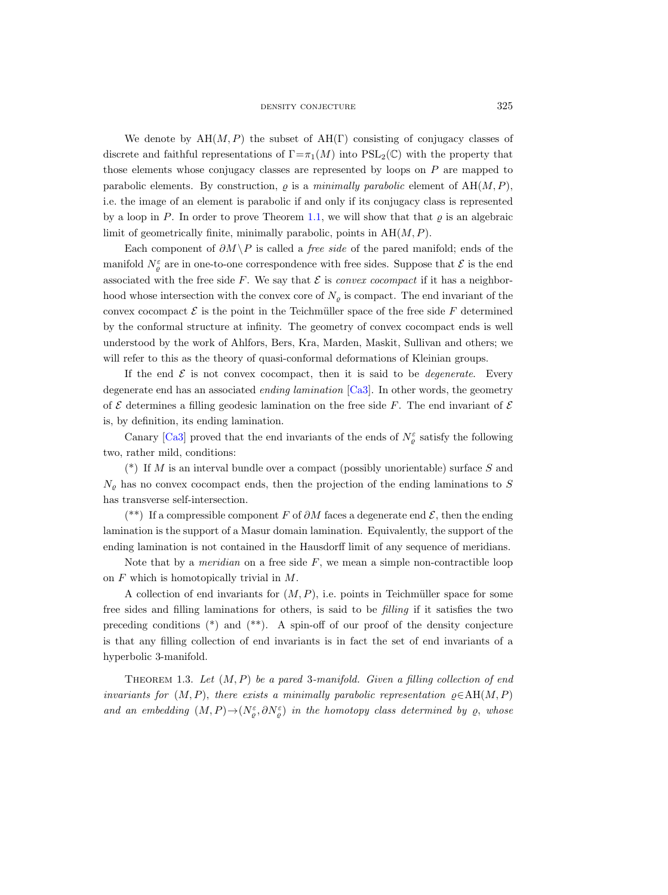We denote by  $AH(M, P)$  the subset of  $AH(\Gamma)$  consisting of conjugacy classes of discrete and faithful representations of  $\Gamma = \pi_1(M)$  into  $PSL_2(\mathbb{C})$  with the property that those elements whose conjugacy classes are represented by loops on P are mapped to parabolic elements. By construction,  $\varrho$  is a minimally parabolic element of AH(M, P), i.e. the image of an element is parabolic if and only if its conjugacy class is represented by a loop in P. In order to prove Theorem [1.1,](#page-1-0) we will show that that  $\rho$  is an algebraic limit of geometrically finite, minimally parabolic, points in  $AH(M, P)$ .

Each component of  $\partial M \backslash P$  is called a *free side* of the pared manifold; ends of the manifold  $N_{\varrho}^{\varepsilon}$  are in one-to-one correspondence with free sides. Suppose that  $\mathcal{E}$  is the end associated with the free side F. We say that  $\mathcal E$  is *convex cocompact* if it has a neighborhood whose intersection with the convex core of  $N_{\varrho}$  is compact. The end invariant of the convex cocompact  $\mathcal E$  is the point in the Teichmüller space of the free side F determined by the conformal structure at infinity. The geometry of convex cocompact ends is well understood by the work of Ahlfors, Bers, Kra, Marden, Maskit, Sullivan and others; we will refer to this as the theory of quasi-conformal deformations of Kleinian groups.

If the end  $\mathcal E$  is not convex cocompact, then it is said to be *degenerate*. Every degenerate end has an associated ending lamination [\[Ca3\]](#page-70-4). In other words, the geometry of E determines a filling geodesic lamination on the free side F. The end invariant of  $\mathcal E$ is, by definition, its ending lamination.

Canary [\[Ca3\]](#page-70-4) proved that the end invariants of the ends of  $N_{\varrho}^{\varepsilon}$  satisfy the following two, rather mild, conditions:

(\*) If  $M$  is an interval bundle over a compact (possibly unorientable) surface  $S$  and  $N<sub>o</sub>$  has no convex cocompact ends, then the projection of the ending laminations to S has transverse self-intersection.

(\*\*) If a compressible component F of  $\partial M$  faces a degenerate end  $\mathcal{E}$ , then the ending lamination is the support of a Masur domain lamination. Equivalently, the support of the ending lamination is not contained in the Hausdorff limit of any sequence of meridians.

Note that by a *meridian* on a free side  $F$ , we mean a simple non-contractible loop on F which is homotopically trivial in M.

A collection of end invariants for  $(M, P)$ , i.e. points in Teichmüller space for some free sides and filling laminations for others, is said to be filling if it satisfies the two preceding conditions (\*) and (\*\*). A spin-off of our proof of the density conjecture is that any filling collection of end invariants is in fact the set of end invariants of a hyperbolic 3-manifold.

<span id="page-2-0"></span>THEOREM 1.3. Let  $(M, P)$  be a pared 3-manifold. Given a filling collection of end invariants for  $(M, P)$ , there exists a minimally parabolic representation  $\rho \in AH(M, P)$ and an embedding  $(M, P) \rightarrow (N_{\varrho}^{\varepsilon}, \partial N_{\varrho}^{\varepsilon})$  in the homotopy class determined by  $\rho$ , whose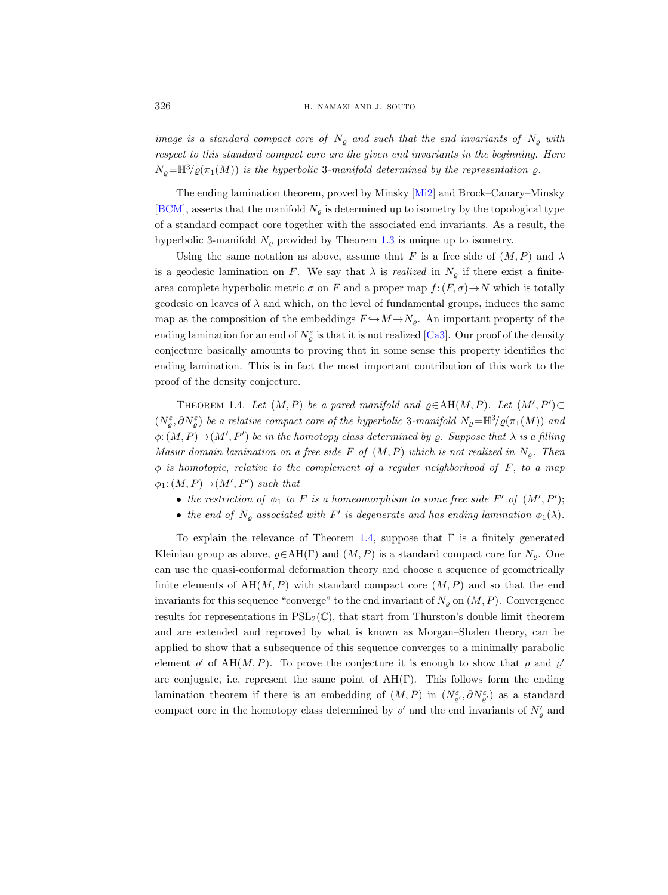image is a standard compact core of  $N_{\varrho}$  and such that the end invariants of  $N_{\varrho}$  with respect to this standard compact core are the given end invariants in the beginning. Here  $N_{\rho}=\mathbb{H}^{3}/\varrho(\pi_{1}(M))$  is the hyperbolic 3-manifold determined by the representation  $\varrho$ .

The ending lamination theorem, proved by Minsky [\[Mi2\]](#page-71-4) and Brock–Canary–Minsky [\[BCM\]](#page-69-3), asserts that the manifold  $N_\rho$  is determined up to isometry by the topological type of a standard compact core together with the associated end invariants. As a result, the hyperbolic 3-manifold  $N<sub>o</sub>$  provided by Theorem [1.3](#page-2-0) is unique up to isometry.

Using the same notation as above, assume that F is a free side of  $(M, P)$  and  $\lambda$ is a geodesic lamination on F. We say that  $\lambda$  is *realized* in  $N<sub>o</sub>$  if there exist a finitearea complete hyperbolic metric  $\sigma$  on F and a proper map  $f: (F, \sigma) \to N$  which is totally geodesic on leaves of  $\lambda$  and which, on the level of fundamental groups, induces the same map as the composition of the embeddings  $F \rightarrow M \rightarrow N_{\varrho}$ . An important property of the ending lamination for an end of  $N_{\varrho}^{\varepsilon}$  is that it is not realized [\[Ca3\]](#page-70-4). Our proof of the density conjecture basically amounts to proving that in some sense this property identifies the ending lamination. This is in fact the most important contribution of this work to the proof of the density conjecture.

<span id="page-3-0"></span>THEOREM 1.4. Let  $(M, P)$  be a pared manifold and  $\rho \in AH(M, P)$ . Let  $(M', P') \subset$  $(N_e^{\varepsilon}, \partial N_e^{\varepsilon})$  be a relative compact core of the hyperbolic 3-manifold  $N_e = \mathbb{H}^3/\varrho(\pi_1(M))$  and  $\phi: (M,P) {\,\rightarrow\,} (M',P')$  be in the homotopy class determined by  $\varrho$ . Suppose that  $\lambda$  is a filling Masur domain lamination on a free side F of  $(M, P)$  which is not realized in  $N_{\varrho}$ . Then  $\phi$  is homotopic, relative to the complement of a regular neighborhood of F, to a map  $\phi_1: (M, P) {\rightarrow} (M', P')$  such that

- the restriction of  $\phi_1$  to F is a homeomorphism to some free side F' of  $(M', P')$ ;
- the end of  $N_{\varrho}$  associated with F' is degenerate and has ending lamination  $\phi_1(\lambda)$ .

To explain the relevance of Theorem [1.4,](#page-3-0) suppose that  $\Gamma$  is a finitely generated Kleinian group as above,  $\varrho \in AH(\Gamma)$  and  $(M, P)$  is a standard compact core for  $N_{\varrho}$ . One can use the quasi-conformal deformation theory and choose a sequence of geometrically finite elements of  $AH(M, P)$  with standard compact core  $(M, P)$  and so that the end invariants for this sequence "converge" to the end invariant of  $N<sub>\rho</sub>$  on  $(M, P)$ . Convergence results for representations in  $PSL_2(\mathbb{C})$ , that start from Thurston's double limit theorem and are extended and reproved by what is known as Morgan–Shalen theory, can be applied to show that a subsequence of this sequence converges to a minimally parabolic element  $\varrho'$  of AH(M, P). To prove the conjecture it is enough to show that  $\varrho$  and  $\varrho'$ are conjugate, i.e. represent the same point of  $AH(\Gamma)$ . This follows form the ending lamination theorem if there is an embedding of  $(M, P)$  in  $(N_{\varrho'}^{\varepsilon}, \partial N_{\varrho'}^{\varepsilon})$  as a standard compact core in the homotopy class determined by  $\varrho'$  and the end invariants of  $N'_\varrho$  and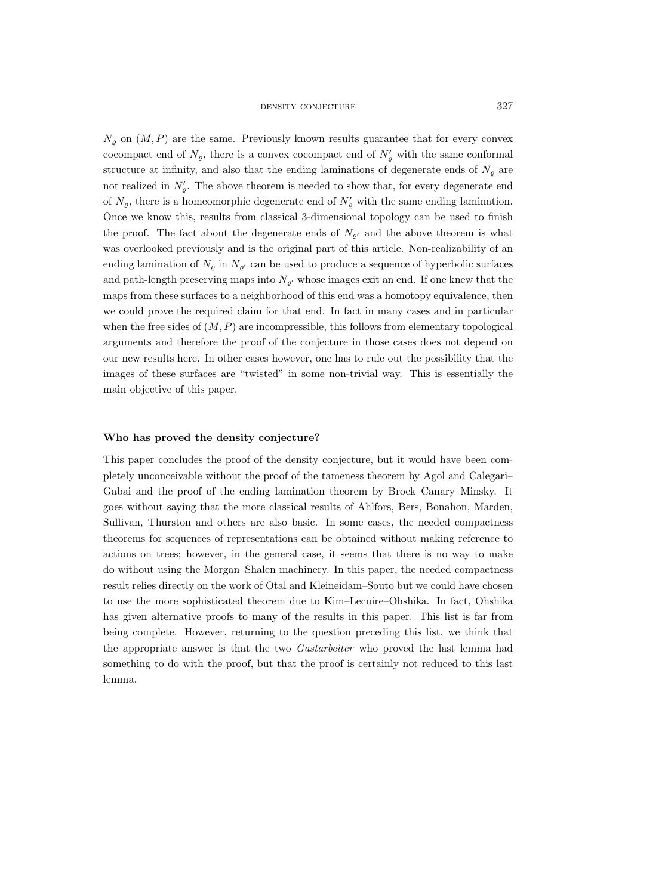$N_\rho$  on  $(M, P)$  are the same. Previously known results guarantee that for every convex cocompact end of  $N_{\varrho}$ , there is a convex cocompact end of  $N_{\varrho}'$  with the same conformal structure at infinity, and also that the ending laminations of degenerate ends of  $N<sub>o</sub>$  are not realized in  $N'_{\varrho}$ . The above theorem is needed to show that, for every degenerate end of  $N_{\varrho}$ , there is a homeomorphic degenerate end of  $N_{\varrho}'$  with the same ending lamination. Once we know this, results from classical 3-dimensional topology can be used to finish the proof. The fact about the degenerate ends of  $N_{\rho'}$  and the above theorem is what was overlooked previously and is the original part of this article. Non-realizability of an ending lamination of  $N_{\rho}$  in  $N_{\rho'}$  can be used to produce a sequence of hyperbolic surfaces and path-length preserving maps into  $N_{\rho'}$  whose images exit an end. If one knew that the maps from these surfaces to a neighborhood of this end was a homotopy equivalence, then we could prove the required claim for that end. In fact in many cases and in particular when the free sides of  $(M, P)$  are incompressible, this follows from elementary topological arguments and therefore the proof of the conjecture in those cases does not depend on our new results here. In other cases however, one has to rule out the possibility that the images of these surfaces are "twisted" in some non-trivial way. This is essentially the main objective of this paper.

## Who has proved the density conjecture?

This paper concludes the proof of the density conjecture, but it would have been completely unconceivable without the proof of the tameness theorem by Agol and Calegari– Gabai and the proof of the ending lamination theorem by Brock–Canary–Minsky. It goes without saying that the more classical results of Ahlfors, Bers, Bonahon, Marden, Sullivan, Thurston and others are also basic. In some cases, the needed compactness theorems for sequences of representations can be obtained without making reference to actions on trees; however, in the general case, it seems that there is no way to make do without using the Morgan–Shalen machinery. In this paper, the needed compactness result relies directly on the work of Otal and Kleineidam–Souto but we could have chosen to use the more sophisticated theorem due to Kim–Lecuire–Ohshika. In fact, Ohshika has given alternative proofs to many of the results in this paper. This list is far from being complete. However, returning to the question preceding this list, we think that the appropriate answer is that the two Gastarbeiter who proved the last lemma had something to do with the proof, but that the proof is certainly not reduced to this last lemma.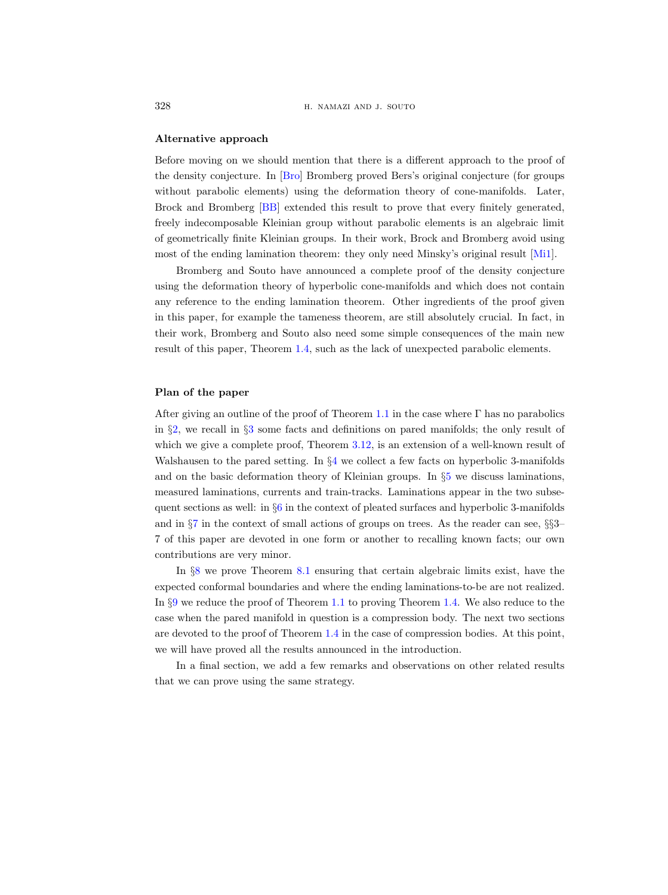#### Alternative approach

Before moving on we should mention that there is a different approach to the proof of the density conjecture. In [\[Bro\]](#page-69-4) Bromberg proved Bers's original conjecture (for groups without parabolic elements) using the deformation theory of cone-manifolds. Later, Brock and Bromberg [\[BB\]](#page-69-5) extended this result to prove that every finitely generated, freely indecomposable Kleinian group without parabolic elements is an algebraic limit of geometrically finite Kleinian groups. In their work, Brock and Bromberg avoid using most of the ending lamination theorem: they only need Minsky's original result [\[Mi1\]](#page-71-5).

Bromberg and Souto have announced a complete proof of the density conjecture using the deformation theory of hyperbolic cone-manifolds and which does not contain any reference to the ending lamination theorem. Other ingredients of the proof given in this paper, for example the tameness theorem, are still absolutely crucial. In fact, in their work, Bromberg and Souto also need some simple consequences of the main new result of this paper, Theorem [1.4,](#page-3-0) such as the lack of unexpected parabolic elements.

# Plan of the paper

After giving an outline of the proof of Theorem [1.1](#page-1-0) in the case where  $\Gamma$  has no parabolics in §[2,](#page-6-0) we recall in §[3](#page-8-0) some facts and definitions on pared manifolds; the only result of which we give a complete proof, Theorem [3.12,](#page-15-0) is an extension of a well-known result of Walshausen to the pared setting. In  $\S4$  $\S4$  we collect a few facts on hyperbolic 3-manifolds and on the basic deformation theory of Kleinian groups. In  $\S5$  $\S5$  we discuss laminations, measured laminations, currents and train-tracks. Laminations appear in the two subsequent sections as well: in  $\S6$  $\S6$  in the context of pleated surfaces and hyperbolic 3-manifolds and in §[7](#page-38-0) in the context of small actions of groups on trees. As the reader can see, §§3– 7 of this paper are devoted in one form or another to recalling known facts; our own contributions are very minor.

In §[8](#page-42-0) we prove Theorem [8.1](#page-43-0) ensuring that certain algebraic limits exist, have the expected conformal boundaries and where the ending laminations-to-be are not realized. In §[9](#page-46-0) we reduce the proof of Theorem [1.1](#page-1-0) to proving Theorem [1.4.](#page-3-0) We also reduce to the case when the pared manifold in question is a compression body. The next two sections are devoted to the proof of Theorem [1.4](#page-3-0) in the case of compression bodies. At this point, we will have proved all the results announced in the introduction.

In a final section, we add a few remarks and observations on other related results that we can prove using the same strategy.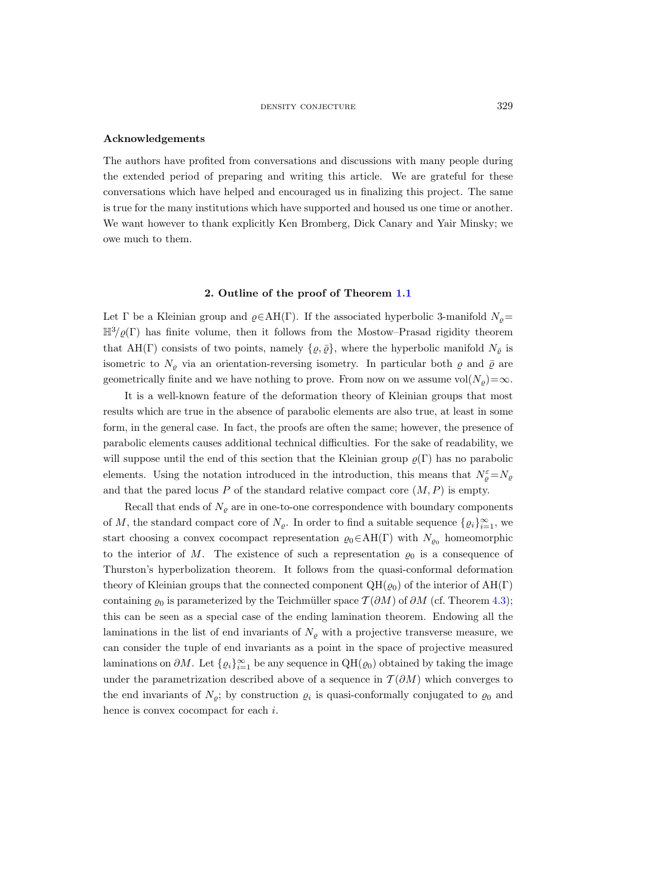#### DENSITY CONJECTURE 329

#### Acknowledgements

The authors have profited from conversations and discussions with many people during the extended period of preparing and writing this article. We are grateful for these conversations which have helped and encouraged us in finalizing this project. The same is true for the many institutions which have supported and housed us one time or another. We want however to thank explicitly Ken Bromberg, Dick Canary and Yair Minsky; we owe much to them.

# 2. Outline of the proof of Theorem [1.1](#page-1-0)

<span id="page-6-0"></span>Let Γ be a Kleinian group and  $\varrho \in AH(\Gamma)$ . If the associated hyperbolic 3-manifold  $N_{\varrho}$ =  $\mathbb{H}^3/\rho(\Gamma)$  has finite volume, then it follows from the Mostow–Prasad rigidity theorem that AH(Γ) consists of two points, namely  $\{\varrho, \bar{\varrho}\}\$ , where the hyperbolic manifold  $N_{\bar{\varrho}}$  is isometric to  $N_{\varrho}$  via an orientation-reversing isometry. In particular both  $\varrho$  and  $\bar{\varrho}$  are geometrically finite and we have nothing to prove. From now on we assume vol $(N_\rho)$ =∞.

It is a well-known feature of the deformation theory of Kleinian groups that most results which are true in the absence of parabolic elements are also true, at least in some form, in the general case. In fact, the proofs are often the same; however, the presence of parabolic elements causes additional technical difficulties. For the sake of readability, we will suppose until the end of this section that the Kleinian group  $\rho(\Gamma)$  has no parabolic elements. Using the notation introduced in the introduction, this means that  $N_{\varrho}^{\varepsilon} = N_{\varrho}$ and that the pared locus  $P$  of the standard relative compact core  $(M, P)$  is empty.

Recall that ends of  $N_{\rho}$  are in one-to-one correspondence with boundary components of M, the standard compact core of  $N_{\varrho}$ . In order to find a suitable sequence  $\{\varrho_i\}_{i=1}^{\infty}$ , we start choosing a convex cocompact representation  $\varrho_0 \in AH(\Gamma)$  with  $N_{\varrho_0}$  homeomorphic to the interior of M. The existence of such a representation  $\rho_0$  is a consequence of Thurston's hyperbolization theorem. It follows from the quasi-conformal deformation theory of Kleinian groups that the connected component  $QH(\rho_0)$  of the interior of  $AH(\Gamma)$ containing  $\varrho_0$  is parameterized by the Teichmüller space  $\mathcal{T}(\partial M)$  of  $\partial M$  (cf. Theorem [4.3\)](#page-25-0); this can be seen as a special case of the ending lamination theorem. Endowing all the laminations in the list of end invariants of  $N_{\varrho}$  with a projective transverse measure, we can consider the tuple of end invariants as a point in the space of projective measured laminations on  $\partial M$ . Let  $\{ \varrho_i \}_{i=1}^{\infty}$  be any sequence in  $\mathrm{QH}(\varrho_0)$  obtained by taking the image under the parametrization described above of a sequence in  $\mathcal{T}(\partial M)$  which converges to the end invariants of  $N_{\varrho}$ ; by construction  $\varrho_i$  is quasi-conformally conjugated to  $\varrho_0$  and hence is convex cocompact for each i.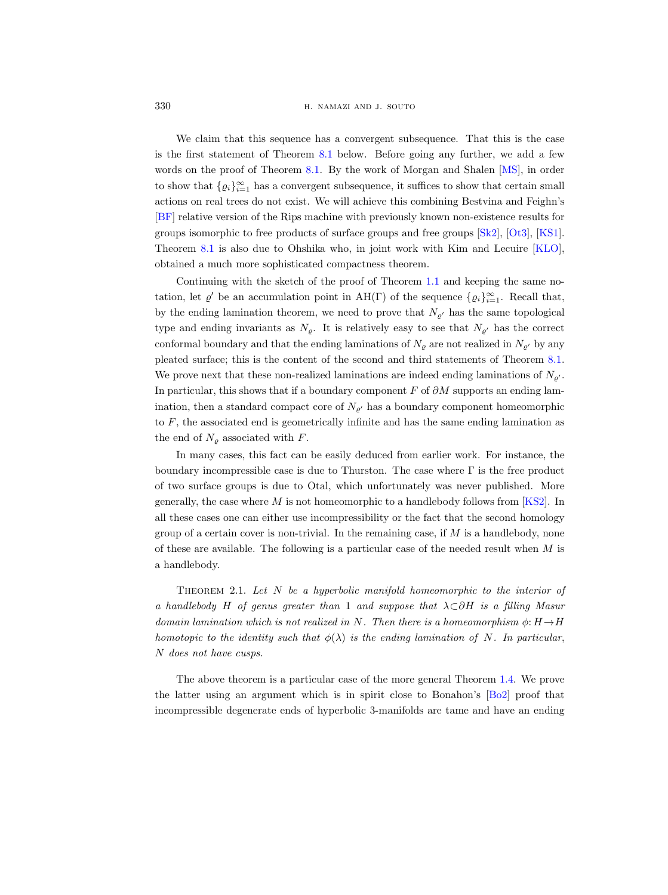330 **h. namazi and j. souto** 

We claim that this sequence has a convergent subsequence. That this is the case is the first statement of Theorem [8.1](#page-43-0) below. Before going any further, we add a few words on the proof of Theorem [8.1.](#page-43-0) By the work of Morgan and Shalen [\[MS\]](#page-71-6), in order to show that  $\{ \varrho_i \}_{i=1}^{\infty}$  has a convergent subsequence, it suffices to show that certain small actions on real trees do not exist. We will achieve this combining Bestvina and Feighn's [\[BF\]](#page-69-6) relative version of the Rips machine with previously known non-existence results for groups isomorphic to free products of surface groups and free groups [\[Sk2\]](#page-71-7), [\[Ot3\]](#page-71-8), [\[KS1\]](#page-70-5). Theorem [8.1](#page-43-0) is also due to Ohshika who, in joint work with Kim and Lecuire [\[KLO\]](#page-70-6), obtained a much more sophisticated compactness theorem.

Continuing with the sketch of the proof of Theorem [1.1](#page-1-0) and keeping the same notation, let  $\varrho'$  be an accumulation point in AH(Γ) of the sequence  $\{\varrho_i\}_{i=1}^{\infty}$ . Recall that, by the ending lamination theorem, we need to prove that  $N_{\varrho'}$  has the same topological type and ending invariants as  $N_{\varrho}$ . It is relatively easy to see that  $N_{\varrho'}$  has the correct conformal boundary and that the ending laminations of  $N_{\varrho}$  are not realized in  $N_{\varrho'}$  by any pleated surface; this is the content of the second and third statements of Theorem [8.1.](#page-43-0) We prove next that these non-realized laminations are indeed ending laminations of  $N_{\rho'}$ . In particular, this shows that if a boundary component  $F$  of  $\partial M$  supports an ending lamination, then a standard compact core of  $N_{\rho'}$  has a boundary component homeomorphic to  $F$ , the associated end is geometrically infinite and has the same ending lamination as the end of  $N_\rho$  associated with F.

In many cases, this fact can be easily deduced from earlier work. For instance, the boundary incompressible case is due to Thurston. The case where Γ is the free product of two surface groups is due to Otal, which unfortunately was never published. More generally, the case where  $M$  is not homeomorphic to a handlebody follows from [\[KS2\]](#page-70-7). In all these cases one can either use incompressibility or the fact that the second homology group of a certain cover is non-trivial. In the remaining case, if  $M$  is a handlebody, none of these are available. The following is a particular case of the needed result when  $M$  is a handlebody.

THEOREM 2.1. Let  $N$  be a hyperbolic manifold homeomorphic to the interior of a handlebody H of genus greater than 1 and suppose that  $\lambda \subset \partial H$  is a filling Masur domain lamination which is not realized in N. Then there is a homeomorphism  $\phi: H \to H$ homotopic to the identity such that  $\phi(\lambda)$  is the ending lamination of N. In particular, N does not have cusps.

The above theorem is a particular case of the more general Theorem [1.4.](#page-3-0) We prove the latter using an argument which is in spirit close to Bonahon's [\[Bo2\]](#page-69-7) proof that incompressible degenerate ends of hyperbolic 3-manifolds are tame and have an ending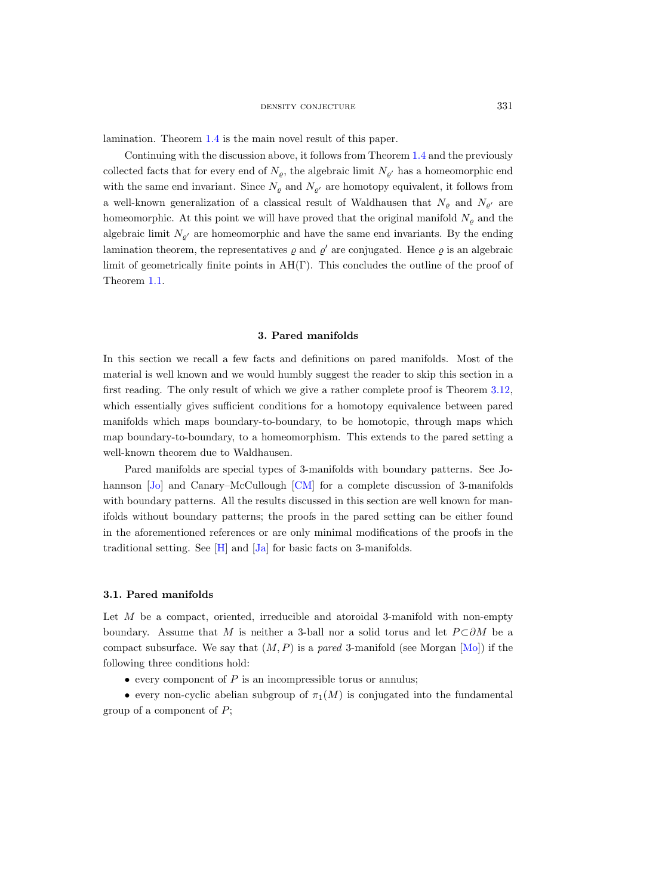lamination. Theorem [1.4](#page-3-0) is the main novel result of this paper.

Continuing with the discussion above, it follows from Theorem [1.4](#page-3-0) and the previously collected facts that for every end of  $N_{\varrho}$ , the algebraic limit  $N_{\varrho'}$  has a homeomorphic end with the same end invariant. Since  $N_{\varrho}$  and  $N_{\varrho'}$  are homotopy equivalent, it follows from a well-known generalization of a classical result of Waldhausen that  $N_{\varrho}$  and  $N_{\varrho'}$  are homeomorphic. At this point we will have proved that the original manifold  $N_{\varrho}$  and the algebraic limit  $N_{\varrho'}$  are homeomorphic and have the same end invariants. By the ending lamination theorem, the representatives  $\varrho$  and  $\varrho'$  are conjugated. Hence  $\varrho$  is an algebraic limit of geometrically finite points in  $AH(\Gamma)$ . This concludes the outline of the proof of Theorem [1.1.](#page-1-0)

# 3. Pared manifolds

<span id="page-8-0"></span>In this section we recall a few facts and definitions on pared manifolds. Most of the material is well known and we would humbly suggest the reader to skip this section in a first reading. The only result of which we give a rather complete proof is Theorem [3.12,](#page-15-0) which essentially gives sufficient conditions for a homotopy equivalence between pared manifolds which maps boundary-to-boundary, to be homotopic, through maps which map boundary-to-boundary, to a homeomorphism. This extends to the pared setting a well-known theorem due to Waldhausen.

Pared manifolds are special types of 3-manifolds with boundary patterns. See Jo-hannson [\[Jo\]](#page-70-8) and Canary–McCullough [\[CM\]](#page-70-9) for a complete discussion of 3-manifolds with boundary patterns. All the results discussed in this section are well known for manifolds without boundary patterns; the proofs in the pared setting can be either found in the aforementioned references or are only minimal modifications of the proofs in the traditional setting. See  $[H]$  and  $[Ja]$  for basic facts on 3-manifolds.

# 3.1. Pared manifolds

Let  $M$  be a compact, oriented, irreducible and atoroidal 3-manifold with non-empty boundary. Assume that M is neither a 3-ball nor a solid torus and let  $P \subset \partial M$  be a compact subsurface. We say that  $(M, P)$  is a pared 3-manifold (see Morgan  $[M_0]$ ) if the following three conditions hold:

• every component of  $P$  is an incompressible torus or annulus;

• every non-cyclic abelian subgroup of  $\pi_1(M)$  is conjugated into the fundamental group of a component of  $P$ ;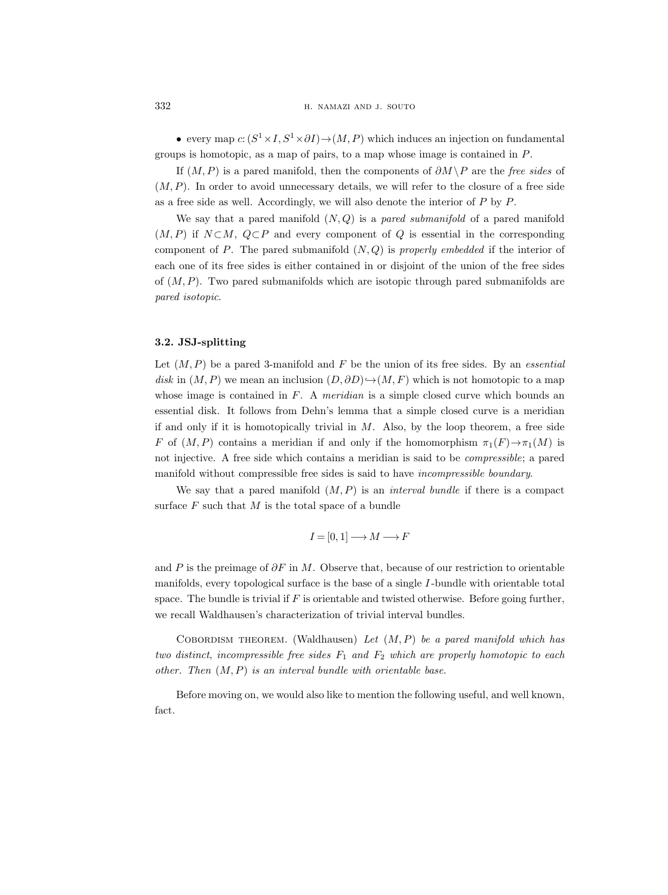• every map  $c: (S^1 \times I, S^1 \times \partial I) \rightarrow (M, P)$  which induces an injection on fundamental groups is homotopic, as a map of pairs, to a map whose image is contained in P.

If  $(M, P)$  is a pared manifold, then the components of  $\partial M \backslash P$  are the free sides of  $(M, P)$ . In order to avoid unnecessary details, we will refer to the closure of a free side as a free side as well. Accordingly, we will also denote the interior of P by P.

We say that a pared manifold  $(N, Q)$  is a pared submanifold of a pared manifold  $(M, P)$  if  $N \subset M$ ,  $Q \subset P$  and every component of Q is essential in the corresponding component of P. The pared submanifold  $(N, Q)$  is properly embedded if the interior of each one of its free sides is either contained in or disjoint of the union of the free sides of  $(M, P)$ . Two pared submanifolds which are isotopic through pared submanifolds are pared isotopic.

# 3.2. JSJ-splitting

Let  $(M, P)$  be a pared 3-manifold and F be the union of its free sides. By an *essential* disk in  $(M, P)$  we mean an inclusion  $(D, \partial D) \rightarrow (M, F)$  which is not homotopic to a map whose image is contained in  $F$ . A *meridian* is a simple closed curve which bounds an essential disk. It follows from Dehn's lemma that a simple closed curve is a meridian if and only if it is homotopically trivial in  $M$ . Also, by the loop theorem, a free side F of  $(M, P)$  contains a meridian if and only if the homomorphism  $\pi_1(F) \to \pi_1(M)$  is not injective. A free side which contains a meridian is said to be compressible; a pared manifold without compressible free sides is said to have incompressible boundary.

We say that a pared manifold  $(M, P)$  is an *interval bundle* if there is a compact surface  $F$  such that  $M$  is the total space of a bundle

$$
I\,{=}\,[0,1]\longrightarrow\!M\longrightarrow\!F
$$

and P is the preimage of  $\partial F$  in M. Observe that, because of our restriction to orientable manifolds, every topological surface is the base of a single I-bundle with orientable total space. The bundle is trivial if  $F$  is orientable and twisted otherwise. Before going further, we recall Waldhausen's characterization of trivial interval bundles.

COBORDISM THEOREM. (Waldhausen) Let  $(M, P)$  be a pared manifold which has two distinct, incompressible free sides  $F_1$  and  $F_2$  which are properly homotopic to each other. Then  $(M, P)$  is an interval bundle with orientable base.

<span id="page-9-0"></span>Before moving on, we would also like to mention the following useful, and well known, fact.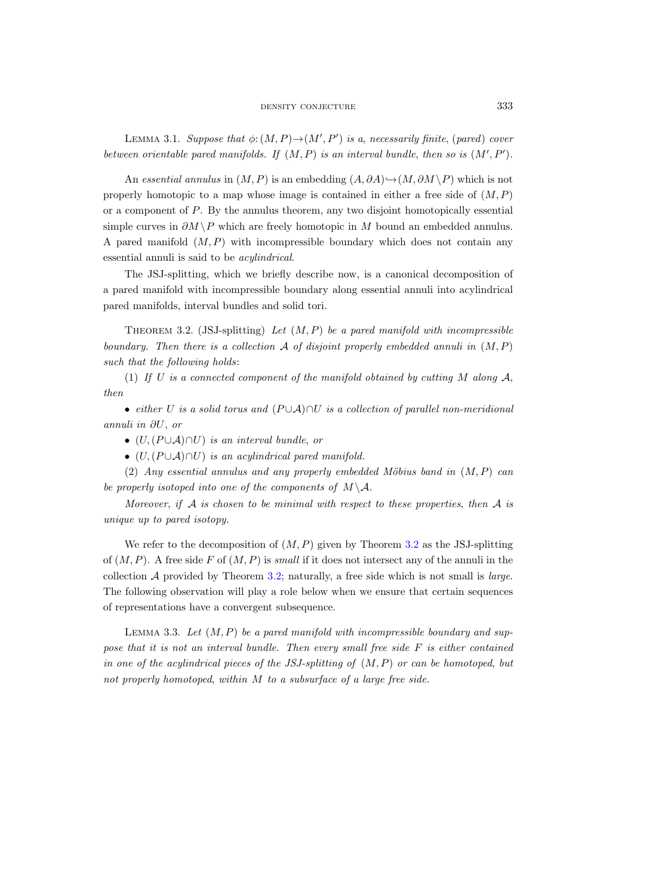LEMMA 3.1. Suppose that  $\phi: (M, P) \rightarrow (M', P')$  is a, necessarily finite, (pared) cover between orientable pared manifolds. If  $(M, P)$  is an interval bundle, then so is  $(M', P')$ .

An essential annulus in  $(M, P)$  is an embedding  $(A, \partial A) \rightarrow (M, \partial M \setminus P)$  which is not properly homotopic to a map whose image is contained in either a free side of  $(M, P)$ or a component of P. By the annulus theorem, any two disjoint homotopically essential simple curves in  $\partial M \backslash P$  which are freely homotopic in M bound an embedded annulus. A pared manifold  $(M, P)$  with incompressible boundary which does not contain any essential annuli is said to be acylindrical.

The JSJ-splitting, which we briefly describe now, is a canonical decomposition of a pared manifold with incompressible boundary along essential annuli into acylindrical pared manifolds, interval bundles and solid tori.

<span id="page-10-0"></span>THEOREM 3.2. (JSJ-splitting) Let  $(M, P)$  be a pared manifold with incompressible boundary. Then there is a collection  $\mathcal A$  of disjoint properly embedded annuli in  $(M, P)$ such that the following holds:

(1) If U is a connected component of the manifold obtained by cutting M along  $A$ , then

• either U is a solid torus and  $(P \cup A) \cap U$  is a collection of parallel non-meridional annuli in ∂U, or

•  $(U, (P \cup A) \cap U)$  is an interval bundle, or

•  $(U, (P \cup A) \cap U)$  is an acylindrical pared manifold.

(2) Any essential annulus and any properly embedded Möbius band in  $(M, P)$  can be properly isotoped into one of the components of  $M \setminus A$ .

Moreover, if  $A$  is chosen to be minimal with respect to these properties, then  $A$  is unique up to pared isotopy.

We refer to the decomposition of  $(M, P)$  given by Theorem [3.2](#page-10-0) as the JSJ-splitting of  $(M, P)$ . A free side F of  $(M, P)$  is *small* if it does not intersect any of the annuli in the collection  $A$  provided by Theorem [3.2;](#page-10-0) naturally, a free side which is not small is *large*. The following observation will play a role below when we ensure that certain sequences of representations have a convergent subsequence.

LEMMA 3.3. Let  $(M, P)$  be a pared manifold with incompressible boundary and suppose that it is not an interval bundle. Then every small free side  $F$  is either contained in one of the acylindrical pieces of the JSJ-splitting of  $(M, P)$  or can be homotoped, but not properly homotoped, within M to a subsurface of a large free side.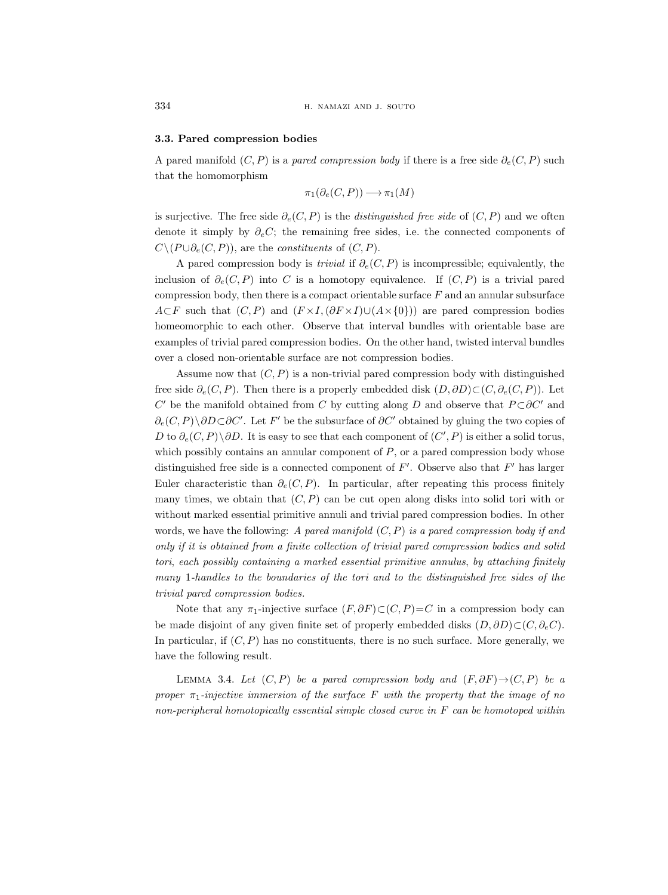# 3.3. Pared compression bodies

A pared manifold  $(C, P)$  is a pared compression body if there is a free side  $\partial_e(C, P)$  such that the homomorphism

$$
\pi_1(\partial_e(C, P)) \longrightarrow \pi_1(M)
$$

is surjective. The free side  $\partial_e(C, P)$  is the *distinguished free side* of  $(C, P)$  and we often denote it simply by  $\partial_e C$ ; the remaining free sides, i.e. the connected components of  $C\setminus (P\cup \partial_e(C, P))$ , are the *constituents* of  $(C, P)$ .

A pared compression body is *trivial* if  $\partial_e(C, P)$  is incompressible; equivalently, the inclusion of  $\partial_e(C, P)$  into C is a homotopy equivalence. If  $(C, P)$  is a trivial pared compression body, then there is a compact orientable surface  $F$  and an annular subsurface  $A\subset F$  such that  $(C, P)$  and  $(F\times I, (\partial F\times I) \cup (A\times\{0\}))$  are pared compression bodies homeomorphic to each other. Observe that interval bundles with orientable base are examples of trivial pared compression bodies. On the other hand, twisted interval bundles over a closed non-orientable surface are not compression bodies.

Assume now that  $(C, P)$  is a non-trivial pared compression body with distinguished free side  $\partial_e(C, P)$ . Then there is a properly embedded disk  $(D, \partial D) \subset (C, \partial_e(C, P))$ . Let C' be the manifold obtained from C by cutting along D and observe that  $P \subset \partial C'$  and  $\partial_e(C, P) \backslash \partial D \subset \partial C'$ . Let F' be the subsurface of  $\partial C'$  obtained by gluing the two copies of D to  $\partial_e(C, P) \backslash \partial D$ . It is easy to see that each component of  $(C', P)$  is either a solid torus, which possibly contains an annular component of P, or a pared compression body whose distinguished free side is a connected component of  $F'$ . Observe also that  $F'$  has larger Euler characteristic than  $\partial_e(C, P)$ . In particular, after repeating this process finitely many times, we obtain that  $(C, P)$  can be cut open along disks into solid tori with or without marked essential primitive annuli and trivial pared compression bodies. In other words, we have the following: A pared manifold  $(C, P)$  is a pared compression body if and only if it is obtained from a finite collection of trivial pared compression bodies and solid tori, each possibly containing a marked essential primitive annulus, by attaching finitely many 1-handles to the boundaries of the tori and to the distinguished free sides of the trivial pared compression bodies.

Note that any  $\pi_1$ -injective surface  $(F, \partial F) \subset (C, P) = C$  in a compression body can be made disjoint of any given finite set of properly embedded disks  $(D, \partial D) \subset (C, \partial_e C)$ . In particular, if  $(C, P)$  has no constituents, there is no such surface. More generally, we have the following result.

<span id="page-11-0"></span>LEMMA 3.4. Let  $(C, P)$  be a pared compression body and  $(F, \partial F) \rightarrow (C, P)$  be a proper  $\pi_1$ -injective immersion of the surface F with the property that the image of no non-peripheral homotopically essential simple closed curve in F can be homotoped within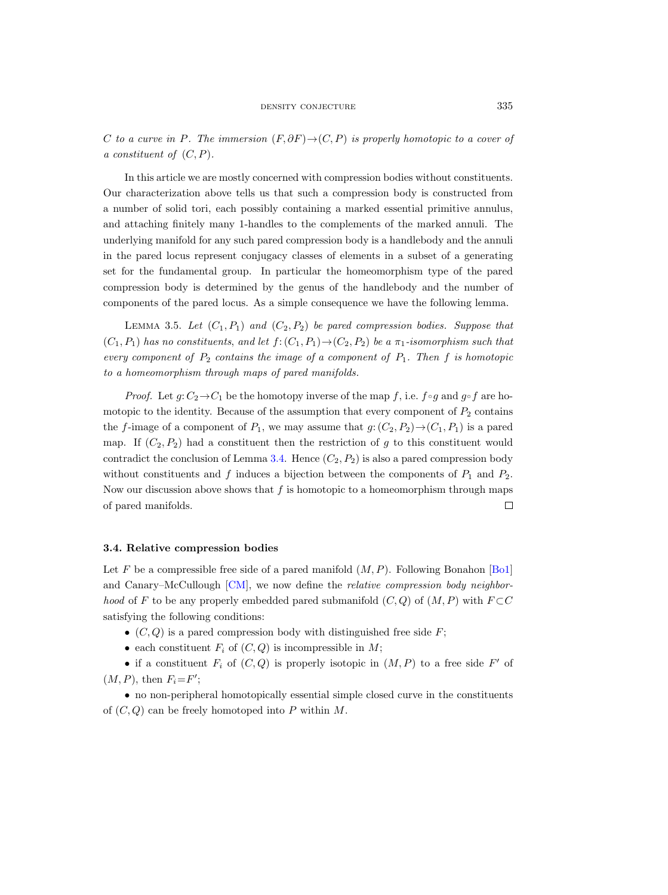C to a curve in P. The immersion  $(F, \partial F) \rightarrow (C, P)$  is properly homotopic to a cover of a constituent of  $(C, P)$ .

In this article we are mostly concerned with compression bodies without constituents. Our characterization above tells us that such a compression body is constructed from a number of solid tori, each possibly containing a marked essential primitive annulus, and attaching finitely many 1-handles to the complements of the marked annuli. The underlying manifold for any such pared compression body is a handlebody and the annuli in the pared locus represent conjugacy classes of elements in a subset of a generating set for the fundamental group. In particular the homeomorphism type of the pared compression body is determined by the genus of the handlebody and the number of components of the pared locus. As a simple consequence we have the following lemma.

LEMMA 3.5. Let  $(C_1, P_1)$  and  $(C_2, P_2)$  be pared compression bodies. Suppose that  $(C_1, P_1)$  has no constituents, and let  $f: (C_1, P_1) \rightarrow (C_2, P_2)$  be a  $\pi_1$ -isomorphism such that every component of  $P_2$  contains the image of a component of  $P_1$ . Then f is homotopic to a homeomorphism through maps of pared manifolds.

*Proof.* Let  $g: C_2 \to C_1$  be the homotopy inverse of the map f, i.e.  $f \circ g$  and  $g \circ f$  are homotopic to the identity. Because of the assumption that every component of  $P_2$  contains the f-image of a component of  $P_1$ , we may assume that  $g: (C_2, P_2) \rightarrow (C_1, P_1)$  is a pared map. If  $(C_2, P_2)$  had a constituent then the restriction of g to this constituent would contradict the conclusion of Lemma [3.4.](#page-11-0) Hence  $(C_2, P_2)$  is also a pared compression body without constituents and f induces a bijection between the components of  $P_1$  and  $P_2$ . Now our discussion above shows that  $f$  is homotopic to a homeomorphism through maps of pared manifolds. П

#### <span id="page-12-0"></span>3.4. Relative compression bodies

Let F be a compressible free side of a pared manifold  $(M, P)$ . Following Bonahon [\[Bo1\]](#page-69-8) and Canary–McCullough [\[CM\]](#page-70-9), we now define the *relative compression body neighbor*hood of F to be any properly embedded pared submanifold  $(C, Q)$  of  $(M, P)$  with  $F \subset C$ satisfying the following conditions:

- $(C, Q)$  is a pared compression body with distinguished free side F;
- each constituent  $F_i$  of  $(C, Q)$  is incompressible in  $M$ ;

• if a constituent  $F_i$  of  $(C,Q)$  is properly isotopic in  $(M, P)$  to a free side  $F'$  of  $(M, P)$ , then  $F_i = F'$ ;

• no non-peripheral homotopically essential simple closed curve in the constituents of  $(C, Q)$  can be freely homotoped into P within M.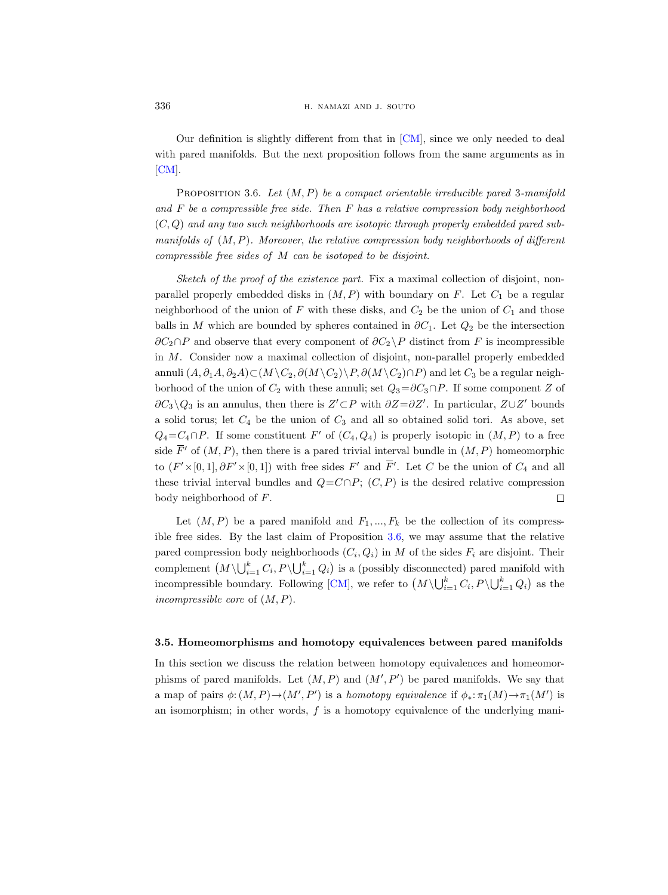Our definition is slightly different from that in [\[CM\]](#page-70-9), since we only needed to deal with pared manifolds. But the next proposition follows from the same arguments as in  $\lfloor CM \rfloor$ .

<span id="page-13-0"></span>PROPOSITION 3.6. Let  $(M, P)$  be a compact orientable irreducible pared 3-manifold and  $F$  be a compressible free side. Then  $F$  has a relative compression body neighborhood  $(C, Q)$  and any two such neighborhoods are isotopic through properly embedded pared submanifolds of  $(M, P)$ . Moreover, the relative compression body neighborhoods of different compressible free sides of M can be isotoped to be disjoint.

Sketch of the proof of the existence part. Fix a maximal collection of disjoint, nonparallel properly embedded disks in  $(M, P)$  with boundary on F. Let  $C_1$  be a regular neighborhood of the union of F with these disks, and  $C_2$  be the union of  $C_1$  and those balls in M which are bounded by spheres contained in  $\partial C_1$ . Let  $Q_2$  be the intersection  $\partial C_2 \cap P$  and observe that every component of  $\partial C_2 \setminus P$  distinct from F is incompressible in M. Consider now a maximal collection of disjoint, non-parallel properly embedded annuli  $(A, \partial_1 A, \partial_2 A) \subset (M \setminus C_2, \partial (M \setminus C_2) \setminus P, \partial (M \setminus C_2) \cap P)$  and let  $C_3$  be a regular neighborhood of the union of  $C_2$  with these annuli; set  $Q_3 = \partial C_3 \cap P$ . If some component Z of  $\partial C_3 \backslash Q_3$  is an annulus, then there is  $Z' \subset P$  with  $\partial Z = \partial Z'$ . In particular,  $Z \cup Z'$  bounds a solid torus; let  $C_4$  be the union of  $C_3$  and all so obtained solid tori. As above, set  $Q_4 = C_4 \cap P$ . If some constituent F' of  $(C_4, Q_4)$  is properly isotopic in  $(M, P)$  to a free side  $\overline{F}'$  of  $(M, P)$ , then there is a pared trivial interval bundle in  $(M, P)$  homeomorphic to  $(F' \times [0, 1], \partial F' \times [0, 1])$  with free sides  $F'$  and  $\overline{F}'$ . Let C be the union of  $C_4$  and all these trivial interval bundles and  $Q=C\cap P$ ;  $(C, P)$  is the desired relative compression body neighborhood of F.  $\Box$ 

Let  $(M, P)$  be a pared manifold and  $F_1, ..., F_k$  be the collection of its compressible free sides. By the last claim of Proposition [3.6,](#page-13-0) we may assume that the relative pared compression body neighborhoods  $(C_i, Q_i)$  in M of the sides  $F_i$  are disjoint. Their complement  $(M \setminus \bigcup_{i=1}^k C_i, P \setminus \bigcup_{i=1}^k Q_i)$  is a (possibly disconnected) pared manifold with incompressible boundary. Following [\[CM\]](#page-70-9), we refer to  $(M \setminus \bigcup_{i=1}^k C_i, P \setminus \bigcup_{i=1}^k Q_i)$  as the incompressible core of  $(M, P)$ .

#### 3.5. Homeomorphisms and homotopy equivalences between pared manifolds

In this section we discuss the relation between homotopy equivalences and homeomorphisms of pared manifolds. Let  $(M, P)$  and  $(M', P')$  be pared manifolds. We say that a map of pairs  $\phi: (M, P) \to (M', P')$  is a homotopy equivalence if  $\phi_*: \pi_1(M) \to \pi_1(M')$  is an isomorphism; in other words,  $f$  is a homotopy equivalence of the underlying mani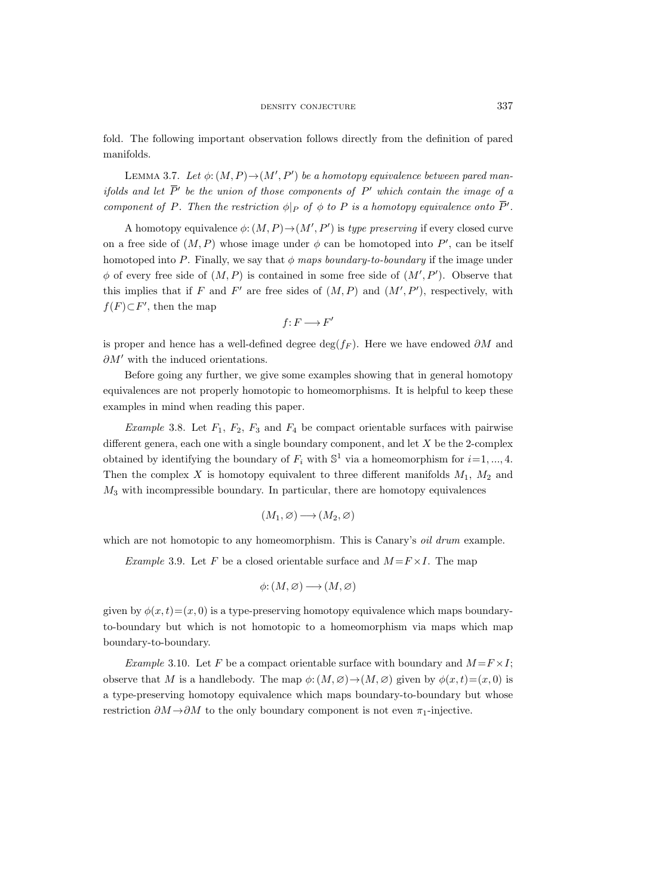fold. The following important observation follows directly from the definition of pared manifolds.

<span id="page-14-2"></span>LEMMA 3.7. Let  $\phi: (M, P) \to (M', P')$  be a homotopy equivalence between pared manifolds and let  $\overline{P}'$  be the union of those components of  $P'$  which contain the image of a component of P. Then the restriction  $\phi|_P$  of  $\phi$  to P is a homotopy equivalence onto  $\overline{P}'$ .

A homotopy equivalence  $\phi: (M, P) \to (M', P')$  is type preserving if every closed curve on a free side of  $(M, P)$  whose image under  $\phi$  can be homotoped into P', can be itself homotoped into P. Finally, we say that  $\phi$  maps boundary-to-boundary if the image under  $\phi$  of every free side of  $(M, P)$  is contained in some free side of  $(M', P')$ . Observe that this implies that if F and F' are free sides of  $(M, P)$  and  $(M', P')$ , respectively, with  $f(F) \subset F'$ , then the map

$$
f\colon F\longrightarrow F'
$$

is proper and hence has a well-defined degree deg( $f_F$ ). Here we have endowed ∂M and  $\partial M'$  with the induced orientations.

Before going any further, we give some examples showing that in general homotopy equivalences are not properly homotopic to homeomorphisms. It is helpful to keep these examples in mind when reading this paper.

<span id="page-14-3"></span>Example 3.8. Let  $F_1$ ,  $F_2$ ,  $F_3$  and  $F_4$  be compact orientable surfaces with pairwise different genera, each one with a single boundary component, and let  $X$  be the 2-complex obtained by identifying the boundary of  $F_i$  with  $\mathbb{S}^1$  via a homeomorphism for  $i=1, ..., 4$ . Then the complex X is homotopy equivalent to three different manifolds  $M_1$ ,  $M_2$  and  $M_3$  with incompressible boundary. In particular, there are homotopy equivalences

$$
(M_1,\varnothing)\longrightarrow (M_2,\varnothing)
$$

<span id="page-14-0"></span>which are not homotopic to any homeomorphism. This is Canary's *oil drum* example.

*Example* 3.9. Let F be a closed orientable surface and  $M = F \times I$ . The map

$$
\phi\hbox{\rm :}\ (M, \varnothing) \longrightarrow (M, \varnothing)
$$

given by  $\phi(x, t) = (x, 0)$  is a type-preserving homotopy equivalence which maps boundaryto-boundary but which is not homotopic to a homeomorphism via maps which map boundary-to-boundary.

<span id="page-14-1"></span>Example 3.10. Let F be a compact orientable surface with boundary and  $M = F \times I$ ; observe that M is a handlebody. The map  $\phi: (M, \varnothing) \to (M, \varnothing)$  given by  $\phi(x, t) = (x, 0)$  is a type-preserving homotopy equivalence which maps boundary-to-boundary but whose restriction  $\partial M \rightarrow \partial M$  to the only boundary component is not even  $\pi_1$ -injective.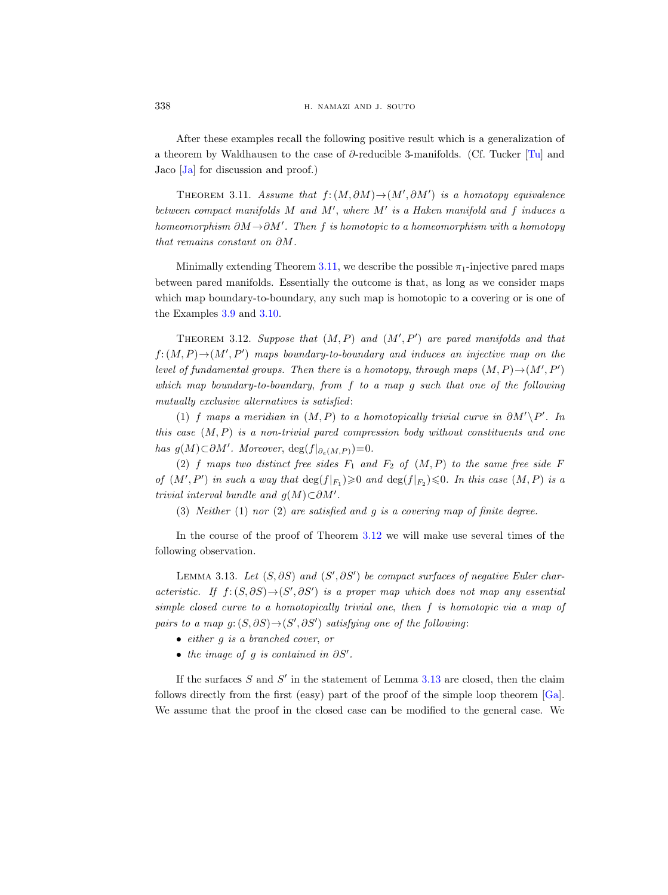338 **h. namazi and j. souto** 

After these examples recall the following positive result which is a generalization of a theorem by Waldhausen to the case of ∂-reducible 3-manifolds. (Cf. Tucker [\[Tu\]](#page-72-0) and Jaco [\[Ja\]](#page-70-11) for discussion and proof.)

<span id="page-15-1"></span>THEOREM 3.11. Assume that  $f: (M, \partial M) \to (M', \partial M')$  is a homotopy equivalence between compact manifolds  $M$  and  $M'$ , where  $M'$  is a Haken manifold and  $f$  induces a  $homomorphism \: \partial M {\rightarrow} \partial M'.$  Then  $f$  is homotopic to a homeomorphism with a homotopy that remains constant on ∂M.

Minimally extending Theorem [3.11,](#page-15-1) we describe the possible  $\pi_1$ -injective pared maps between pared manifolds. Essentially the outcome is that, as long as we consider maps which map boundary-to-boundary, any such map is homotopic to a covering or is one of the Examples [3.9](#page-14-0) and [3.10.](#page-14-1)

<span id="page-15-0"></span>THEOREM 3.12. Suppose that  $(M, P)$  and  $(M', P')$  are pared manifolds and that  $f:(M,P) \rightarrow (M',P')$  maps boundary-to-boundary and induces an injective map on the level of fundamental groups. Then there is a homotopy, through maps  $(M, P) \rightarrow (M', P')$ which map boundary-to-boundary, from f to a map g such that one of the following mutually exclusive alternatives is satisfied:

(1) f maps a meridian in  $(M, P)$  to a homotopically trivial curve in  $\partial M' \backslash P'$ . In this case  $(M, P)$  is a non-trivial pared compression body without constituents and one has  $g(M) \subset \partial M'$ . Moreover, deg( $f|_{\partial_e(M,P)})=0$ .

(2) f maps two distinct free sides  $F_1$  and  $F_2$  of  $(M, P)$  to the same free side F of  $(M', P')$  in such a way that  $\deg(f|_{F_1}) \geq 0$  and  $\deg(f|_{F_2}) \leq 0$ . In this case  $(M, P)$  is a trivial interval bundle and  $g(M)$ ⊂∂M'.

(3) Neither (1) nor (2) are satisfied and g is a covering map of finite degree.

In the course of the proof of Theorem [3.12](#page-15-0) we will make use several times of the following observation.

<span id="page-15-2"></span>LEMMA 3.13. Let  $(S, \partial S)$  and  $(S', \partial S')$  be compact surfaces of negative Euler characteristic. If  $f:(S,\partial S) \rightarrow (S',\partial S')$  is a proper map which does not map any essential simple closed curve to a homotopically trivial one, then f is homotopic via a map of pairs to a map  $g: (S, \partial S) \rightarrow (S', \partial S')$  satisfying one of the following:

- either g is a branched cover, or
- the image of g is contained in  $\partial S'$ .

If the surfaces  $S$  and  $S'$  in the statement of Lemma [3.13](#page-15-2) are closed, then the claim follows directly from the first (easy) part of the proof of the simple loop theorem [\[Ga\]](#page-70-12). We assume that the proof in the closed case can be modified to the general case. We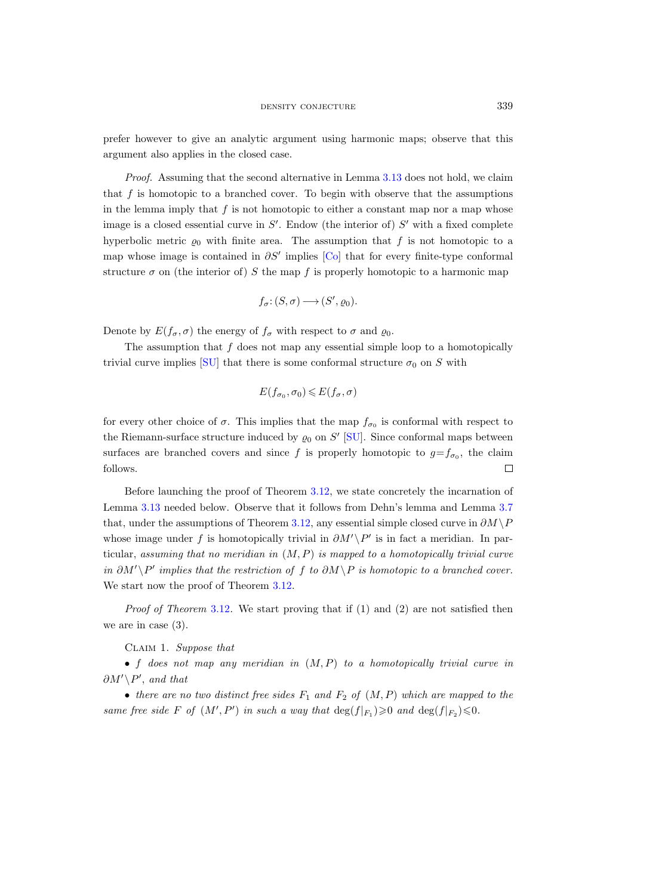prefer however to give an analytic argument using harmonic maps; observe that this argument also applies in the closed case.

Proof. Assuming that the second alternative in Lemma [3.13](#page-15-2) does not hold, we claim that  $f$  is homotopic to a branched cover. To begin with observe that the assumptions in the lemma imply that  $f$  is not homotopic to either a constant map nor a map whose image is a closed essential curve in  $S'$ . Endow (the interior of)  $S'$  with a fixed complete hyperbolic metric  $\varrho_0$  with finite area. The assumption that f is not homotopic to a map whose image is contained in  $\partial S'$  implies [\[Co\]](#page-70-13) that for every finite-type conformal structure  $\sigma$  on (the interior of) S the map f is properly homotopic to a harmonic map

$$
f_{\sigma}: (S, \sigma) \longrightarrow (S', \varrho_0).
$$

Denote by  $E(f_{\sigma}, \sigma)$  the energy of  $f_{\sigma}$  with respect to  $\sigma$  and  $\varrho_0$ .

The assumption that  $f$  does not map any essential simple loop to a homotopically trivial curve implies [\[SU\]](#page-71-10) that there is some conformal structure  $\sigma_0$  on S with

$$
E(f_{\sigma_0}, \sigma_0) \leqslant E(f_{\sigma}, \sigma)
$$

for every other choice of  $\sigma$ . This implies that the map  $f_{\sigma_0}$  is conformal with respect to the Riemann-surface structure induced by  $\varrho_0$  on  $S'$  [\[SU\]](#page-71-10). Since conformal maps between surfaces are branched covers and since f is properly homotopic to  $g = f_{\sigma_0}$ , the claim follows.  $\Box$ 

Before launching the proof of Theorem [3.12,](#page-15-0) we state concretely the incarnation of Lemma [3.13](#page-15-2) needed below. Observe that it follows from Dehn's lemma and Lemma [3.7](#page-14-2) that, under the assumptions of Theorem [3.12,](#page-15-0) any essential simple closed curve in  $\partial M \backslash P$ whose image under f is homotopically trivial in  $\partial M' \backslash P'$  is in fact a meridian. In particular, assuming that no meridian in  $(M, P)$  is mapped to a homotopically trivial curve in  $\partial M' \backslash P'$  implies that the restriction of f to  $\partial M \backslash P$  is homotopic to a branched cover. We start now the proof of Theorem [3.12.](#page-15-0)

*Proof of Theorem [3.12](#page-15-0).* We start proving that if  $(1)$  and  $(2)$  are not satisfied then we are in case (3).

Claim 1. Suppose that

• f does not map any meridian in  $(M, P)$  to a homotopically trivial curve in  $\partial M' \backslash P'$ , and that

• there are no two distinct free sides  $F_1$  and  $F_2$  of  $(M, P)$  which are mapped to the same free side F of  $(M', P')$  in such a way that  $\deg(f|_{F_1}) \geq 0$  and  $\deg(f|_{F_2}) \leq 0$ .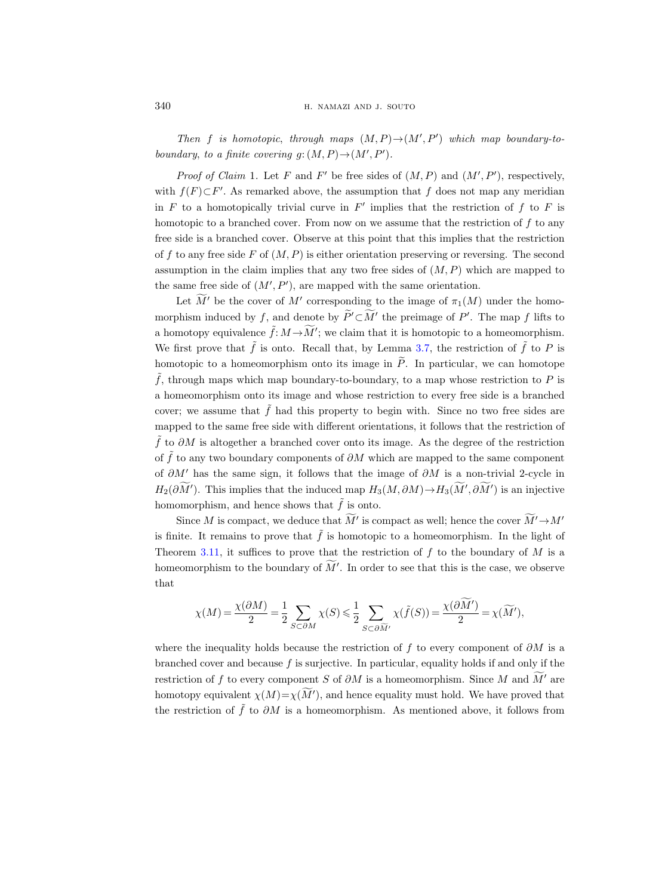Then f is homotopic, through maps  $(M, P) \rightarrow (M', P')$  which map boundary-toboundary, to a finite covering  $g: (M, P) {\rightarrow} (M', P').$ 

*Proof of Claim* 1. Let F and F' be free sides of  $(M, P)$  and  $(M', P')$ , respectively, with  $f(F) \subset F'$ . As remarked above, the assumption that f does not map any meridian in F to a homotopically trivial curve in  $F'$  implies that the restriction of f to F is homotopic to a branched cover. From now on we assume that the restriction of  $f$  to any free side is a branched cover. Observe at this point that this implies that the restriction of f to any free side F of  $(M, P)$  is either orientation preserving or reversing. The second assumption in the claim implies that any two free sides of  $(M, P)$  which are mapped to the same free side of  $(M', P')$ , are mapped with the same orientation.

Let  $\overline{M}$  be the cover of  $M'$  corresponding to the image of  $\pi_1(M)$  under the homomorphism induced by f, and denote by  $\tilde{P}' \subset M'$  the preimage of P'. The map f lifts to a homotopy equivalence  $\tilde{f}: M \to \widetilde{M}'$ ; we claim that it is homotopic to a homeomorphism. We first prove that  $\tilde{f}$  is onto. Recall that, by Lemma [3.7,](#page-14-2) the restriction of  $\tilde{f}$  to P is homotopic to a homeomorphism onto its image in  $\tilde{P}$ . In particular, we can homotope  $\tilde{f}$ , through maps which map boundary-to-boundary, to a map whose restriction to P is a homeomorphism onto its image and whose restriction to every free side is a branched cover; we assume that  $\tilde{f}$  had this property to begin with. Since no two free sides are mapped to the same free side with different orientations, it follows that the restriction of f to  $\partial M$  is altogether a branched cover onto its image. As the degree of the restriction of  $\tilde{f}$  to any two boundary components of  $\partial M$  which are mapped to the same component of  $\partial M'$  has the same sign, it follows that the image of  $\partial M$  is a non-trivial 2-cycle in  $H_2(\partial M')$ . This implies that the induced map  $H_3(M, \partial M) \to H_3(M', \partial M')$  is an injective homomorphism, and hence shows that  $\tilde{f}$  is onto.

Since M is compact, we deduce that  $\overline{M'}$  is compact as well; hence the cover  $\overline{M'} \to M'$ is finite. It remains to prove that  $\tilde{f}$  is homotopic to a homeomorphism. In the light of Theorem [3.11,](#page-15-1) it suffices to prove that the restriction of  $f$  to the boundary of  $M$  is a homeomorphism to the boundary of  $\tilde{M}'$ . In order to see that this is the case, we observe that

$$
\chi(M) = \frac{\chi(\partial M)}{2} = \frac{1}{2} \sum_{S \subset \partial M} \chi(S) \le \frac{1}{2} \sum_{S \subset \partial \widetilde{M}'} \chi(\widetilde{f}(S)) = \frac{\chi(\partial \widetilde{M}')}{2} = \chi(\widetilde{M}'),
$$

where the inequality holds because the restriction of f to every component of  $\partial M$  is a branched cover and because  $f$  is surjective. In particular, equality holds if and only if the restriction of f to every component S of  $\partial M$  is a homeomorphism. Since M and  $\overline{M}'$  are homotopy equivalent  $\chi(M) = \chi(M')$ , and hence equality must hold. We have proved that the restriction of  $\tilde{f}$  to  $\partial M$  is a homeomorphism. As mentioned above, it follows from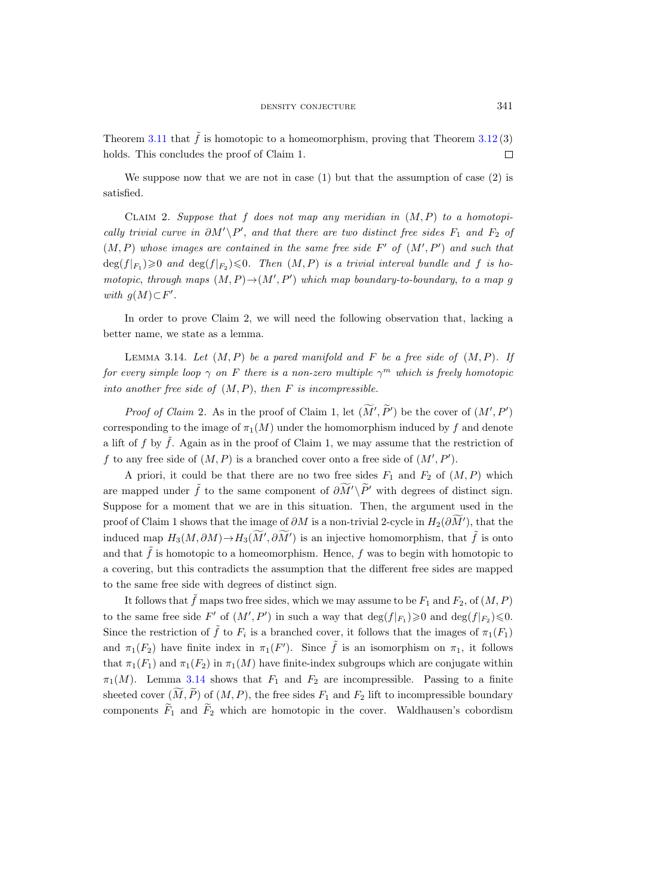Theorem [3.11](#page-15-1) that  $\tilde{f}$  is homotopic to a homeomorphism, proving that Theorem [3.12](#page-15-0) (3) holds. This concludes the proof of Claim 1.  $\Box$ 

We suppose now that we are not in case  $(1)$  but that the assumption of case  $(2)$  is satisfied.

CLAIM 2. Suppose that  $f$  does not map any meridian in  $(M, P)$  to a homotopically trivial curve in  $\partial M' \backslash P'$ , and that there are two distinct free sides  $F_1$  and  $F_2$  of  $(M, P)$  whose images are contained in the same free side F' of  $(M', P')$  and such that  $deg(f|_{F_1}) \geq 0$  and  $deg(f|_{F_2}) \leq 0$ . Then  $(M, P)$  is a trivial interval bundle and f is homotopic, through maps  $(M, P) \rightarrow (M', P')$  which map boundary-to-boundary, to a map g with  $g(M) \subset F'$ .

In order to prove Claim 2, we will need the following observation that, lacking a better name, we state as a lemma.

<span id="page-18-0"></span>LEMMA 3.14. Let  $(M, P)$  be a pared manifold and F be a free side of  $(M, P)$ . If for every simple loop  $\gamma$  on F there is a non-zero multiple  $\gamma^m$  which is freely homotopic into another free side of  $(M, P)$ , then F is incompressible.

*Proof of Claim 2.* As in the proof of Claim 1, let  $(M', P')$  be the cover of  $(M', P')$ corresponding to the image of  $\pi_1(M)$  under the homomorphism induced by f and denote a lift of f by  $f$ . Again as in the proof of Claim 1, we may assume that the restriction of f to any free side of  $(M, P)$  is a branched cover onto a free side of  $(M', P')$ .

A priori, it could be that there are no two free sides  $F_1$  and  $F_2$  of  $(M, P)$  which are mapped under  $\tilde{f}$  to the same component of  $\partial \widetilde{M}' \setminus \widetilde{P}'$  with degrees of distinct sign. Suppose for a moment that we are in this situation. Then, the argument used in the proof of Claim 1 shows that the image of  $\partial M$  is a non-trivial 2-cycle in  $H_2(\partial M')$ , that the induced map  $H_3(M, \partial M) \to H_3(\widetilde{M}', \partial \widetilde{M}')$  is an injective homomorphism, that  $\tilde{f}$  is onto and that  $\tilde{f}$  is homotopic to a homeomorphism. Hence, f was to begin with homotopic to a covering, but this contradicts the assumption that the different free sides are mapped to the same free side with degrees of distinct sign.

It follows that  $\tilde{f}$  maps two free sides, which we may assume to be  $F_1$  and  $F_2$ , of  $(M, P)$ to the same free side F' of  $(M', P')$  in such a way that  $\deg(f|_{F_1}) \geq 0$  and  $\deg(f|_{F_2}) \leq 0$ . Since the restriction of  $\tilde{f}$  to  $F_i$  is a branched cover, it follows that the images of  $\pi_1(F_1)$ and  $\pi_1(F_2)$  have finite index in  $\pi_1(F')$ . Since  $\tilde{f}$  is an isomorphism on  $\pi_1$ , it follows that  $\pi_1(F_1)$  and  $\pi_1(F_2)$  in  $\pi_1(M)$  have finite-index subgroups which are conjugate within  $\pi_1(M)$ . Lemma [3.14](#page-18-0) shows that  $F_1$  and  $F_2$  are incompressible. Passing to a finite sheeted cover  $(M, P)$  of  $(M, P)$ , the free sides  $F_1$  and  $F_2$  lift to incompressible boundary components  $\widetilde{F}_1$  and  $\widetilde{F}_2$  which are homotopic in the cover. Waldhausen's cobordism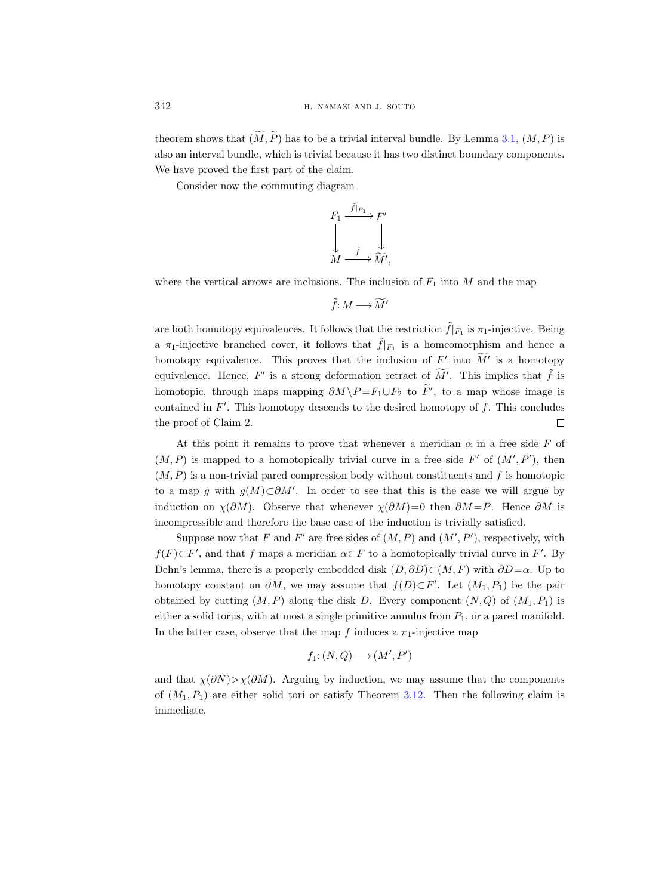theorem shows that  $(\widetilde{M}, \widetilde{P})$  has to be a trivial interval bundle. By Lemma [3.1,](#page-9-0)  $(M, P)$  is also an interval bundle, which is trivial because it has two distinct boundary components. We have proved the first part of the claim.

Consider now the commuting diagram

$$
F_1 \xrightarrow{\tilde{f}|_{F_1}} F'
$$
  
\n
$$
\downarrow \qquad \qquad \downarrow
$$
  
\n
$$
M \xrightarrow{\tilde{f}} \widetilde{M'}
$$

where the vertical arrows are inclusions. The inclusion of  $F_1$  into M and the map

$$
\tilde{f}:M\longrightarrow \widetilde{M}'
$$

are both homotopy equivalences. It follows that the restriction  $\tilde{f}|_{F_1}$  is  $\pi_1$ -injective. Being a  $\pi_1$ -injective branched cover, it follows that  $\tilde{f}|_{F_1}$  is a homeomorphism and hence a homotopy equivalence. This proves that the inclusion of  $\frac{F'}{S}$  into  $\frac{M'}{S}$  is a homotopy equivalence. Hence,  $F'$  is a strong deformation retract of  $\widetilde{M}'$ . This implies that  $\widetilde{f}$  is homotopic, through maps mapping  $\partial M \backslash P = F_1 \cup F_2$  to  $\overline{F}'$ , to a map whose image is contained in  $F'$ . This homotopy descends to the desired homotopy of  $f$ . This concludes the proof of Claim 2.  $\Box$ 

At this point it remains to prove that whenever a meridian  $\alpha$  in a free side F of  $(M, P)$  is mapped to a homotopically trivial curve in a free side F' of  $(M', P')$ , then  $(M, P)$  is a non-trivial pared compression body without constituents and f is homotopic to a map g with  $g(M) \subset \partial M'$ . In order to see that this is the case we will argue by induction on  $\chi(\partial M)$ . Observe that whenever  $\chi(\partial M)=0$  then  $\partial M=P$ . Hence  $\partial M$  is incompressible and therefore the base case of the induction is trivially satisfied.

Suppose now that F and F' are free sides of  $(M, P)$  and  $(M', P')$ , respectively, with  $f(F) \subset F'$ , and that f maps a meridian  $\alpha \subset F$  to a homotopically trivial curve in F'. By Dehn's lemma, there is a properly embedded disk  $(D, \partial D) \subset (M, F)$  with  $\partial D = \alpha$ . Up to homotopy constant on  $\partial M$ , we may assume that  $f(D) \subset F'$ . Let  $(M_1, P_1)$  be the pair obtained by cutting  $(M, P)$  along the disk D. Every component  $(N, Q)$  of  $(M_1, P_1)$  is either a solid torus, with at most a single primitive annulus from  $P_1$ , or a pared manifold. In the latter case, observe that the map f induces a  $\pi_1$ -injective map

$$
f_1\colon (N,Q)\longrightarrow (M',P')
$$

and that  $\chi(\partial N) > \chi(\partial M)$ . Arguing by induction, we may assume that the components of  $(M_1, P_1)$  are either solid tori or satisfy Theorem [3.12.](#page-15-0) Then the following claim is immediate.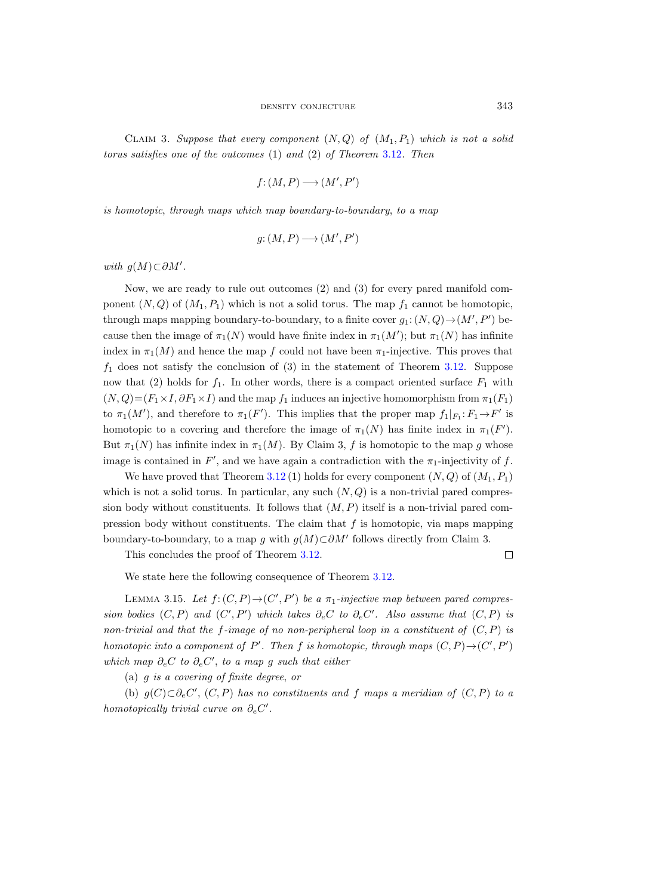CLAIM 3. Suppose that every component  $(N,Q)$  of  $(M_1, P_1)$  which is not a solid torus satisfies one of the outcomes (1) and (2) of Theorem [3.12](#page-15-0). Then

$$
f\colon (M,P)\longrightarrow (M',P')
$$

is homotopic, through maps which map boundary-to-boundary, to a map

$$
g: (M, P) \longrightarrow (M', P')
$$

with  $g(M) \subset \partial M'$ .

Now, we are ready to rule out outcomes (2) and (3) for every pared manifold component  $(N, Q)$  of  $(M_1, P_1)$  which is not a solid torus. The map  $f_1$  cannot be homotopic, through maps mapping boundary-to-boundary, to a finite cover  $g_1: (N, Q) \rightarrow (M', P')$  because then the image of  $\pi_1(N)$  would have finite index in  $\pi_1(M')$ ; but  $\pi_1(N)$  has infinite index in  $\pi_1(M)$  and hence the map f could not have been  $\pi_1$ -injective. This proves that  $f_1$  does not satisfy the conclusion of (3) in the statement of Theorem [3.12.](#page-15-0) Suppose now that (2) holds for  $f_1$ . In other words, there is a compact oriented surface  $F_1$  with  $(N, Q) = (F_1 \times I, \partial F_1 \times I)$  and the map  $f_1$  induces an injective homomorphism from  $\pi_1(F_1)$ to  $\pi_1(M')$ , and therefore to  $\pi_1(F')$ . This implies that the proper map  $f_1|_{F_1}: F_1 \to F'$  is homotopic to a covering and therefore the image of  $\pi_1(N)$  has finite index in  $\pi_1(F')$ . But  $\pi_1(N)$  has infinite index in  $\pi_1(M)$ . By Claim 3, f is homotopic to the map g whose image is contained in  $F'$ , and we have again a contradiction with the  $\pi_1$ -injectivity of f.

We have proved that Theorem [3.12](#page-15-0) (1) holds for every component  $(N, Q)$  of  $(M_1, P_1)$ which is not a solid torus. In particular, any such  $(N, Q)$  is a non-trivial pared compression body without constituents. It follows that  $(M, P)$  itself is a non-trivial pared compression body without constituents. The claim that  $f$  is homotopic, via maps mapping boundary-to-boundary, to a map g with  $g(M) \subset \partial M'$  follows directly from Claim 3.

This concludes the proof of Theorem [3.12.](#page-15-0)

 $\Box$ 

We state here the following consequence of Theorem [3.12.](#page-15-0)

LEMMA 3.15. Let  $f: (C, P) \rightarrow (C', P')$  be a  $\pi_1$ -injective map between pared compression bodies  $(C, P)$  and  $(C', P')$  which takes  $\partial_e C$  to  $\partial_e C'$ . Also assume that  $(C, P)$  is non-trivial and that the f-image of no non-peripheral loop in a constituent of  $(C, P)$  is homotopic into a component of  $P'$ . Then f is homotopic, through maps  $(C, P) \rightarrow (C', P')$ which map  $\partial_e C$  to  $\partial_e C'$ , to a map g such that either

(a) g is a covering of finite degree, or

(b)  $g(C) \subset \partial_e C'$ ,  $(C, P)$  has no constituents and f maps a meridian of  $(C, P)$  to a homotopically trivial curve on  $\partial_e C'$ .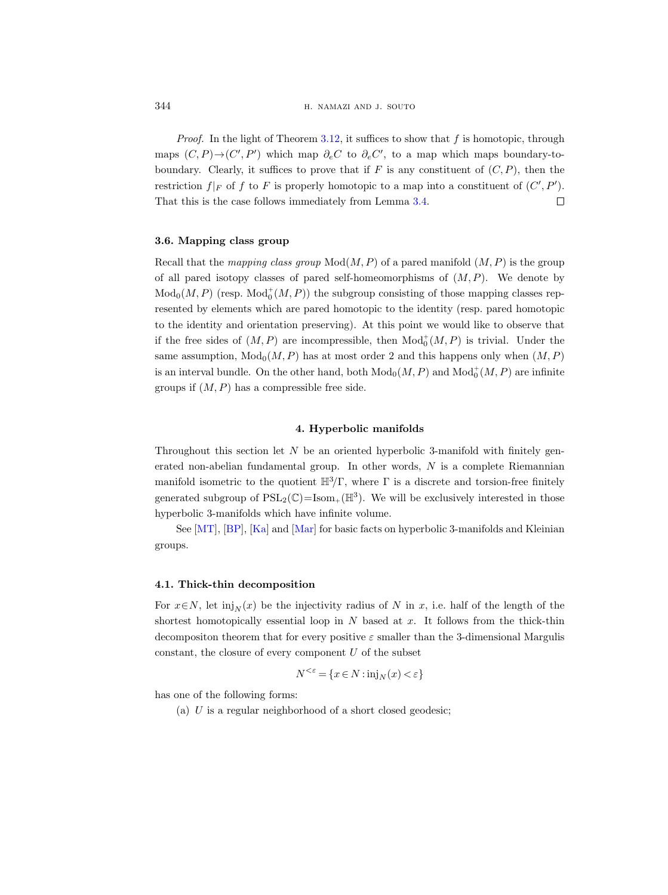*Proof.* In the light of Theorem [3.12,](#page-15-0) it suffices to show that  $f$  is homotopic, through maps  $(C, P) \rightarrow (C', P')$  which map  $\partial_e C$  to  $\partial_e C'$ , to a map which maps boundary-toboundary. Clearly, it suffices to prove that if F is any constituent of  $(C, P)$ , then the restriction  $f|_F$  of f to F is properly homotopic to a map into a constituent of  $(C', P')$ . That this is the case follows immediately from Lemma [3.4.](#page-11-0)  $\Box$ 

# 3.6. Mapping class group

Recall that the mapping class group  $Mod(M, P)$  of a pared manifold  $(M, P)$  is the group of all pared isotopy classes of pared self-homeomorphisms of  $(M, P)$ . We denote by  $\text{Mod}_0(M, P)$  (resp.  $\text{Mod}_0^+(M, P)$ ) the subgroup consisting of those mapping classes represented by elements which are pared homotopic to the identity (resp. pared homotopic to the identity and orientation preserving). At this point we would like to observe that if the free sides of  $(M, P)$  are incompressible, then  $Mod_0^+(M, P)$  is trivial. Under the same assumption,  $Mod_0(M, P)$  has at most order 2 and this happens only when  $(M, P)$ is an interval bundle. On the other hand, both  $\mathrm{Mod}_0(M, P)$  and  $\mathrm{Mod}_0^+(M, P)$  are infinite groups if  $(M, P)$  has a compressible free side.

# 4. Hyperbolic manifolds

<span id="page-21-0"></span>Throughout this section let  $N$  be an oriented hyperbolic 3-manifold with finitely generated non-abelian fundamental group. In other words, N is a complete Riemannian manifold isometric to the quotient  $\mathbb{H}^3/\Gamma$ , where  $\Gamma$  is a discrete and torsion-free finitely generated subgroup of  $PSL_2(\mathbb{C}) = Isom_+(\mathbb{H}^3)$ . We will be exclusively interested in those hyperbolic 3-manifolds which have infinite volume.

See [\[MT\]](#page-71-11), [\[BP\]](#page-69-9), [\[Ka\]](#page-70-2) and [\[Mar\]](#page-71-12) for basic facts on hyperbolic 3-manifolds and Kleinian groups.

# 4.1. Thick-thin decomposition

For  $x \in N$ , let  $\text{inj}_N(x)$  be the injectivity radius of N in x, i.e. half of the length of the shortest homotopically essential loop in  $N$  based at  $x$ . It follows from the thick-thin decompositon theorem that for every positive  $\varepsilon$  smaller than the 3-dimensional Margulis constant, the closure of every component  $U$  of the subset

$$
N^{<\varepsilon}=\{x\in N:\mathrm{inj}_N(x)<\varepsilon\}
$$

has one of the following forms:

(a)  $U$  is a regular neighborhood of a short closed geodesic;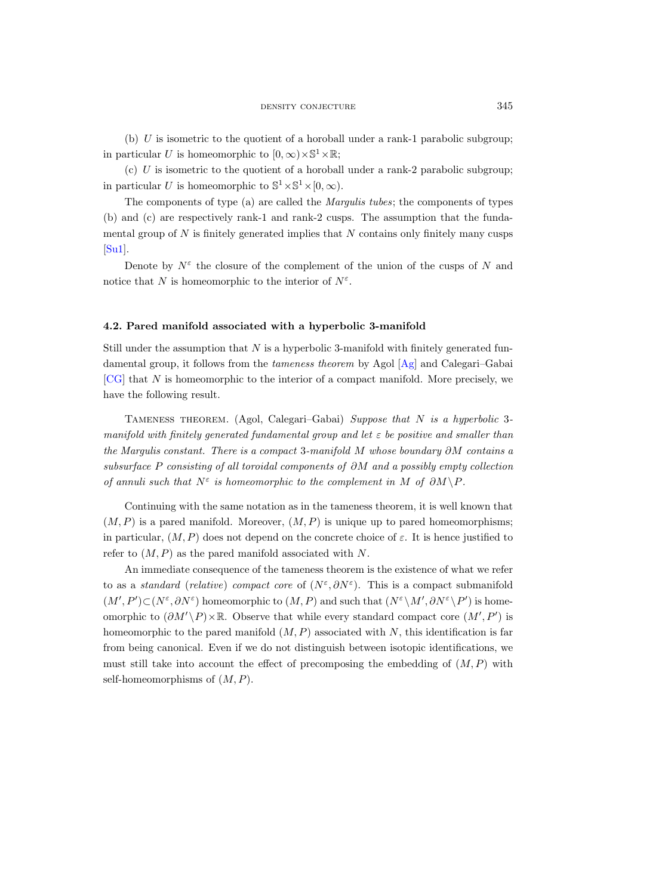(b)  $U$  is isometric to the quotient of a horoball under a rank-1 parabolic subgroup; in particular U is homeomorphic to  $[0, \infty) \times \mathbb{S}^1 \times \mathbb{R}$ ;

(c)  $U$  is isometric to the quotient of a horoball under a rank-2 parabolic subgroup; in particular U is homeomorphic to  $\mathbb{S}^1 \times \mathbb{S}^1 \times [0, \infty)$ .

The components of type (a) are called the Margulis tubes; the components of types (b) and (c) are respectively rank-1 and rank-2 cusps. The assumption that the fundamental group of  $N$  is finitely generated implies that  $N$  contains only finitely many cusps  $[S<sub>u1</sub>]$ .

Denote by  $N^{\varepsilon}$  the closure of the complement of the union of the cusps of N and notice that N is homeomorphic to the interior of  $N^{\varepsilon}$ .

# 4.2. Pared manifold associated with a hyperbolic 3-manifold

Still under the assumption that  $N$  is a hyperbolic 3-manifold with finitely generated fundamental group, it follows from the tameness theorem by Agol [\[Ag\]](#page-69-2) and Calegari–Gabai  $[CG]$  that N is homeomorphic to the interior of a compact manifold. More precisely, we have the following result.

Tameness theorem. (Agol, Calegari–Gabai) Suppose that N is a hyperbolic 3 manifold with finitely generated fundamental group and let  $\varepsilon$  be positive and smaller than the Margulis constant. There is a compact 3-manifold M whose boundary ∂M contains a subsurface P consisting of all toroidal components of  $\partial M$  and a possibly empty collection of annuli such that  $N^{\varepsilon}$  is homeomorphic to the complement in M of  $\partial M \backslash P$ .

Continuing with the same notation as in the tameness theorem, it is well known that  $(M, P)$  is a pared manifold. Moreover,  $(M, P)$  is unique up to pared homeomorphisms; in particular,  $(M, P)$  does not depend on the concrete choice of  $\varepsilon$ . It is hence justified to refer to  $(M, P)$  as the pared manifold associated with N.

An immediate consequence of the tameness theorem is the existence of what we refer to as a *standard (relative) compact core* of  $(N^{\varepsilon}, \partial N^{\varepsilon})$ . This is a compact submanifold  $(M', P') \subset (N^{\varepsilon}, \partial N^{\varepsilon})$  homeomorphic to  $(M, P)$  and such that  $(N^{\varepsilon} \setminus M', \partial N^{\varepsilon} \setminus P')$  is homeomorphic to  $(\partial M' \backslash P) \times \mathbb{R}$ . Observe that while every standard compact core  $(M', P')$  is homeomorphic to the pared manifold  $(M, P)$  associated with N, this identification is far from being canonical. Even if we do not distinguish between isotopic identifications, we must still take into account the effect of precomposing the embedding of  $(M, P)$  with self-homeomorphisms of  $(M, P)$ .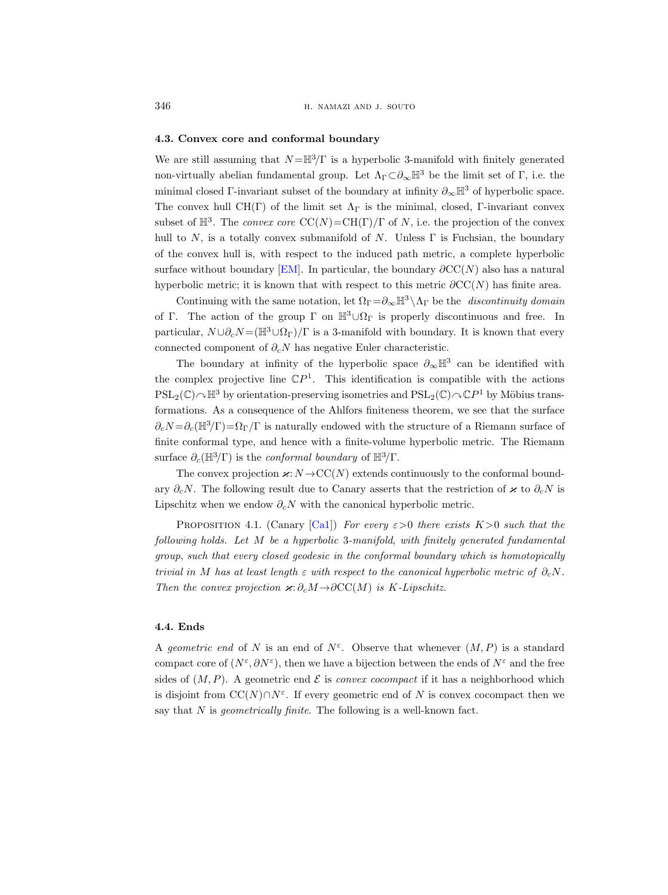#### 4.3. Convex core and conformal boundary

We are still assuming that  $N = \mathbb{H}^3/\Gamma$  is a hyperbolic 3-manifold with finitely generated non-virtually abelian fundamental group. Let  $\Lambda_{\Gamma} \subset \partial_{\infty} \mathbb{H}^3$  be the limit set of Γ, i.e. the minimal closed Γ-invariant subset of the boundary at infinity  $\partial_{\infty} \mathbb{H}^3$  of hyperbolic space. The convex hull CH(Γ) of the limit set  $\Lambda_{\Gamma}$  is the minimal, closed, Γ-invariant convex subset of  $\mathbb{H}^3$ . The *convex core*  $\mathrm{CC}(N) = \mathrm{CH}(\Gamma)/\Gamma$  of N, i.e. the projection of the convex hull to N, is a totally convex submanifold of N. Unless  $\Gamma$  is Fuchsian, the boundary of the convex hull is, with respect to the induced path metric, a complete hyperbolic surface without boundary [\[EM\]](#page-70-14). In particular, the boundary  $\partial CC(N)$  also has a natural hyperbolic metric; it is known that with respect to this metric  $\partial CC(N)$  has finite area.

Continuing with the same notation, let  $\Omega_{\Gamma} = \partial_{\infty} \mathbb{H}^3 \setminus \Lambda_{\Gamma}$  be the *discontinuity domain* of Γ. The action of the group Γ on  $\mathbb{H}^3 \cup \Omega_{\Gamma}$  is properly discontinuous and free. In particular,  $N \cup \partial_c N = (\mathbb{H}^3 \cup \Omega_\Gamma)/\Gamma$  is a 3-manifold with boundary. It is known that every connected component of  $\partial_c N$  has negative Euler characteristic.

The boundary at infinity of the hyperbolic space  $\partial_{\infty} \mathbb{H}^3$  can be identified with the complex projective line  $\mathbb{C}P^1$ . This identification is compatible with the actions  $PSL_2(\mathbb{C}) \cap \mathbb{H}^3$  by orientation-preserving isometries and  $PSL_2(\mathbb{C}) \cap \mathbb{C}P^1$  by Möbius transformations. As a consequence of the Ahlfors finiteness theorem, we see that the surface  $\partial_c N = \partial_c (\mathbb{H}^3/\Gamma) = \Omega_\Gamma/\Gamma$  is naturally endowed with the structure of a Riemann surface of finite conformal type, and hence with a finite-volume hyperbolic metric. The Riemann surface  $\partial_c(\mathbb{H}^3/\Gamma)$  is the *conformal boundary* of  $\mathbb{H}^3/\Gamma$ .

The convex projection  $\mathcal{X}: N \to CC(N)$  extends continuously to the conformal boundary  $\partial_c N$ . The following result due to Canary asserts that the restriction of  $\star$  to  $\partial_c N$  is Lipschitz when we endow  $\partial_c N$  with the canonical hyperbolic metric.

<span id="page-23-0"></span>PROPOSITION 4.1. (Canary [\[Ca1\]](#page-70-15)) For every  $\varepsilon > 0$  there exists  $K > 0$  such that the following holds. Let M be a hyperbolic 3-manifold, with finitely generated fundamental group, such that every closed geodesic in the conformal boundary which is homotopically trivial in M has at least length  $\varepsilon$  with respect to the canonical hyperbolic metric of  $\partial_c N$ . Then the convex projection  $\boldsymbol{\varkappa}: \partial_c M \rightarrow \partial CC(M)$  is K-Lipschitz.

# 4.4. Ends

A geometric end of N is an end of  $N^{\varepsilon}$ . Observe that whenever  $(M, P)$  is a standard compact core of  $(N^{\varepsilon}, \partial N^{\varepsilon})$ , then we have a bijection between the ends of  $N^{\varepsilon}$  and the free sides of  $(M, P)$ . A geometric end  $\mathcal E$  is *convex cocompact* if it has a neighborhood which is disjoint from  $\mathrm{CC}(N) \cap N^{\varepsilon}$ . If every geometric end of N is convex cocompact then we say that  $N$  is *geometrically finite*. The following is a well-known fact.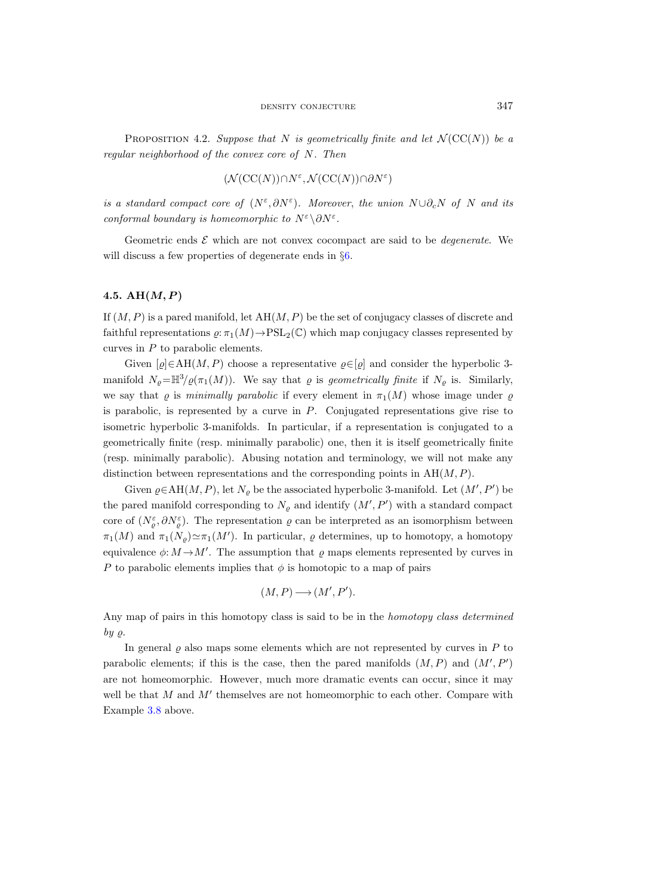PROPOSITION 4.2. Suppose that N is geometrically finite and let  $\mathcal{N}(\mathrm{CC}(N))$  be a regular neighborhood of the convex core of N. Then

$$
(\mathcal{N}(\mathrm{CC}(N)) \cap N^{\varepsilon}, \mathcal{N}(\mathrm{CC}(N)) \cap \partial N^{\varepsilon})
$$

is a standard compact core of  $(N^{\varepsilon}, \partial N^{\varepsilon})$ . Moreover, the union  $N \cup \partial_c N$  of N and its conformal boundary is homeomorphic to  $N^{\varepsilon} \setminus \partial N^{\varepsilon}$ .

Geometric ends  $\mathcal E$  which are not convex cocompact are said to be *degenerate*. We will discuss a few properties of degenerate ends in  $\S6$ .

# 4.5. AH $(M, P)$

If  $(M, P)$  is a pared manifold, let  $AH(M, P)$  be the set of conjugacy classes of discrete and faithful representations  $\varrho: \pi_1(M) \to \mathrm{PSL}_2(\mathbb{C})$  which map conjugacy classes represented by curves in P to parabolic elements.

Given  $[\rho] \in AH(M, P)$  choose a representative  $\rho \in [\rho]$  and consider the hyperbolic 3manifold  $N_{\varrho}=\mathbb{H}^{3}/\varrho(\pi_{1}(M)).$  We say that  $\varrho$  is geometrically finite if  $N_{\varrho}$  is. Similarly, we say that  $\varrho$  is minimally parabolic if every element in  $\pi_1(M)$  whose image under  $\varrho$ is parabolic, is represented by a curve in P. Conjugated representations give rise to isometric hyperbolic 3-manifolds. In particular, if a representation is conjugated to a geometrically finite (resp. minimally parabolic) one, then it is itself geometrically finite (resp. minimally parabolic). Abusing notation and terminology, we will not make any distinction between representations and the corresponding points in  $AH(M, P)$ .

Given  $\varrho \in AH(M, P)$ , let  $N_{\varrho}$  be the associated hyperbolic 3-manifold. Let  $(M', P')$  be the pared manifold corresponding to  $N_{\varrho}$  and identify  $(M', P')$  with a standard compact core of  $(N_{\varrho}^{\varepsilon},\partial N_{\varrho}^{\varepsilon})$ . The representation  $\varrho$  can be interpreted as an isomorphism between  $\pi_1(M)$  and  $\pi_1(N_{\varrho}) \simeq \pi_1(M')$ . In particular,  $\varrho$  determines, up to homotopy, a homotopy equivalence  $\phi: M \to M'$ . The assumption that  $\varrho$  maps elements represented by curves in P to parabolic elements implies that  $\phi$  is homotopic to a map of pairs

$$
(M, P) \longrightarrow (M', P').
$$

Any map of pairs in this homotopy class is said to be in the *homotopy class determined* by  $\rho$ .

In general  $\rho$  also maps some elements which are not represented by curves in  $P$  to parabolic elements; if this is the case, then the pared manifolds  $(M, P)$  and  $(M', P')$ are not homeomorphic. However, much more dramatic events can occur, since it may well be that  $M$  and  $M'$  themselves are not homeomorphic to each other. Compare with Example [3.8](#page-14-3) above.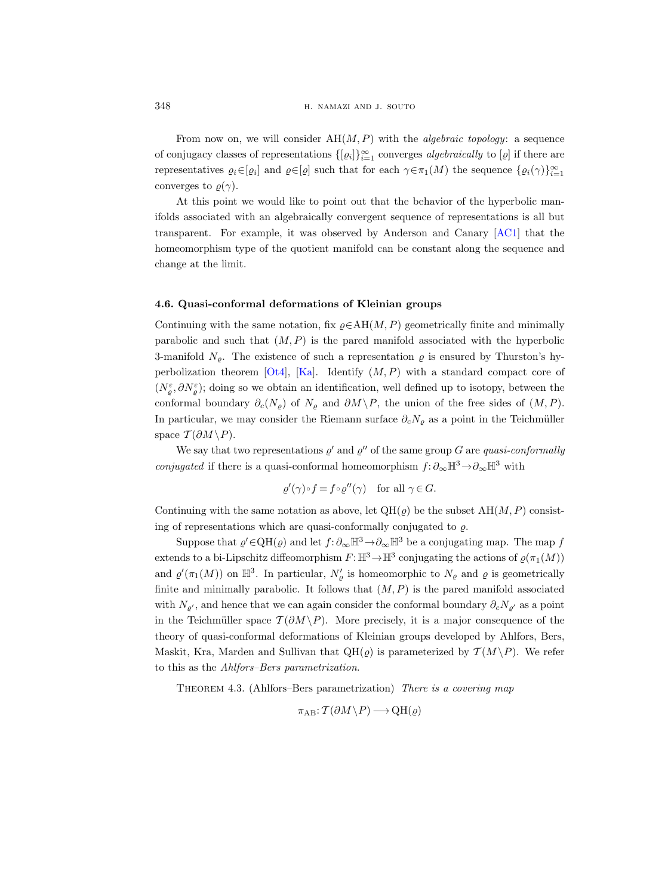348 **h.** namazi and j. souto

From now on, we will consider  $AH(M, P)$  with the *algebraic topology*: a sequence of conjugacy classes of representations  $\{[\varrho_i]\}_{i=1}^{\infty}$  converges *algebraically* to  $[\varrho]$  if there are representatives  $\varrho_i \in [\varrho_i]$  and  $\varrho \in [\varrho]$  such that for each  $\gamma \in \pi_1(M)$  the sequence  $\{\varrho_i(\gamma)\}_{i=1}^{\infty}$ converges to  $\rho(\gamma)$ .

At this point we would like to point out that the behavior of the hyperbolic manifolds associated with an algebraically convergent sequence of representations is all but transparent. For example, it was observed by Anderson and Canary [\[AC1\]](#page-69-10) that the homeomorphism type of the quotient manifold can be constant along the sequence and change at the limit.

# 4.6. Quasi-conformal deformations of Kleinian groups

Continuing with the same notation, fix  $\rho \in AH(M, P)$  geometrically finite and minimally parabolic and such that  $(M, P)$  is the pared manifold associated with the hyperbolic 3-manifold  $N<sub>o</sub>$ . The existence of such a representation  $\rho$  is ensured by Thurston's hyperbolization theorem  $[0t4]$ , [\[Ka\]](#page-70-2). Identify  $(M, P)$  with a standard compact core of  $(N_{\varrho}^{\varepsilon},\partial N_{\varrho}^{\varepsilon})$ ; doing so we obtain an identification, well defined up to isotopy, between the conformal boundary  $\partial_c(N_{\varrho})$  of  $N_{\varrho}$  and  $\partial M \backslash P$ , the union of the free sides of  $(M, P)$ . In particular, we may consider the Riemann surface  $\partial_c N_\rho$  as a point in the Teichmüller space  $\mathcal{T}(\partial M \backslash P)$ .

We say that two representations  $\varrho'$  and  $\varrho''$  of the same group G are quasi-conformally conjugated if there is a quasi-conformal homeomorphism  $f: \partial_{\infty} \mathbb{H}^3 \to \partial_{\infty} \mathbb{H}^3$  with

$$
\varrho'(\gamma) \circ f = f \circ \varrho''(\gamma) \quad \text{for all } \gamma \in G.
$$

Continuing with the same notation as above, let  $QH(\rho)$  be the subset  $AH(M, P)$  consisting of representations which are quasi-conformally conjugated to  $\rho$ .

Suppose that  $\varrho' \in QH(\varrho)$  and let  $f: \partial_\infty \mathbb{H}^3 \to \partial_\infty \mathbb{H}^3$  be a conjugating map. The map  $f$ extends to a bi-Lipschitz diffeomorphism  $F: \mathbb{H}^3 \to \mathbb{H}^3$  conjugating the actions of  $\varrho(\pi_1(M))$ and  $\varrho'(\pi_1(M))$  on  $\mathbb{H}^3$ . In particular,  $N'_\varrho$  is homeomorphic to  $N_\varrho$  and  $\varrho$  is geometrically finite and minimally parabolic. It follows that  $(M, P)$  is the pared manifold associated with  $N_{\rho'}$ , and hence that we can again consider the conformal boundary  $\partial_c N_{\rho'}$  as a point in the Teichmüller space  $T(\partial M \backslash P)$ . More precisely, it is a major consequence of the theory of quasi-conformal deformations of Kleinian groups developed by Ahlfors, Bers, Maskit, Kra, Marden and Sullivan that  $QH(\rho)$  is parameterized by  $T(M \backslash P)$ . We refer to this as the Ahlfors–Bers parametrization.

<span id="page-25-0"></span>THEOREM 4.3. (Ahlfors–Bers parametrization) There is a covering map

$$
\pi_{AB} \colon \mathcal{T}(\partial M \setminus P) \longrightarrow \mathrm{QH}(\varrho)
$$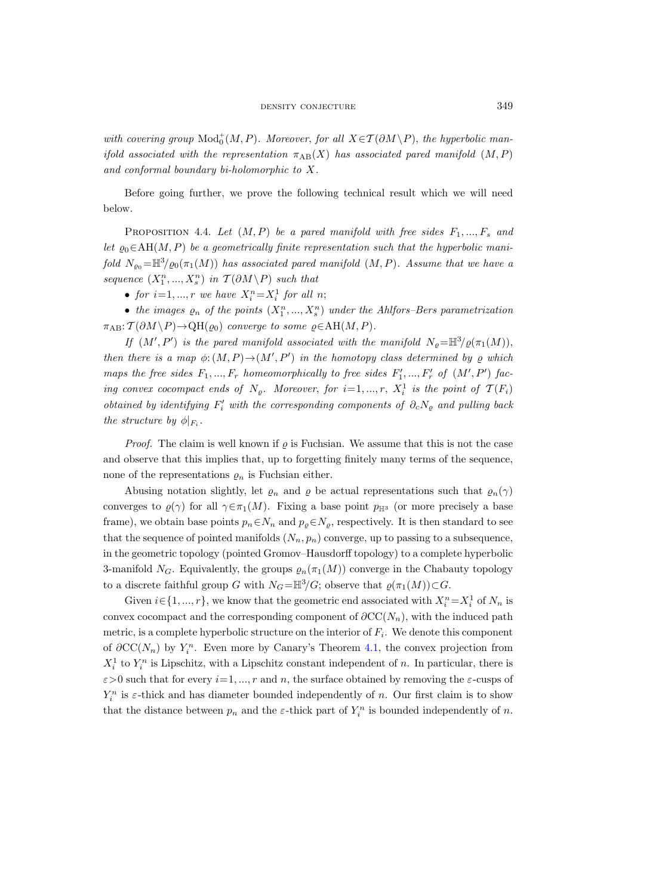with covering group  $\text{Mod}^+_0(M, P)$ . Moreover, for all  $X \in \mathcal{T}(\partial M \setminus P)$ , the hyperbolic manifold associated with the representation  $\pi_{AB}(X)$  has associated pared manifold  $(M, P)$ and conformal boundary bi-holomorphic to X.

Before going further, we prove the following technical result which we will need below.

PROPOSITION 4.4. Let  $(M, P)$  be a pared manifold with free sides  $F_1, ..., F_s$  and let  $\varrho_0 \in \mathrm{AH}(M, P)$  be a geometrically finite representation such that the hyperbolic manifold  $N_{\varrho_0}=\mathbb{H}^3/\varrho_0(\pi_1(M))$  has associated pared manifold  $(M, P)$ . Assume that we have a sequence  $(X_1^n, ..., X_s^n)$  in  $\mathcal{T}(\partial M \backslash P)$  such that

• for  $i=1,...,r$  we have  $X_i^n = X_i^1$  for all n;

• the images  $\varrho_n$  of the points  $(X_1^n, ..., X_s^n)$  under the Ahlfors-Bers parametrization  $\pi_{AB} : \mathcal{T}(\partial M \setminus P) \to \mathrm{QH}(\varrho_0)$  converge to some  $\varrho \in AH(M, P)$ .

If  $(M', P')$  is the pared manifold associated with the manifold  $N_{\varrho} = \mathbb{H}^3/\varrho(\pi_1(M)),$ then there is a map  $\phi: (M, P) \to (M', P')$  in the homotopy class determined by  $\rho$  which maps the free sides  $F_1, ..., F_r$  homeomorphically to free sides  $F'_1, ..., F'_r$  of  $(M', P')$  facing convex cocompact ends of  $N_{\varrho}$ . Moreover, for  $i=1,...,r$ ,  $X_i^1$  is the point of  $\mathcal{T}(F_i)$ obtained by identifying  $F'_i$  with the corresponding components of  $\partial_c N_{\varrho}$  and pulling back the structure by  $\phi|_{F_i}$ .

*Proof.* The claim is well known if  $\rho$  is Fuchsian. We assume that this is not the case and observe that this implies that, up to forgetting finitely many terms of the sequence, none of the representations  $\varrho_n$  is Fuchsian either.

Abusing notation slightly, let  $\varrho_n$  and  $\varrho$  be actual representations such that  $\varrho_n(\gamma)$ converges to  $\varrho(\gamma)$  for all  $\gamma \in \pi_1(M)$ . Fixing a base point  $p_{\mathbb{H}^3}$  (or more precisely a base frame), we obtain base points  $p_n \in N_n$  and  $p_\rho \in N_\rho$ , respectively. It is then standard to see that the sequence of pointed manifolds  $(N_n, p_n)$  converge, up to passing to a subsequence, in the geometric topology (pointed Gromov–Hausdorff topology) to a complete hyperbolic 3-manifold  $N_G$ . Equivalently, the groups  $\varrho_n(\pi_1(M))$  converge in the Chabauty topology to a discrete faithful group G with  $N_G = \mathbb{H}^3/G$ ; observe that  $\varrho(\pi_1(M)) \subset G$ .

Given  $i \in \{1, ..., r\}$ , we know that the geometric end associated with  $X_i^n = X_i^1$  of  $N_n$  is convex cocompact and the corresponding component of  $\partial CC(N_n)$ , with the induced path metric, is a complete hyperbolic structure on the interior of  $F_i$ . We denote this component of  $\partial CC(N_n)$  by  $Y_i^n$ . Even more by Canary's Theorem [4.1,](#page-23-0) the convex projection from  $X_i^1$  to  $Y_i^n$  is Lipschitz, with a Lipschitz constant independent of n. In particular, there is  $\varepsilon > 0$  such that for every  $i=1, ..., r$  and n, the surface obtained by removing the  $\varepsilon$ -cusps of  $Y_i^n$  is  $\varepsilon$ -thick and has diameter bounded independently of n. Our first claim is to show that the distance between  $p_n$  and the  $\varepsilon$ -thick part of  $Y_i^n$  is bounded independently of n.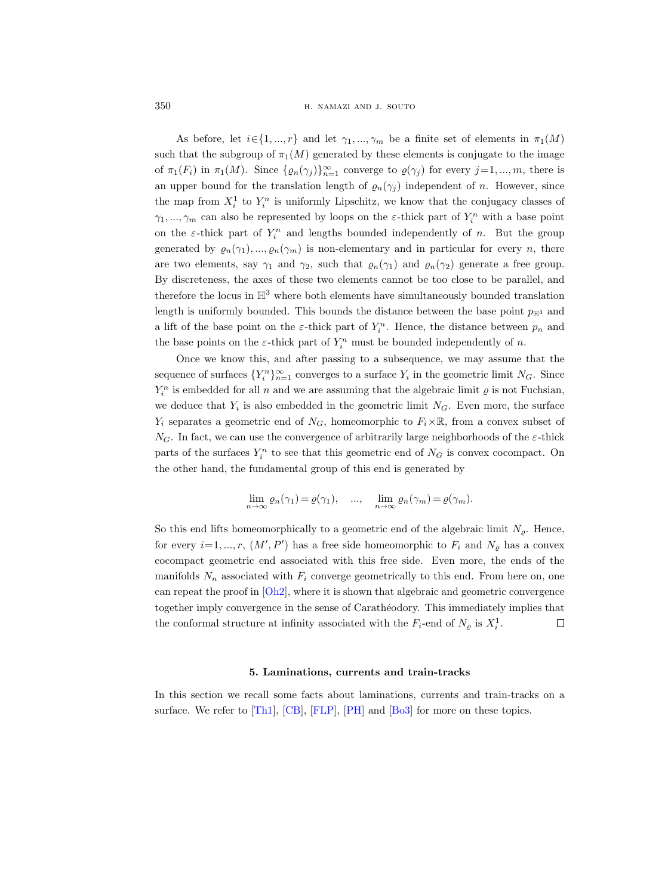350 **h.** namazi and j. souto

As before, let  $i \in \{1, ..., r\}$  and let  $\gamma_1, ..., \gamma_m$  be a finite set of elements in  $\pi_1(M)$ such that the subgroup of  $\pi_1(M)$  generated by these elements is conjugate to the image of  $\pi_1(F_i)$  in  $\pi_1(M)$ . Since  $\{ \varrho_n(\gamma_j) \}_{n=1}^{\infty}$  converge to  $\varrho(\gamma_j)$  for every  $j=1,...,m$ , there is an upper bound for the translation length of  $\varrho_n(\gamma_j)$  independent of n. However, since the map from  $X_i^1$  to  $Y_i^n$  is uniformly Lipschitz, we know that the conjugacy classes of  $\gamma_1, ..., \gamma_m$  can also be represented by loops on the  $\varepsilon$ -thick part of  $Y_i^n$  with a base point on the  $\varepsilon$ -thick part of  $Y_i^n$  and lengths bounded independently of n. But the group generated by  $\varrho_n(\gamma_1),...,\varrho_n(\gamma_m)$  is non-elementary and in particular for every n, there are two elements, say  $\gamma_1$  and  $\gamma_2$ , such that  $\varrho_n(\gamma_1)$  and  $\varrho_n(\gamma_2)$  generate a free group. By discreteness, the axes of these two elements cannot be too close to be parallel, and therefore the locus in  $\mathbb{H}^3$  where both elements have simultaneously bounded translation length is uniformly bounded. This bounds the distance between the base point  $p_{\parallel 3}$  and a lift of the base point on the  $\varepsilon$ -thick part of  $Y_i^n$ . Hence, the distance between  $p_n$  and the base points on the  $\varepsilon$ -thick part of  $Y_i^n$  must be bounded independently of n.

Once we know this, and after passing to a subsequence, we may assume that the sequence of surfaces  ${Y_i^n}_{n=1}^{\infty}$  converges to a surface  $Y_i$  in the geometric limit  $N_G$ . Since  $Y_i^n$  is embedded for all n and we are assuming that the algebraic limit  $\varrho$  is not Fuchsian, we deduce that  $Y_i$  is also embedded in the geometric limit  $N_G$ . Even more, the surface  $Y_i$  separates a geometric end of  $N_G$ , homeomorphic to  $F_i \times \mathbb{R}$ , from a convex subset of  $N<sub>G</sub>$ . In fact, we can use the convergence of arbitrarily large neighborhoods of the  $\varepsilon$ -thick parts of the surfaces  $Y_i^n$  to see that this geometric end of  $N_G$  is convex cocompact. On the other hand, the fundamental group of this end is generated by

$$
\lim_{n \to \infty} \varrho_n(\gamma_1) = \varrho(\gamma_1), \quad \dots, \quad \lim_{n \to \infty} \varrho_n(\gamma_m) = \varrho(\gamma_m).
$$

So this end lifts homeomorphically to a geometric end of the algebraic limit  $N_{\rho}$ . Hence, for every  $i=1, ..., r$ ,  $(M', P')$  has a free side homeomorphic to  $F_i$  and  $N_g$  has a convex cocompact geometric end associated with this free side. Even more, the ends of the manifolds  $N_n$  associated with  $F_i$  converge geometrically to this end. From here on, one can repeat the proof in  $[Oh2]$ , where it is shown that algebraic and geometric convergence together imply convergence in the sense of Carathéodory. This immediately implies that the conformal structure at infinity associated with the  $F_i$ -end of  $N_{\varrho}$  is  $X_i^1$ .  $\Box$ 

#### 5. Laminations, currents and train-tracks

<span id="page-27-0"></span>In this section we recall some facts about laminations, currents and train-tracks on a surface. We refer to [\[Th1\]](#page-72-1), [\[CB\]](#page-70-16), [\[FLP\]](#page-70-17), [\[PH\]](#page-71-15) and [\[Bo3\]](#page-69-11) for more on these topics.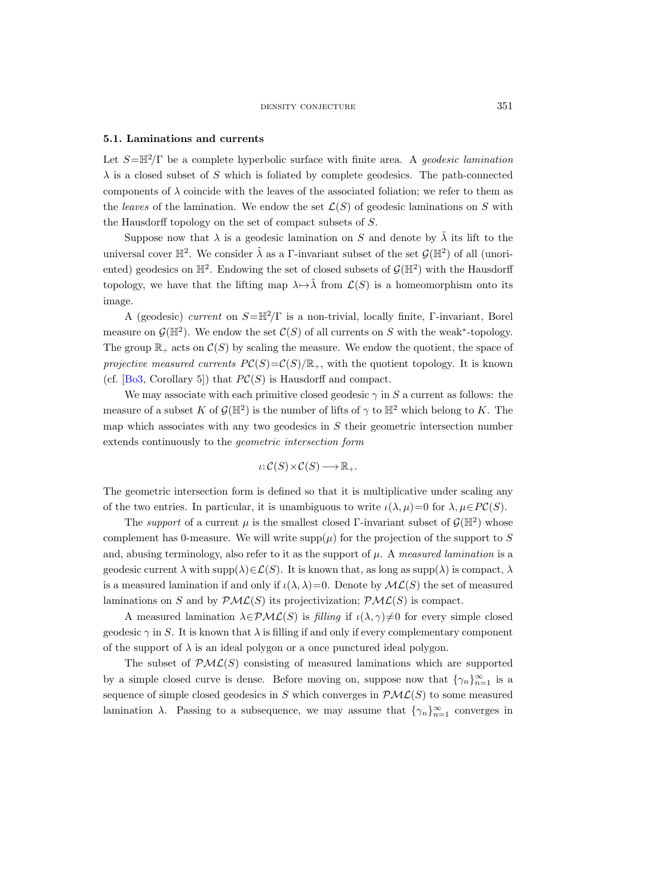# 5.1. Laminations and currents

Let  $S=\mathbb{H}^2/\Gamma$  be a complete hyperbolic surface with finite area. A geodesic lamination  $\lambda$  is a closed subset of S which is foliated by complete geodesics. The path-connected components of  $\lambda$  coincide with the leaves of the associated foliation; we refer to them as the leaves of the lamination. We endow the set  $\mathcal{L}(S)$  of geodesic laminations on S with the Hausdorff topology on the set of compact subsets of S.

Suppose now that  $\lambda$  is a geodesic lamination on S and denote by  $\tilde{\lambda}$  its lift to the universal cover  $\mathbb{H}^2$ . We consider  $\tilde{\lambda}$  as a  $\Gamma$ -invariant subset of the set  $\mathcal{G}(\mathbb{H}^2)$  of all (unoriented) geodesics on  $\mathbb{H}^2$ . Endowing the set of closed subsets of  $\mathcal{G}(\mathbb{H}^2)$  with the Hausdorff topology, we have that the lifting map  $\lambda \mapsto \tilde{\lambda}$  from  $\mathcal{L}(S)$  is a homeomorphism onto its image.

A (geodesic) current on  $S=\mathbb{H}^2/\Gamma$  is a non-trivial, locally finite, Γ-invariant, Borel measure on  $\mathcal{G}(\mathbb{H}^2)$ . We endow the set  $\mathcal{C}(S)$  of all currents on S with the weak<sup>\*</sup>-topology. The group  $\mathbb{R}_+$  acts on  $\mathcal{C}(S)$  by scaling the measure. We endow the quotient, the space of projective measured currents  $PC(S) = C(S)/\mathbb{R}_+$ , with the quotient topology. It is known (cf.  $[B<sub>0</sub>3, Corollary 5]$ ) that  $PC(S)$  is Hausdorff and compact.

We may associate with each primitive closed geodesic  $\gamma$  in S a current as follows: the measure of a subset K of  $\mathcal{G}(\mathbb{H}^2)$  is the number of lifts of  $\gamma$  to  $\mathbb{H}^2$  which belong to K. The map which associates with any two geodesics in  $S$  their geometric intersection number extends continuously to the geometric intersection form

$$
\iota\colon \mathcal{C}(S) \times \mathcal{C}(S) \longrightarrow \mathbb{R}_+.
$$

The geometric intersection form is defined so that it is multiplicative under scaling any of the two entries. In particular, it is unambiguous to write  $\iota(\lambda, \mu)=0$  for  $\lambda, \mu \in PC(S)$ .

The support of a current  $\mu$  is the smallest closed Γ-invariant subset of  $\mathcal{G}(\mathbb{H}^2)$  whose complement has 0-measure. We will write  $\text{supp}(\mu)$  for the projection of the support to S and, abusing terminology, also refer to it as the support of  $\mu$ . A measured lamination is a geodesic current  $\lambda$  with  $\text{supp}(\lambda) \in \mathcal{L}(S)$ . It is known that, as long as  $\text{supp}(\lambda)$  is compact,  $\lambda$ is a measured lamination if and only if  $\iota(\lambda, \lambda) = 0$ . Denote by  $\mathcal{ML}(S)$  the set of measured laminations on S and by  $\mathcal{PML}(S)$  its projectivization;  $\mathcal{PML}(S)$  is compact.

A measured lamination  $\lambda \in \mathcal{PML}(S)$  is filling if  $\iota(\lambda, \gamma) \neq 0$  for every simple closed geodesic  $\gamma$  in S. It is known that  $\lambda$  is filling if and only if every complementary component of the support of  $\lambda$  is an ideal polygon or a once punctured ideal polygon.

The subset of  $PML(S)$  consisting of measured laminations which are supported by a simple closed curve is dense. Before moving on, suppose now that  $\{\gamma_n\}_{n=1}^{\infty}$  is a sequence of simple closed geodesics in S which converges in  $\mathcal{PML}(S)$  to some measured lamination  $\lambda$ . Passing to a subsequence, we may assume that  $\{\gamma_n\}_{n=1}^{\infty}$  converges in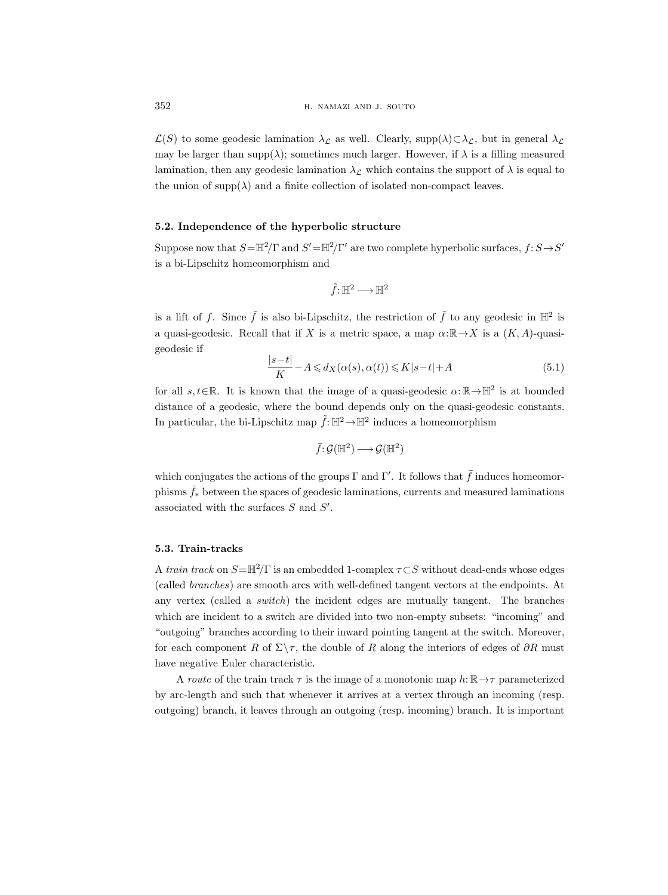$\mathcal{L}(S)$  to some geodesic lamination  $\lambda_{\mathcal{L}}$  as well. Clearly, supp $(\lambda) \subset \lambda_{\mathcal{L}}$ , but in general  $\lambda_{\mathcal{L}}$ may be larger than supp $(\lambda)$ ; sometimes much larger. However, if  $\lambda$  is a filling measured lamination, then any geodesic lamination  $\lambda_{\mathcal{L}}$  which contains the support of  $\lambda$  is equal to the union of  $\text{supp}(\lambda)$  and a finite collection of isolated non-compact leaves.

# 5.2. Independence of the hyperbolic structure

Suppose now that  $S = \mathbb{H}^2/\Gamma$  and  $S' = \mathbb{H}^2/\Gamma'$  are two complete hyperbolic surfaces,  $f: S \rightarrow S'$ is a bi-Lipschitz homeomorphism and

$$
\tilde{f} : \mathbb{H}^2 \longrightarrow \mathbb{H}^2
$$

is a lift of f. Since  $\tilde{f}$  is also bi-Lipschitz, the restriction of  $\tilde{f}$  to any geodesic in  $\mathbb{H}^2$  is a quasi-geodesic. Recall that if X is a metric space, a map  $\alpha: \mathbb{R} \to X$  is a  $(K, A)$ -quasigeodesic if

$$
\frac{|s-t|}{K} - A \leq d_X(\alpha(s), \alpha(t)) \leq K|s-t| + A \tag{5.1}
$$

for all  $s, t \in \mathbb{R}$ . It is known that the image of a quasi-geodesic  $\alpha: \mathbb{R} \to \mathbb{H}^2$  is at bounded distance of a geodesic, where the bound depends only on the quasi-geodesic constants. In particular, the bi-Lipschitz map  $\tilde{f}: \mathbb{H}^2 \to \mathbb{H}^2$  induces a homeomorphism

$$
\bar{f}: \mathcal{G}(\mathbb{H}^2) \longrightarrow \mathcal{G}(\mathbb{H}^2)
$$

which conjugates the actions of the groups  $\Gamma$  and  $\Gamma'$ . It follows that  $\bar{f}$  induces homeomorphisms  $\bar{f}_*$  between the spaces of geodesic laminations, currents and measured laminations associated with the surfaces  $S$  and  $S'$ .

# 5.3. Train-tracks

A train track on  $S=\mathbb{H}^2/\Gamma$  is an embedded 1-complex  $\tau\subset S$  without dead-ends whose edges (called branches) are smooth arcs with well-defined tangent vectors at the endpoints. At any vertex (called a switch) the incident edges are mutually tangent. The branches which are incident to a switch are divided into two non-empty subsets: "incoming" and "outgoing" branches according to their inward pointing tangent at the switch. Moreover, for each component R of  $\Sigma\setminus\tau$ , the double of R along the interiors of edges of  $\partial R$  must have negative Euler characteristic.

A route of the train track  $\tau$  is the image of a monotonic map  $h: \mathbb{R} \to \tau$  parameterized by arc-length and such that whenever it arrives at a vertex through an incoming (resp. outgoing) branch, it leaves through an outgoing (resp. incoming) branch. It is important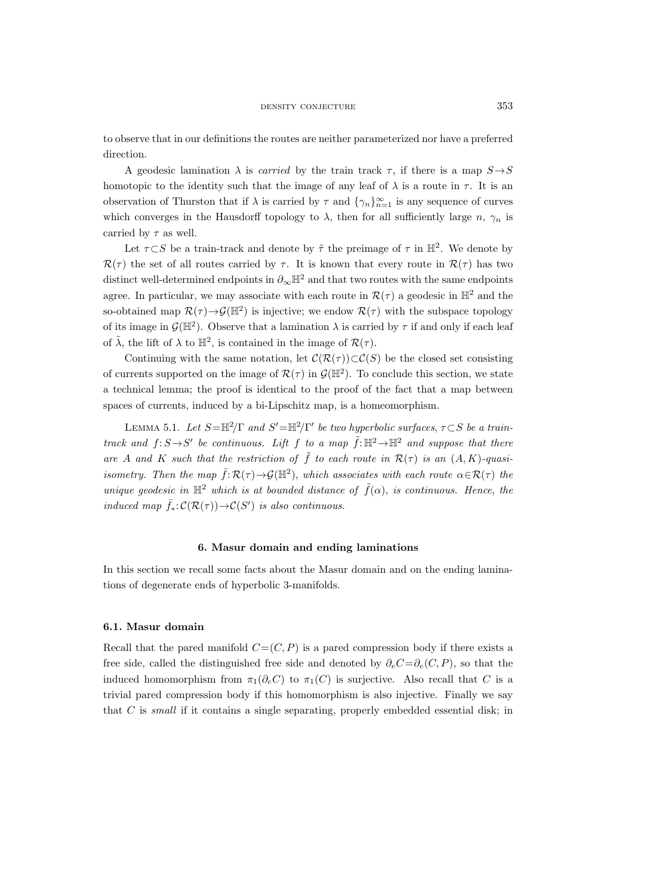to observe that in our definitions the routes are neither parameterized nor have a preferred direction.

A geodesic lamination  $\lambda$  is carried by the train track  $\tau$ , if there is a map  $S \rightarrow S$ homotopic to the identity such that the image of any leaf of  $\lambda$  is a route in  $\tau$ . It is an observation of Thurston that if  $\lambda$  is carried by  $\tau$  and  $\{\gamma_n\}_{n=1}^{\infty}$  is any sequence of curves which converges in the Hausdorff topology to  $\lambda$ , then for all sufficiently large n,  $\gamma_n$  is carried by  $\tau$  as well.

Let  $\tau \subset S$  be a train-track and denote by  $\tilde{\tau}$  the preimage of  $\tau$  in  $\mathbb{H}^2$ . We denote by  $\mathcal{R}(\tau)$  the set of all routes carried by  $\tau$ . It is known that every route in  $\mathcal{R}(\tau)$  has two distinct well-determined endpoints in  $\partial_{\infty} \mathbb{H}^2$  and that two routes with the same endpoints agree. In particular, we may associate with each route in  $\mathcal{R}(\tau)$  a geodesic in  $\mathbb{H}^2$  and the so-obtained map  $\mathcal{R}(\tau) \to \mathcal{G}(\mathbb{H}^2)$  is injective; we endow  $\mathcal{R}(\tau)$  with the subspace topology of its image in  $\mathcal{G}(\mathbb{H}^2)$ . Observe that a lamination  $\lambda$  is carried by  $\tau$  if and only if each leaf of  $\tilde{\lambda}$ , the lift of  $\lambda$  to  $\mathbb{H}^2$ , is contained in the image of  $\mathcal{R}(\tau)$ .

Continuing with the same notation, let  $\mathcal{C}(\mathcal{R}(\tau)) \subset \mathcal{C}(S)$  be the closed set consisting of currents supported on the image of  $\mathcal{R}(\tau)$  in  $\mathcal{G}(\mathbb{H}^2)$ . To conclude this section, we state a technical lemma; the proof is identical to the proof of the fact that a map between spaces of currents, induced by a bi-Lipschitz map, is a homeomorphism.

LEMMA 5.1. Let  $S = \mathbb{H}^2/\Gamma$  and  $S' = \mathbb{H}^2/\Gamma'$  be two hyperbolic surfaces,  $\tau \subset S$  be a traintrack and  $f: S \rightarrow S'$  be continuous. Lift f to a map  $\tilde{f}: \mathbb{H}^2 \rightarrow \mathbb{H}^2$  and suppose that there are A and K such that the restriction of  $\tilde{f}$  to each route in  $\mathcal{R}(\tau)$  is an  $(A, K)$ -quasiisometry. Then the map  $\bar{f}: \mathcal{R}(\tau) \to \mathcal{G}(\mathbb{H}^2)$ , which associates with each route  $\alpha \in \mathcal{R}(\tau)$  the unique geodesic in  $\mathbb{H}^2$  which is at bounded distance of  $\tilde{f}(\alpha)$ , is continuous. Hence, the induced map  $\bar{f}_*$ :  $C(\mathcal{R}(\tau)) \to C(S')$  is also continuous.

#### 6. Masur domain and ending laminations

<span id="page-30-0"></span>In this section we recall some facts about the Masur domain and on the ending laminations of degenerate ends of hyperbolic 3-manifolds.

# 6.1. Masur domain

Recall that the pared manifold  $C=(C, P)$  is a pared compression body if there exists a free side, called the distinguished free side and denoted by  $\partial_e C = \partial_e (C, P)$ , so that the induced homomorphism from  $\pi_1(\partial_e C)$  to  $\pi_1(C)$  is surjective. Also recall that C is a trivial pared compression body if this homomorphism is also injective. Finally we say that C is small if it contains a single separating, properly embedded essential disk; in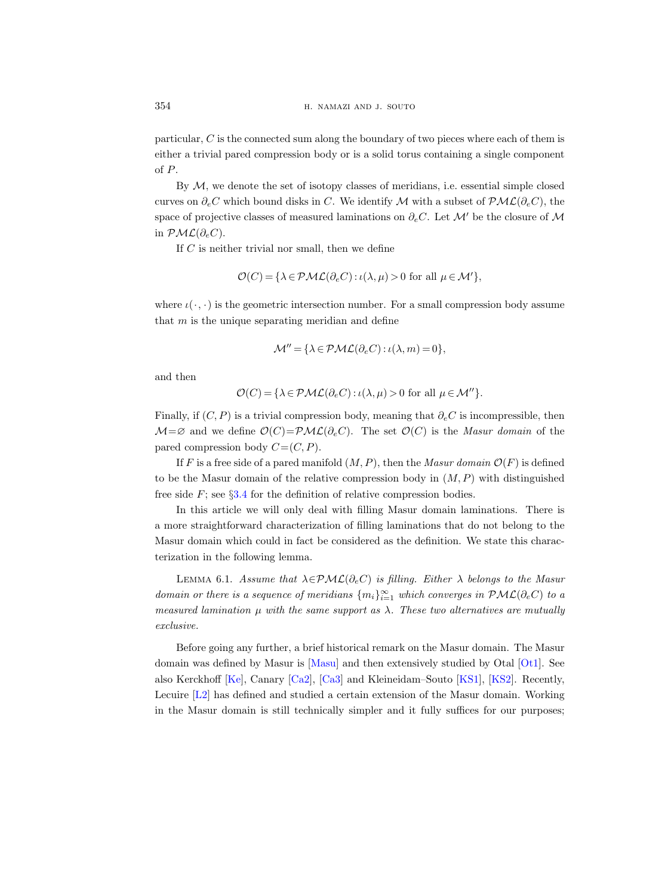particular, C is the connected sum along the boundary of two pieces where each of them is either a trivial pared compression body or is a solid torus containing a single component of P.

By  $M$ , we denote the set of isotopy classes of meridians, i.e. essential simple closed curves on  $\partial_e C$  which bound disks in C. We identify M with a subset of  $\mathcal{PML}(\partial_e C)$ , the space of projective classes of measured laminations on  $\partial_e C$ . Let M' be the closure of M in  $\mathcal{PML}(\partial_e C)$ .

If  $C$  is neither trivial nor small, then we define

$$
\mathcal{O}(C) = \{ \lambda \in \mathcal{PML}(\partial_e C) : \iota(\lambda, \mu) > 0 \text{ for all } \mu \in \mathcal{M}' \},
$$

where  $\iota(\cdot, \cdot)$  is the geometric intersection number. For a small compression body assume that  $m$  is the unique separating meridian and define

$$
\mathcal{M}''\!=\!\{\lambda\!\in\!\mathcal{PML}(\partial_eC)\!:\!\iota(\lambda,m)\!=\!0\},
$$

and then

$$
\mathcal{O}(C) = \{ \lambda \in \mathcal{PML}(\partial_e C) : \iota(\lambda, \mu) > 0 \text{ for all } \mu \in \mathcal{M}'' \}.
$$

Finally, if  $(C, P)$  is a trivial compression body, meaning that  $\partial_{e}C$  is incompressible, then  $\mathcal{M}=\varnothing$  and we define  $\mathcal{O}(C)=\mathcal{PML}(\partial_eC)$ . The set  $\mathcal{O}(C)$  is the Masur domain of the pared compression body  $C=(C, P)$ .

If F is a free side of a pared manifold  $(M, P)$ , then the *Masur domain*  $\mathcal{O}(F)$  is defined to be the Masur domain of the relative compression body in  $(M, P)$  with distinguished free side  $F$ ; see  $\S 3.4$  $\S 3.4$  for the definition of relative compression bodies.

In this article we will only deal with filling Masur domain laminations. There is a more straightforward characterization of filling laminations that do not belong to the Masur domain which could in fact be considered as the definition. We state this characterization in the following lemma.

LEMMA 6.1. Assume that  $\lambda \in \mathcal{PML}(\partial_e C)$  is filling. Either  $\lambda$  belongs to the Masur domain or there is a sequence of meridians  $\{m_i\}_{i=1}^{\infty}$  which converges in  $\mathcal{PML}(\partial_e C)$  to a measured lamination  $\mu$  with the same support as  $\lambda$ . These two alternatives are mutually exclusive.

Before going any further, a brief historical remark on the Masur domain. The Masur domain was defined by Masur is [\[Masu\]](#page-71-16) and then extensively studied by Otal [\[Ot1\]](#page-71-17). See also Kerckhoff [\[Ke\]](#page-70-18), Canary [\[Ca2\]](#page-70-19), [\[Ca3\]](#page-70-4) and Kleineidam–Souto [\[KS1\]](#page-70-5), [\[KS2\]](#page-70-7). Recently, Lecuire [\[L2\]](#page-71-18) has defined and studied a certain extension of the Masur domain. Working in the Masur domain is still technically simpler and it fully suffices for our purposes;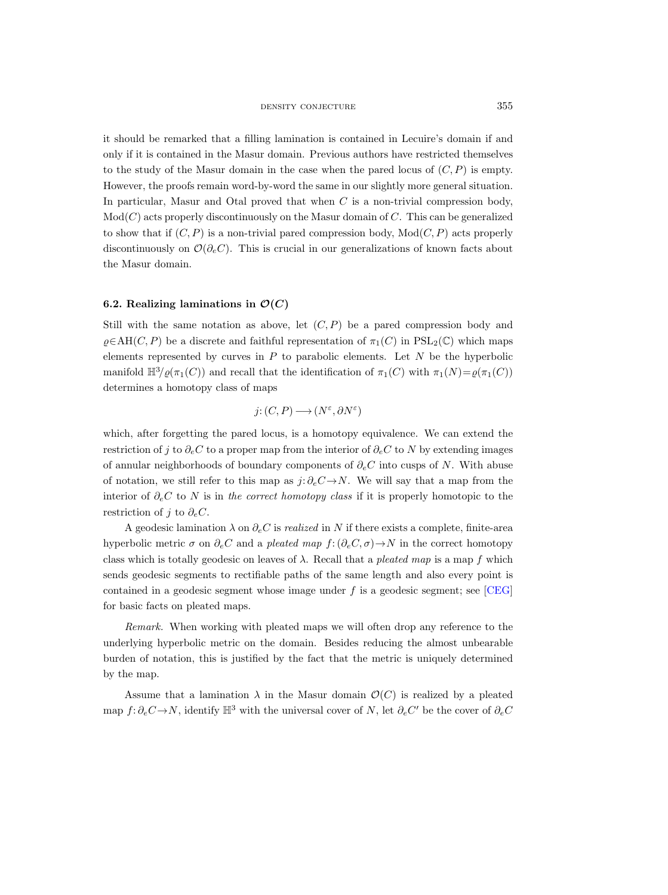it should be remarked that a filling lamination is contained in Lecuire's domain if and only if it is contained in the Masur domain. Previous authors have restricted themselves to the study of the Masur domain in the case when the pared locus of  $(C, P)$  is empty. However, the proofs remain word-by-word the same in our slightly more general situation. In particular, Masur and Otal proved that when  $C$  is a non-trivial compression body,  $Mod(C)$  acts properly discontinuously on the Masur domain of C. This can be generalized to show that if  $(C, P)$  is a non-trivial pared compression body,  $Mod(C, P)$  acts properly discontinuously on  $\mathcal{O}(\partial_e C)$ . This is crucial in our generalizations of known facts about the Masur domain.

# 6.2. Realizing laminations in  $\mathcal{O}(C)$

Still with the same notation as above, let  $(C, P)$  be a pared compression body and  $\rho \in AH(C, P)$  be a discrete and faithful representation of  $\pi_1(C)$  in  $PSL_2(\mathbb{C})$  which maps elements represented by curves in  $P$  to parabolic elements. Let  $N$  be the hyperbolic manifold  $\mathbb{H}^3/\varrho(\pi_1(C))$  and recall that the identification of  $\pi_1(C)$  with  $\pi_1(N)=\varrho(\pi_1(C))$ determines a homotopy class of maps

$$
j\!:\!(C,P)\!\longrightarrow\!(N^{\varepsilon},\partial N^{\varepsilon})
$$

which, after forgetting the pared locus, is a homotopy equivalence. We can extend the restriction of j to  $\partial_e C$  to a proper map from the interior of  $\partial_e C$  to N by extending images of annular neighborhoods of boundary components of  $\partial_e C$  into cusps of N. With abuse of notation, we still refer to this map as  $j: \partial_e C \to N$ . We will say that a map from the interior of  $\partial_e C$  to N is in the correct homotopy class if it is properly homotopic to the restriction of *j* to  $\partial_e C$ .

A geodesic lamination  $\lambda$  on  $\partial_{e}C$  is *realized* in N if there exists a complete, finite-area hyperbolic metric  $\sigma$  on  $\partial_e C$  and a pleated map  $f: (\partial_e C, \sigma) \to N$  in the correct homotopy class which is totally geodesic on leaves of  $\lambda$ . Recall that a pleated map is a map f which sends geodesic segments to rectifiable paths of the same length and also every point is contained in a geodesic segment whose image under f is a geodesic segment; see  $[CEG]$ for basic facts on pleated maps.

Remark. When working with pleated maps we will often drop any reference to the underlying hyperbolic metric on the domain. Besides reducing the almost unbearable burden of notation, this is justified by the fact that the metric is uniquely determined by the map.

Assume that a lamination  $\lambda$  in the Masur domain  $\mathcal{O}(C)$  is realized by a pleated map  $f: \partial_e C \to N$ , identify  $\mathbb{H}^3$  with the universal cover of  $N$ , let  $\partial_e C'$  be the cover of  $\partial_e C$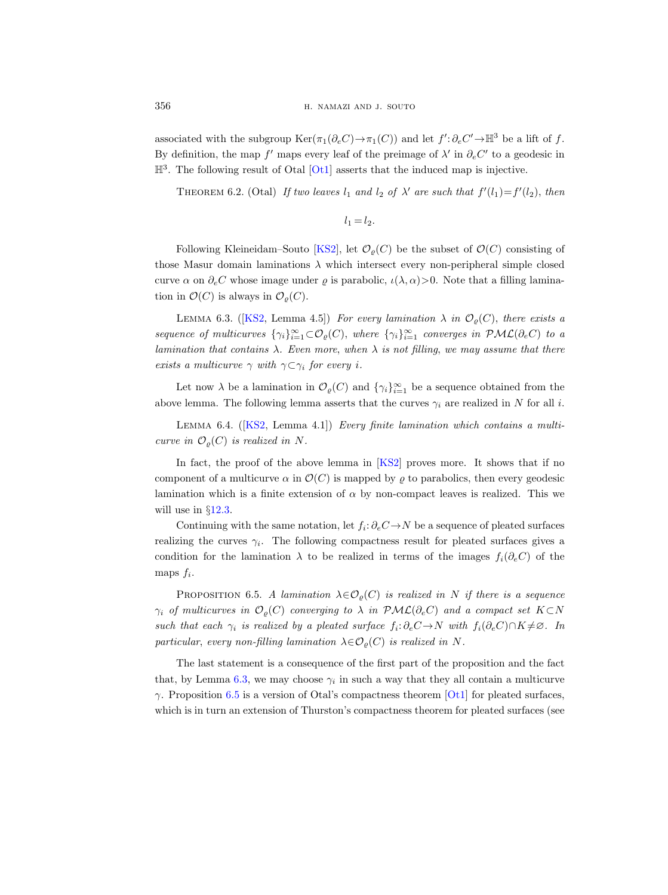associated with the subgroup  $\text{Ker}(\pi_1(\partial_e C) \to \pi_1(C))$  and let  $f' : \partial_e C' \to \mathbb{H}^3$  be a lift of f. By definition, the map  $f'$  maps every leaf of the preimage of  $\lambda'$  in  $\partial_{e}C'$  to a geodesic in  $\mathbb{H}^3$ . The following result of Otal [\[Ot1\]](#page-71-17) asserts that the induced map is injective.

THEOREM 6.2. (Otal) If two leaves  $l_1$  and  $l_2$  of  $\lambda'$  are such that  $f'(l_1) = f'(l_2)$ , then

$$
l_1=l_2.
$$

Following Kleineidam–Souto [\[KS2\]](#page-70-7), let  $\mathcal{O}_{\rho}(C)$  be the subset of  $\mathcal{O}(C)$  consisting of those Masur domain laminations  $\lambda$  which intersect every non-peripheral simple closed curve  $\alpha$  on  $\partial_e C$  whose image under  $\varrho$  is parabolic,  $\iota(\lambda, \alpha) > 0$ . Note that a filling lamination in  $\mathcal{O}(C)$  is always in  $\mathcal{O}_{\rho}(C)$ .

<span id="page-33-0"></span>LEMMA6.3. ([\[KS2,](#page-70-7) Lemma 4.5]) For every lamination  $\lambda$  in  $\mathcal{O}_{\varrho}(C)$ , there exists a sequence of multicurves  $\{\gamma_i\}_{i=1}^{\infty} \subset \mathcal{O}_{\varrho}(C)$ , where  $\{\gamma_i\}_{i=1}^{\infty}$  converges in  $\mathcal{PML}(\partial_e C)$  to a lamination that contains  $\lambda$ . Even more, when  $\lambda$  is not filling, we may assume that there exists a multicurve  $\gamma$  with  $\gamma \subset \gamma_i$  for every i.

Let now  $\lambda$  be a lamination in  $\mathcal{O}_{\rho}(C)$  and  $\{\gamma_i\}_{i=1}^{\infty}$  be a sequence obtained from the above lemma. The following lemma asserts that the curves  $\gamma_i$  are realized in N for all i.

<span id="page-33-2"></span>Lemma 6.4.([\[KS2,](#page-70-7) Lemma 4.1]) Every finite lamination which contains a multicurve in  $\mathcal{O}_o(C)$  is realized in N.

In fact, the proof of the above lemma in [\[KS2\]](#page-70-7) proves more. It shows that if no component of a multicurve  $\alpha$  in  $\mathcal{O}(C)$  is mapped by  $\rho$  to parabolics, then every geodesic lamination which is a finite extension of  $\alpha$  by non-compact leaves is realized. This we will use in §[12.3.](#page-66-0)

Continuing with the same notation, let  $f_i: \partial_e C \to N$  be a sequence of pleated surfaces realizing the curves  $\gamma_i$ . The following compactness result for pleated surfaces gives a condition for the lamination  $\lambda$  to be realized in terms of the images  $f_i(\partial_e C)$  of the maps  $f_i$ .

<span id="page-33-1"></span>PROPOSITION 6.5. A lamination  $\lambda \in \mathcal{O}_o(C)$  is realized in N if there is a sequence  $\gamma_i$  of multicurves in  $\mathcal{O}_p(C)$  converging to  $\lambda$  in  $\mathcal{PML}(\partial_e C)$  and a compact set  $K\subset N$ such that each  $\gamma_i$  is realized by a pleated surface  $f_i: \partial_e C \to N$  with  $f_i(\partial_e C) \cap K \neq \emptyset$ . In particular, every non-filling lamination  $\lambda \in \mathcal{O}_{\varrho}(C)$  is realized in N.

The last statement is a consequence of the first part of the proposition and the fact that, by Lemma [6.3,](#page-33-0) we may choose  $\gamma_i$  in such a way that they all contain a multicurve  $γ$ . Proposition [6.5](#page-33-1) is a version of Otal's compactness theorem [\[Ot1\]](#page-71-17) for pleated surfaces, which is in turn an extension of Thurston's compactness theorem for pleated surfaces (see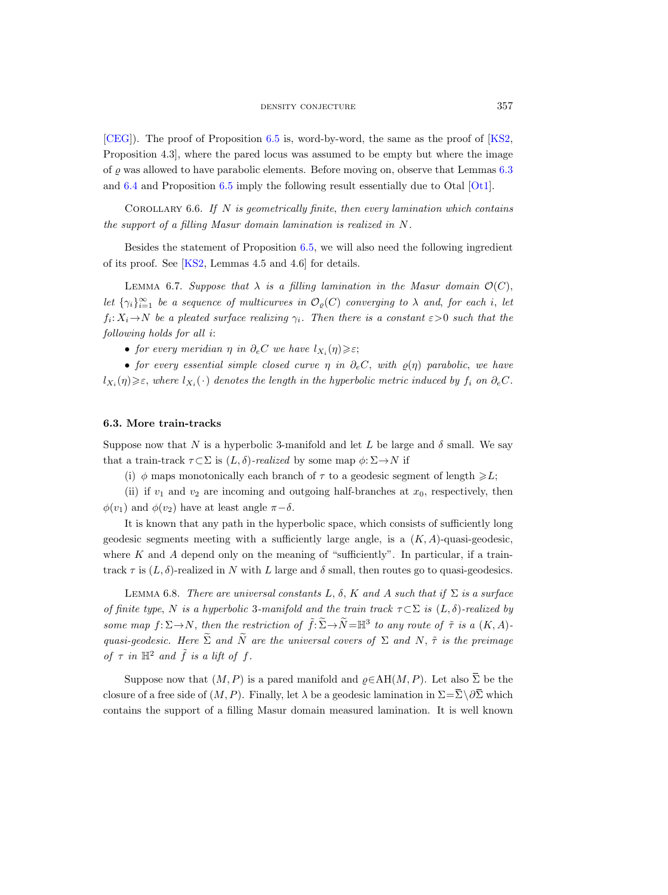[\[CEG\]](#page-70-20)). The proof of Proposition [6.5](#page-33-1) is, word-by-word, the same as the proof of [\[KS2,](#page-70-7) Proposition 4.3], where the pared locus was assumed to be empty but where the image of  $\rho$  was allowed to have parabolic elements. Before moving on, observe that Lemmas [6.3](#page-33-0) and [6.4](#page-33-2) and Proposition [6.5](#page-33-1) imply the following result essentially due to Otal [\[Ot1\]](#page-71-17).

COROLLARY 6.6. If  $N$  is geometrically finite, then every lamination which contains the support of a filling Masur domain lamination is realized in N.

Besides the statement of Proposition [6.5,](#page-33-1) we will also need the following ingredient of its proof. See [\[KS2,](#page-70-7) Lemmas 4.5 and 4.6] for details.

LEMMA 6.7. Suppose that  $\lambda$  is a filling lamination in the Masur domain  $\mathcal{O}(C)$ , let  $\{\gamma_i\}_{i=1}^{\infty}$  be a sequence of multicurves in  $\mathcal{O}_{\varrho}(C)$  converging to  $\lambda$  and, for each i, let  $f_i: X_i \to N$  be a pleated surface realizing  $\gamma_i$ . Then there is a constant  $\varepsilon > 0$  such that the following holds for all i:

• for every meridian  $\eta$  in  $\partial_e C$  we have  $l_{X_i}(\eta) \geqslant \varepsilon;$ 

• for every essential simple closed curve  $\eta$  in  $\partial_e C$ , with  $\varrho(\eta)$  parabolic, we have  $l_{X_i}(\eta) \geqslant \varepsilon$ , where  $l_{X_i}(\cdot)$  denotes the length in the hyperbolic metric induced by  $f_i$  on  $\partial_e C$ .

# 6.3. More train-tracks

Suppose now that N is a hyperbolic 3-manifold and let L be large and  $\delta$  small. We say that a train-track  $\tau \subset \Sigma$  is  $(L, \delta)$ -realized by some map  $\phi: \Sigma \to N$  if

(i)  $\phi$  maps monotonically each branch of  $\tau$  to a geodesic segment of length  $\geq L$ ;

(ii) if  $v_1$  and  $v_2$  are incoming and outgoing half-branches at  $x_0$ , respectively, then  $\phi(v_1)$  and  $\phi(v_2)$  have at least angle  $\pi-\delta$ .

It is known that any path in the hyperbolic space, which consists of sufficiently long geodesic segments meeting with a sufficiently large angle, is a  $(K, A)$ -quasi-geodesic, where K and A depend only on the meaning of "sufficiently". In particular, if a traintrack  $\tau$  is  $(L, \delta)$ -realized in N with L large and  $\delta$  small, then routes go to quasi-geodesics.

<span id="page-34-0"></span>LEMMA 6.8. There are universal constants  $L, \delta, K$  and A such that if  $\Sigma$  is a surface of finite type, N is a hyperbolic 3-manifold and the train track  $\tau \subset \Sigma$  is  $(L, \delta)$ -realized by some map  $f: \Sigma \to N$ , then the restriction of  $\tilde{f}: \tilde{\Sigma} \to \tilde{N} = \mathbb{H}^3$  to any route of  $\tilde{\tau}$  is a  $(K, A)$ quasi-geodesic. Here  $\widetilde{\Sigma}$  and  $\widetilde{N}$  are the universal covers of  $\Sigma$  and  $N$ ,  $\tilde{\tau}$  is the preimage of  $\tau$  in  $\mathbb{H}^2$  and  $\tilde{f}$  is a lift of f.

Suppose now that  $(M, P)$  is a pared manifold and  $\rho \in AH(M, P)$ . Let also  $\overline{\Sigma}$  be the closure of a free side of  $(M, P)$ . Finally, let  $\lambda$  be a geodesic lamination in  $\Sigma = \overline{\Sigma} \setminus \partial \overline{\Sigma}$  which contains the support of a filling Masur domain measured lamination. It is well known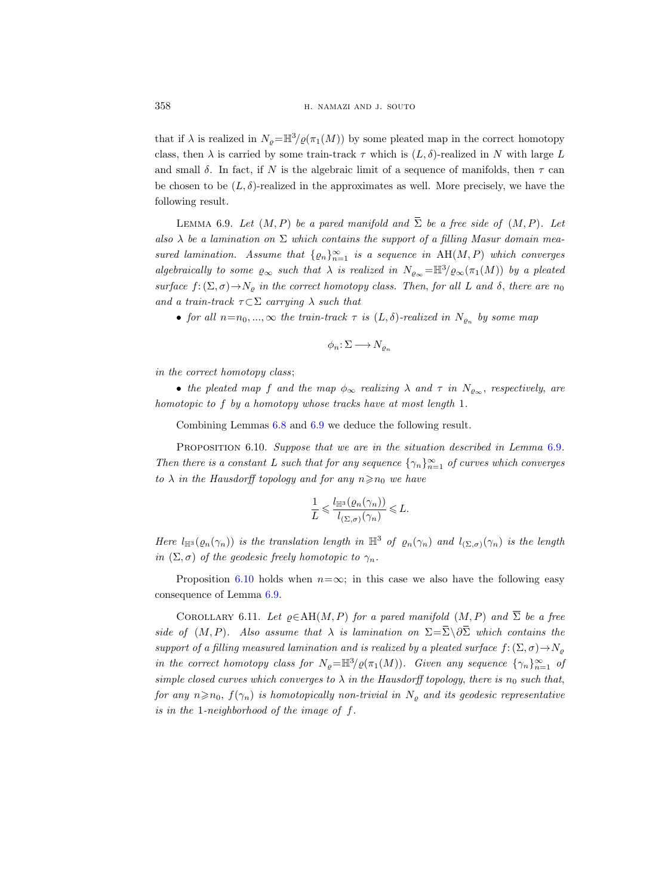that if  $\lambda$  is realized in  $N_\rho=\mathbb{H}^3/\rho(\pi_1(M))$  by some pleated map in the correct homotopy class, then  $\lambda$  is carried by some train-track  $\tau$  which is  $(L, \delta)$ -realized in N with large L and small  $\delta$ . In fact, if N is the algebraic limit of a sequence of manifolds, then  $\tau$  can be chosen to be  $(L, \delta)$ -realized in the approximates as well. More precisely, we have the following result.

<span id="page-35-0"></span>LEMMA 6.9. Let  $(M, P)$  be a pared manifold and  $\overline{\Sigma}$  be a free side of  $(M, P)$ . Let also  $\lambda$  be a lamination on  $\Sigma$  which contains the support of a filling Masur domain measured lamination. Assume that  $\{\varrho_n\}_{n=1}^{\infty}$  is a sequence in AH(M, P) which converges algebraically to some  $\varrho_{\infty}$  such that  $\lambda$  is realized in  $N_{\varrho_{\infty}} = \mathbb{H}^3/\varrho_{\infty}(\pi_1(M))$  by a pleated surface  $f: (\Sigma, \sigma) \to N_{\varrho}$  in the correct homotopy class. Then, for all L and  $\delta$ , there are  $n_0$ and a train-track  $\tau \subset \Sigma$  carrying  $\lambda$  such that

• for all  $n=n_0, ..., \infty$  the train-track  $\tau$  is  $(L, \delta)$ -realized in  $N_{\varrho_n}$  by some map

$$
\phi_n\colon \Sigma\longrightarrow N_{\varrho_n}
$$

in the correct homotopy class;

• the pleated map f and the map  $\phi_{\infty}$  realizing  $\lambda$  and  $\tau$  in  $N_{\rho_{\infty}}$ , respectively, are homotopic to f by a homotopy whose tracks have at most length 1.

Combining Lemmas [6.8](#page-34-0) and [6.9](#page-35-0) we deduce the following result.

<span id="page-35-1"></span>PROPOSITION 6.10. Suppose that we are in the situation described in Lemma [6.9](#page-35-0). Then there is a constant L such that for any sequence  $\{\gamma_n\}_{n=1}^{\infty}$  of curves which converges to  $\lambda$  in the Hausdorff topology and for any  $n \ge n_0$  we have

$$
\frac{1}{L} \leqslant \frac{l_{\mathbb{H}^3}(\varrho_n(\gamma_n))}{l_{(\Sigma,\sigma)}(\gamma_n)} \leqslant L.
$$

Here  $l_{\mathbb{H}^3}(\varrho_n(\gamma_n))$  is the translation length in  $\mathbb{H}^3$  of  $\varrho_n(\gamma_n)$  and  $l_{(\Sigma,\sigma)}(\gamma_n)$  is the length in  $(\Sigma, \sigma)$  of the geodesic freely homotopic to  $\gamma_n$ .

Proposition [6.10](#page-35-1) holds when  $n=\infty$ ; in this case we also have the following easy consequence of Lemma [6.9.](#page-35-0)

COROLLARY 6.11. Let  $\rho \in AH(M, P)$  for a pared manifold  $(M, P)$  and  $\overline{\Sigma}$  be a free side of  $(M, P)$ . Also assume that  $\lambda$  is lamination on  $\Sigma = \overline{\Sigma} \setminus \partial \overline{\Sigma}$  which contains the support of a filling measured lamination and is realized by a pleated surface  $f: (\Sigma, \sigma) \to N_o$ in the correct homotopy class for  $N_{\varrho} = \mathbb{H}^3/\varrho(\pi_1(M))$ . Given any sequence  $\{\gamma_n\}_{n=1}^{\infty}$  of simple closed curves which converges to  $\lambda$  in the Hausdorff topology, there is  $n_0$  such that, for any  $n \ge n_0$ ,  $f(\gamma_n)$  is homotopically non-trivial in  $N_{\varrho}$  and its geodesic representative is in the 1-neighborhood of the image of f.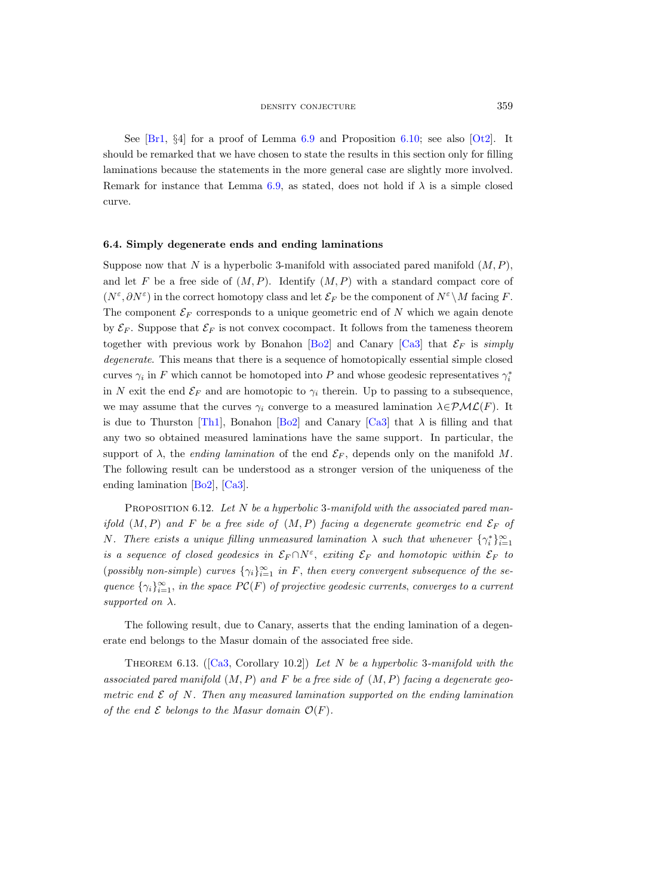See  $[Br1, §4]$  for a proof of Lemma [6.9](#page-35-0) and Proposition [6.10;](#page-35-1) see also  $[Ot2]$ . It should be remarked that we have chosen to state the results in this section only for filling laminations because the statements in the more general case are slightly more involved. Remark for instance that Lemma [6.9,](#page-35-0) as stated, does not hold if  $\lambda$  is a simple closed curve.

# 6.4. Simply degenerate ends and ending laminations

Suppose now that N is a hyperbolic 3-manifold with associated pared manifold  $(M, P)$ , and let F be a free side of  $(M, P)$ . Identify  $(M, P)$  with a standard compact core of  $(N^{\varepsilon}, \partial N^{\varepsilon})$  in the correct homotopy class and let  $\mathcal{E}_F$  be the component of  $N^{\varepsilon} \setminus M$  facing F. The component  $\mathcal{E}_F$  corresponds to a unique geometric end of N which we again denote by  $\mathcal{E}_F$ . Suppose that  $\mathcal{E}_F$  is not convex cocompact. It follows from the tameness theorem together with previous work by Bonahon [\[Bo2\]](#page-69-1) and Canary [\[Ca3\]](#page-70-0) that  $\mathcal{E}_F$  is simply degenerate. This means that there is a sequence of homotopically essential simple closed curves  $\gamma_i$  in F which cannot be homotoped into P and whose geodesic representatives  $\gamma_i^*$ in N exit the end  $\mathcal{E}_F$  and are homotopic to  $\gamma_i$  therein. Up to passing to a subsequence, we may assume that the curves  $\gamma_i$  converge to a measured lamination  $\lambda \in \mathcal{PML}(F)$ . It is due to Thurston [\[Th1\]](#page-72-0), Bonahon [\[Bo2\]](#page-69-1) and Canary [\[Ca3\]](#page-70-0) that  $\lambda$  is filling and that any two so obtained measured laminations have the same support. In particular, the support of  $\lambda$ , the ending lamination of the end  $\mathcal{E}_F$ , depends only on the manifold M. The following result can be understood as a stronger version of the uniqueness of the ending lamination [\[Bo2\]](#page-69-1), [\[Ca3\]](#page-70-0).

<span id="page-36-1"></span>PROPOSITION 6.12. Let  $N$  be a hyperbolic 3-manifold with the associated pared manifold  $(M, P)$  and F be a free side of  $(M, P)$  facing a degenerate geometric end  $\mathcal{E}_F$  of N. There exists a unique filling unmeasured lamination  $\lambda$  such that whenever  $\{\gamma_i^*\}_{i=1}^{\infty}$ is a sequence of closed geodesics in  $\mathcal{E}_F \cap N^{\varepsilon}$ , exiting  $\mathcal{E}_F$  and homotopic within  $\mathcal{E}_F$  to (possibly non-simple) curves  $\{\gamma_i\}_{i=1}^{\infty}$  in F, then every convergent subsequence of the sequence  $\{\gamma_i\}_{i=1}^{\infty}$ , in the space  $PC(F)$  of projective geodesic currents, converges to a current supported on  $\lambda$ .

The following result, due to Canary, asserts that the ending lamination of a degenerate end belongs to the Masur domain of the associated free side.

<span id="page-36-0"></span>THEOREM6.13. ([\[Ca3,](#page-70-0) Corollary 10.2]) Let N be a hyperbolic 3-manifold with the associated pared manifold  $(M, P)$  and F be a free side of  $(M, P)$  facing a degenerate geometric end  $\mathcal E$  of N. Then any measured lamination supported on the ending lamination of the end  $\mathcal E$  belongs to the Masur domain  $\mathcal O(F)$ .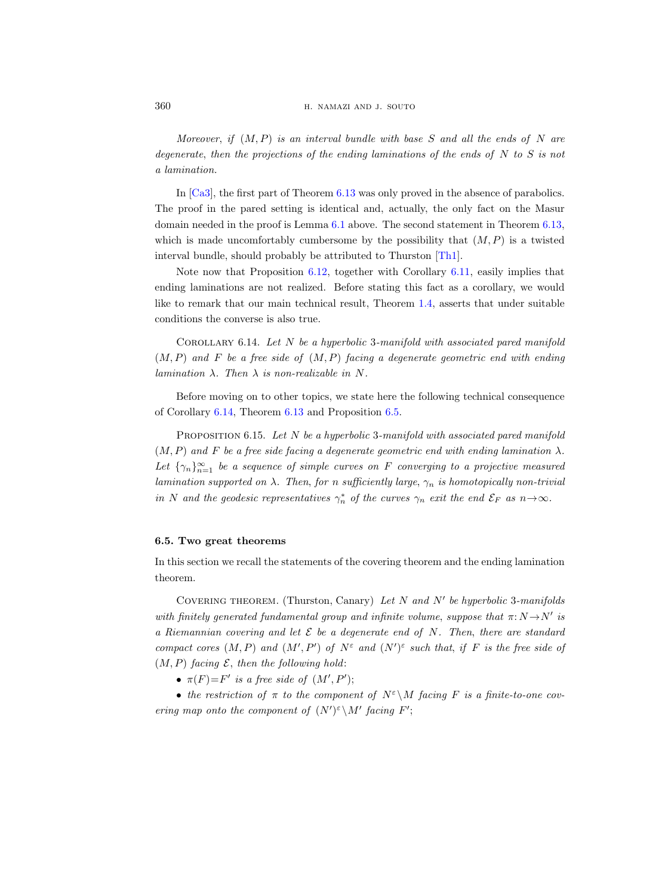#### 360 **h. namazi and j. souto**

Moreover, if  $(M, P)$  is an interval bundle with base S and all the ends of N are degenerate, then the projections of the ending laminations of the ends of  $N$  to  $S$  is not a lamination.

In [\[Ca3\]](#page-70-0), the first part of Theorem [6.13](#page-36-0) was only proved in the absence of parabolics. The proof in the pared setting is identical and, actually, the only fact on the Masur domain needed in the proof is Lemma [6.1](#page-31-0) above. The second statement in Theorem [6.13,](#page-36-0) which is made uncomfortably cumbersome by the possibility that  $(M, P)$  is a twisted interval bundle, should probably be attributed to Thurston [\[Th1\]](#page-72-0).

Note now that Proposition [6.12,](#page-36-1) together with Corollary [6.11,](#page-35-2) easily implies that ending laminations are not realized. Before stating this fact as a corollary, we would like to remark that our main technical result, Theorem [1.4,](#page-3-0) asserts that under suitable conditions the converse is also true.

<span id="page-37-0"></span>COROLLARY 6.14. Let  $N$  be a hyperbolic 3-manifold with associated pared manifold  $(M, P)$  and F be a free side of  $(M, P)$  facing a degenerate geometric end with ending lamination  $\lambda$ . Then  $\lambda$  is non-realizable in N.

Before moving on to other topics, we state here the following technical consequence of Corollary [6.14,](#page-37-0) Theorem [6.13](#page-36-0) and Proposition [6.5.](#page-33-0)

PROPOSITION 6.15. Let N be a hyperbolic 3-manifold with associated pared manifold  $(M, P)$  and F be a free side facing a degenerate geometric end with ending lamination  $\lambda$ . Let  $\{\gamma_n\}_{n=1}^{\infty}$  be a sequence of simple curves on F converging to a projective measured lamination supported on  $\lambda$ . Then, for n sufficiently large,  $\gamma_n$  is homotopically non-trivial in N and the geodesic representatives  $\gamma_n^*$  of the curves  $\gamma_n$  exit the end  $\mathcal{E}_F$  as  $n \to \infty$ .

# 6.5. Two great theorems

In this section we recall the statements of the covering theorem and the ending lamination theorem.

COVERING THEOREM. (Thurston, Canary) Let N and N' be hyperbolic 3-manifolds with finitely generated fundamental group and infinite volume, suppose that  $\pi: N \rightarrow N'$  is a Riemannian covering and let  $\mathcal E$  be a degenerate end of N. Then, there are standard compact cores  $(M, P)$  and  $(M', P')$  of  $N^{\varepsilon}$  and  $(N')^{\varepsilon}$  such that, if F is the free side of  $(M, P)$  facing  $\mathcal E$ , then the following hold:

•  $\pi(F)=F'$  is a free side of  $(M',P')$ ;

• the restriction of  $\pi$  to the component of  $N^{\varepsilon} \backslash M$  facing F is a finite-to-one covering map onto the component of  $(N')^{\varepsilon} \backslash M'$  facing F';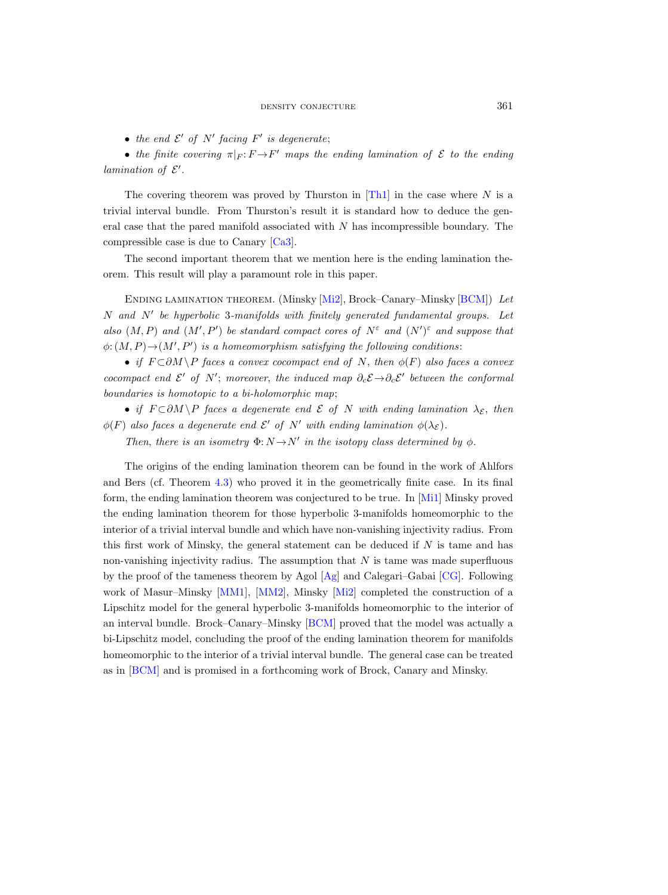• the end  $\mathcal{E}'$  of  $N'$  facing  $F'$  is degenerate;

• the finite covering  $\pi|_F : F \to F'$  maps the ending lamination of  $\mathcal E$  to the ending lamination of  $\mathcal{E}'$ .

The covering theorem was proved by Thurston in  $[Th1]$  in the case where N is a trivial interval bundle. From Thurston's result it is standard how to deduce the general case that the pared manifold associated with  $N$  has incompressible boundary. The compressible case is due to Canary [\[Ca3\]](#page-70-0).

The second important theorem that we mention here is the ending lamination theorem. This result will play a paramount role in this paper.

Ending lamination theorem. (Minsky [\[Mi2\]](#page-71-1), Brock–Canary–Minsky [\[BCM\]](#page-69-2)) Let  $N$  and  $N'$  be hyperbolic 3-manifolds with finitely generated fundamental groups. Let also  $(M, P)$  and  $(M', P')$  be standard compact cores of  $N^{\varepsilon}$  and  $(N')^{\varepsilon}$  and suppose that  $\phi: (M, P) \rightarrow (M', P')$  is a homeomorphism satisfying the following conditions:

• if  $F \subset \partial M \backslash P$  faces a convex cocompact end of N, then  $\phi(F)$  also faces a convex cocompact end  $\mathcal{E}'$  of N'; moreover, the induced map  $\partial_c \mathcal{E} \rightarrow \partial_c \mathcal{E}'$  between the conformal boundaries is homotopic to a bi-holomorphic map;

• if  $F \subset \partial M \backslash P$  faces a degenerate end  $\mathcal E$  of N with ending lamination  $\lambda_{\mathcal E}$ , then  $\phi(F)$  also faces a degenerate end  $\mathcal{E}'$  of  $N'$  with ending lamination  $\phi(\lambda_{\mathcal{E}})$ .

Then, there is an isometry  $\Phi: N \to N'$  in the isotopy class determined by  $\phi$ .

The origins of the ending lamination theorem can be found in the work of Ahlfors and Bers (cf. Theorem [4.3\)](#page-25-0) who proved it in the geometrically finite case. In its final form, the ending lamination theorem was conjectured to be true. In [\[Mi1\]](#page-71-2) Minsky proved the ending lamination theorem for those hyperbolic 3-manifolds homeomorphic to the interior of a trivial interval bundle and which have non-vanishing injectivity radius. From this first work of Minsky, the general statement can be deduced if  $N$  is tame and has non-vanishing injectivity radius. The assumption that  $N$  is tame was made superfluous by the proof of the tameness theorem by Agol [\[Ag\]](#page-69-3) and Calegari–Gabai [\[CG\]](#page-70-1). Following work of Masur–Minsky [\[MM1\]](#page-71-3), [\[MM2\]](#page-71-4), Minsky [\[Mi2\]](#page-71-1) completed the construction of a Lipschitz model for the general hyperbolic 3-manifolds homeomorphic to the interior of an interval bundle. Brock–Canary–Minsky [\[BCM\]](#page-69-2) proved that the model was actually a bi-Lipschitz model, concluding the proof of the ending lamination theorem for manifolds homeomorphic to the interior of a trivial interval bundle. The general case can be treated as in [\[BCM\]](#page-69-2) and is promised in a forthcoming work of Brock, Canary and Minsky.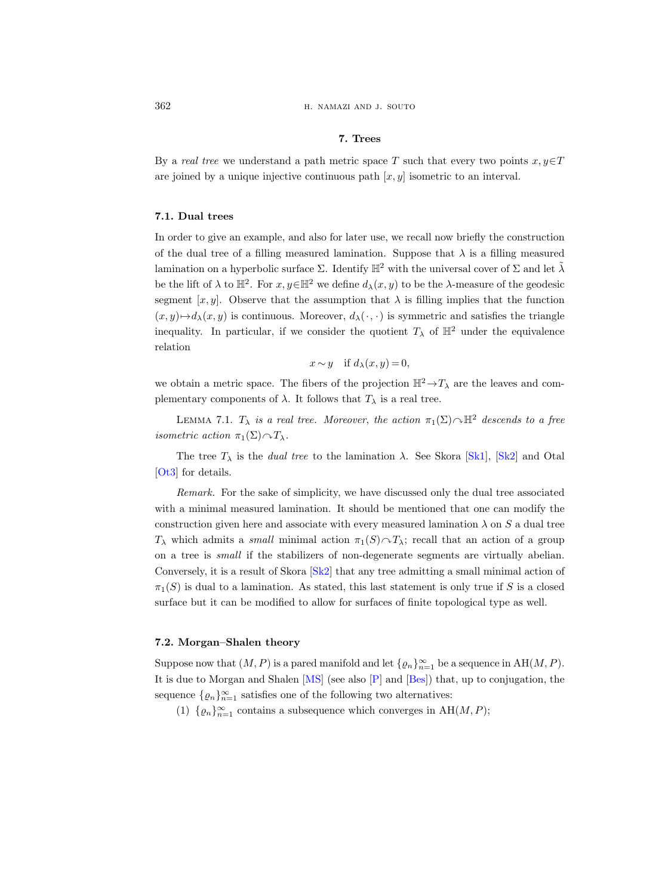362 **h.** namazi and j. souto

# 7. Trees

By a *real tree* we understand a path metric space T such that every two points  $x, y \in T$ are joined by a unique injective continuous path  $[x, y]$  isometric to an interval.

# <span id="page-39-0"></span>7.1. Dual trees

In order to give an example, and also for later use, we recall now briefly the construction of the dual tree of a filling measured lamination. Suppose that  $\lambda$  is a filling measured lamination on a hyperbolic surface  $\Sigma$ . Identify  $\mathbb{H}^2$  with the universal cover of  $\Sigma$  and let  $\tilde{\lambda}$ be the lift of  $\lambda$  to  $\mathbb{H}^2$ . For  $x, y \in \mathbb{H}^2$  we define  $d_{\lambda}(x, y)$  to be the  $\lambda$ -measure of the geodesic segment  $[x, y]$ . Observe that the assumption that  $\lambda$  is filling implies that the function  $(x, y) \rightarrow d_\lambda(x, y)$  is continuous. Moreover,  $d_\lambda(\cdot, \cdot)$  is symmetric and satisfies the triangle inequality. In particular, if we consider the quotient  $T_{\lambda}$  of  $\mathbb{H}^2$  under the equivalence relation

$$
x \sim y \quad \text{if } d_{\lambda}(x, y) = 0,
$$

we obtain a metric space. The fibers of the projection  $\mathbb{H}^2 \to T_\lambda$  are the leaves and complementary components of  $\lambda$ . It follows that  $T_{\lambda}$  is a real tree.

LEMMA 7.1.  $T_{\lambda}$  is a real tree. Moreover, the action  $\pi_1(\Sigma) \sim \mathbb{H}^2$  descends to a free isometric action  $\pi_1(\Sigma)\cap T_\lambda$ .

The tree  $T_{\lambda}$  is the *dual tree* to the lamination  $\lambda$ . See Skora [\[Sk1\]](#page-71-5), [\[Sk2\]](#page-71-6) and Otal [\[Ot3\]](#page-71-7) for details.

Remark. For the sake of simplicity, we have discussed only the dual tree associated with a minimal measured lamination. It should be mentioned that one can modify the construction given here and associate with every measured lamination  $\lambda$  on S a dual tree T<sub>λ</sub> which admits a *small* minimal action  $\pi_1(S) \cap T_\lambda$ ; recall that an action of a group on a tree is small if the stabilizers of non-degenerate segments are virtually abelian. Conversely, it is a result of Skora [\[Sk2\]](#page-71-6) that any tree admitting a small minimal action of  $\pi_1(S)$  is dual to a lamination. As stated, this last statement is only true if S is a closed surface but it can be modified to allow for surfaces of finite topological type as well.

### 7.2. Morgan–Shalen theory

Suppose now that  $(M, P)$  is a pared manifold and let  $\{ \varrho_n \}_{n=1}^{\infty}$  be a sequence in  $AH(M, P)$ . It is due to Morgan and Shalen [\[MS\]](#page-71-8) (see also [\[P\]](#page-71-9) and [\[Bes\]](#page-69-4)) that, up to conjugation, the sequence  $\{ \varrho_n \}_{n=1}^{\infty}$  satisfies one of the following two alternatives:

(1)  $\{ \varrho_n \}_{n=1}^{\infty}$  contains a subsequence which converges in AH(M, P);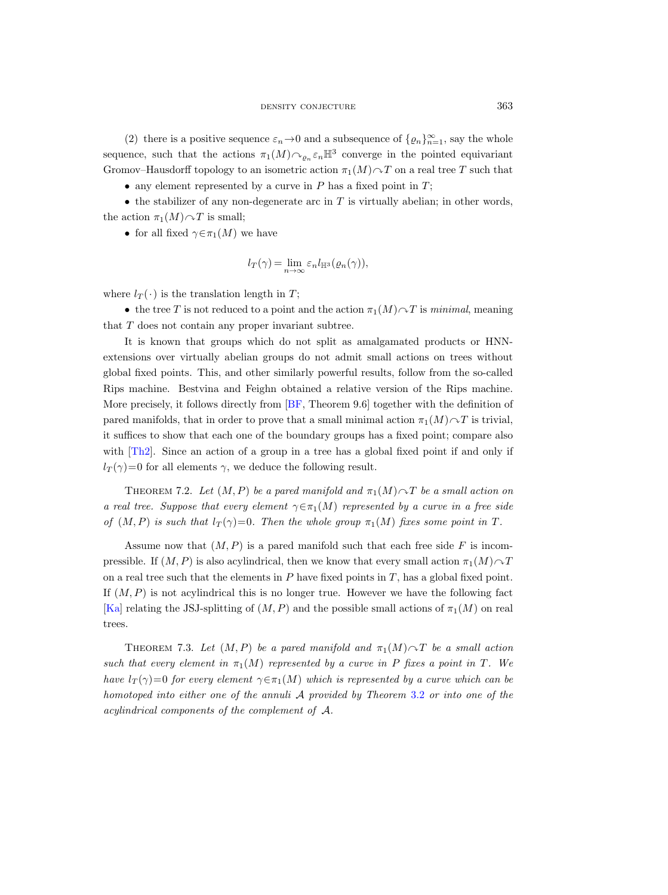(2) there is a positive sequence  $\varepsilon_n \to 0$  and a subsequence of  $\{ \varrho_n \}_{n=1}^{\infty}$ , say the whole sequence, such that the actions  $\pi_1(M) \cap_{\varrho_n} \varepsilon_n \mathbb{H}^3$  converge in the pointed equivariant Gromov–Hausdorff topology to an isometric action  $\pi_1(M)\cap T$  on a real tree T such that

• any element represented by a curve in  $P$  has a fixed point in  $T$ ;

• the stabilizer of any non-degenerate arc in  $T$  is virtually abelian; in other words, the action  $\pi_1(M)\cap T$  is small;

• for all fixed  $\gamma \in \pi_1(M)$  we have

$$
l_T(\gamma) = \lim_{n \to \infty} \varepsilon_n l_{\mathbb{H}^3}(\varrho_n(\gamma)),
$$

where  $l_T(\cdot)$  is the translation length in T;

• the tree T is not reduced to a point and the action  $\pi_1(M)\cap T$  is minimal, meaning that T does not contain any proper invariant subtree.

It is known that groups which do not split as amalgamated products or HNNextensions over virtually abelian groups do not admit small actions on trees without global fixed points. This, and other similarly powerful results, follow from the so-called Rips machine. Bestvina and Feighn obtained a relative version of the Rips machine. More precisely, it follows directly from [\[BF,](#page-69-5) Theorem 9.6] together with the definition of pared manifolds, that in order to prove that a small minimal action  $\pi_1(M) \cap T$  is trivial, it suffices to show that each one of the boundary groups has a fixed point; compare also with  $[Th2]$ . Since an action of a group in a tree has a global fixed point if and only if  $l_T(\gamma)=0$  for all elements  $\gamma$ , we deduce the following result.

<span id="page-40-1"></span>THEOREM 7.2. Let  $(M, P)$  be a pared manifold and  $\pi_1(M) \cap T$  be a small action on a real tree. Suppose that every element  $\gamma \in \pi_1(M)$  represented by a curve in a free side of  $(M, P)$  is such that  $l_T(\gamma)=0$ . Then the whole group  $\pi_1(M)$  fixes some point in T.

Assume now that  $(M, P)$  is a pared manifold such that each free side F is incompressible. If  $(M, P)$  is also acylindrical, then we know that every small action  $\pi_1(M) \cap T$ on a real tree such that the elements in  $P$  have fixed points in  $T$ , has a global fixed point. If  $(M, P)$  is not acylindrical this is no longer true. However we have the following fact [\[Ka\]](#page-70-2) relating the JSJ-splitting of  $(M, P)$  and the possible small actions of  $\pi_1(M)$  on real trees.

<span id="page-40-0"></span>THEOREM 7.3. Let  $(M, P)$  be a pared manifold and  $\pi_1(M) \cap T$  be a small action such that every element in  $\pi_1(M)$  represented by a curve in P fixes a point in T. We have  $l_T(\gamma)=0$  for every element  $\gamma \in \pi_1(M)$  which is represented by a curve which can be homotoped into either one of the annuli A provided by Theorem [3.2](#page-10-0) or into one of the acylindrical components of the complement of A.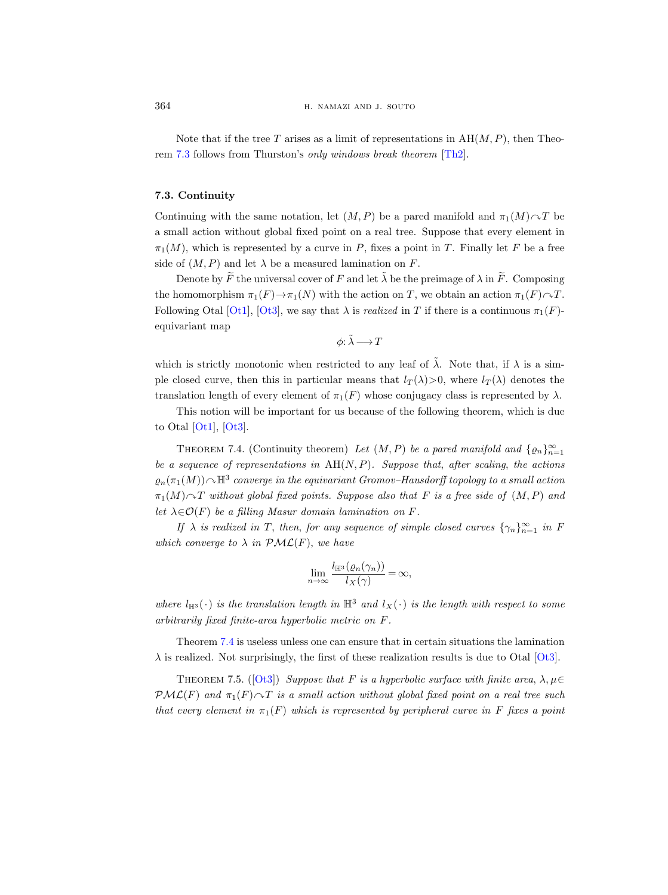Note that if the tree T arises as a limit of representations in  $AH(M, P)$ , then Theorem [7.3](#page-40-0) follows from Thurston's only windows break theorem [\[Th2\]](#page-72-1).

# 7.3. Continuity

Continuing with the same notation, let  $(M, P)$  be a pared manifold and  $\pi_1(M) \cap T$  be a small action without global fixed point on a real tree. Suppose that every element in  $\pi_1(M)$ , which is represented by a curve in P, fixes a point in T. Finally let F be a free side of  $(M, P)$  and let  $\lambda$  be a measured lamination on F.

Denote by F the universal cover of F and let  $\tilde{\lambda}$  be the preimage of  $\lambda$  in F. Composing the homomorphism  $\pi_1(F) \to \pi_1(N)$  with the action on T, we obtain an action  $\pi_1(F) \cap T$ . Following Otal [\[Ot1\]](#page-71-10), [\[Ot3\]](#page-71-7), we say that  $\lambda$  is *realized* in T if there is a continuous  $\pi_1(F)$ equivariant map

$$
\phi \colon \tilde{\lambda} \longrightarrow T
$$

which is strictly monotonic when restricted to any leaf of  $\tilde{\lambda}$ . Note that, if  $\lambda$  is a simple closed curve, then this in particular means that  $l_T(\lambda) > 0$ , where  $l_T(\lambda)$  denotes the translation length of every element of  $\pi_1(F)$  whose conjugacy class is represented by  $\lambda$ .

This notion will be important for us because of the following theorem, which is due to Otal  $[Ot1]$ ,  $[Ot3]$ .

<span id="page-41-0"></span>THEOREM 7.4. (Continuity theorem) Let  $(M, P)$  be a pared manifold and  $\{ \varrho_n \}_{n=1}^{\infty}$ be a sequence of representations in  $AH(N, P)$ . Suppose that, after scaling, the actions  $\varrho_n(\pi_1(M))$   $\sim$   $\mathbb{H}^3$  converge in the equivariant Gromov–Hausdorff topology to a small action  $\pi_1(M)\sim T$  without global fixed points. Suppose also that F is a free side of  $(M, P)$  and let  $\lambda \in \mathcal{O}(F)$  be a filling Masur domain lamination on F.

If  $\lambda$  is realized in T, then, for any sequence of simple closed curves  $\{\gamma_n\}_{n=1}^{\infty}$  in F which converge to  $\lambda$  in  $\mathcal{PML}(F)$ , we have

$$
\lim_{n \to \infty} \frac{l_{\mathbb{H}^3}(\varrho_n(\gamma_n))}{l_X(\gamma)} = \infty,
$$

where  $l_{\mathbb{H}^3}(\cdot)$  is the translation length in  $\mathbb{H}^3$  and  $l_X(\cdot)$  is the length with respect to some arbitrarily fixed finite-area hyperbolic metric on F.

Theorem [7.4](#page-41-0) is useless unless one can ensure that in certain situations the lamination  $\lambda$  is realized. Not surprisingly, the first of these realization results is due to Otal [\[Ot3\]](#page-71-7).

<span id="page-41-1"></span>THEOREM7.5. ([\[Ot3\]](#page-71-7)) Suppose that F is a hyperbolic surface with finite area,  $\lambda, \mu \in$  $\mathcal{PML}(F)$  and  $\pi_1(F)\cap T$  is a small action without global fixed point on a real tree such that every element in  $\pi_1(F)$  which is represented by peripheral curve in F fixes a point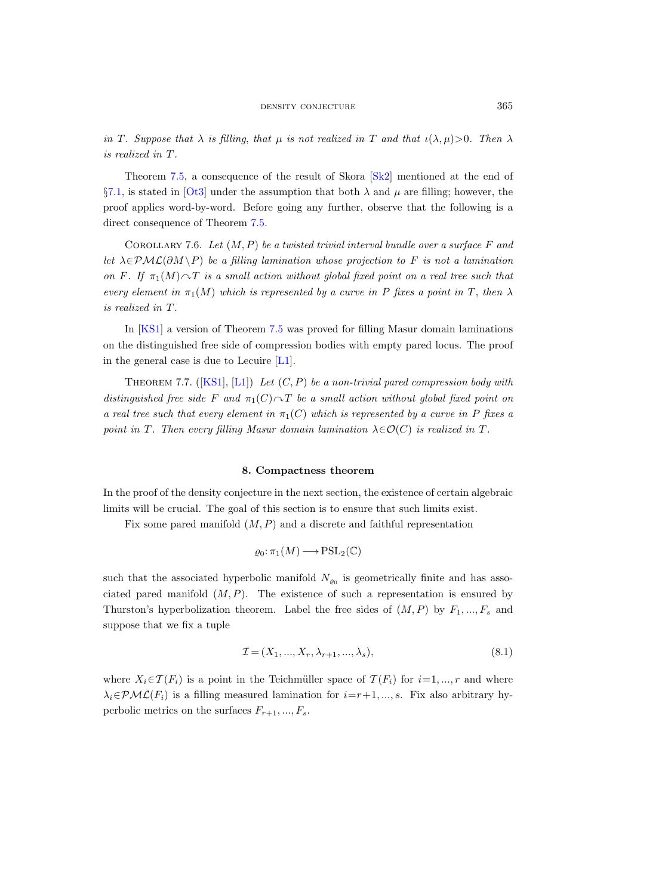in T. Suppose that  $\lambda$  is filling, that  $\mu$  is not realized in T and that  $\iota(\lambda, \mu) > 0$ . Then  $\lambda$ is realized in T.

Theorem [7.5,](#page-41-1) a consequence of the result of Skora [\[Sk2\]](#page-71-6) mentioned at the end of §[7.1,](#page-39-0) is stated in [\[Ot3\]](#page-71-7) under the assumption that both  $\lambda$  and  $\mu$  are filling; however, the proof applies word-by-word. Before going any further, observe that the following is a direct consequence of Theorem [7.5.](#page-41-1)

COROLLARY 7.6. Let  $(M, P)$  be a twisted trivial interval bundle over a surface F and let  $\lambda \in \mathcal{PML}(\partial M \setminus P)$  be a filling lamination whose projection to F is not a lamination on F. If  $\pi_1(M)\cap T$  is a small action without global fixed point on a real tree such that every element in  $\pi_1(M)$  which is represented by a curve in P fixes a point in T, then  $\lambda$ is realized in T.

In [\[KS1\]](#page-70-3) a version of Theorem [7.5](#page-41-1) was proved for filling Masur domain laminations on the distinguished free side of compression bodies with empty pared locus. The proof in the general case is due to Lecuire [\[L1\]](#page-71-11).

<span id="page-42-1"></span>THEOREM7.7.  $([KS1], [L1])$  $([KS1], [L1])$  $([KS1], [L1])$  $([KS1], [L1])$  $([KS1], [L1])$  Let  $(C, P)$  be a non-trivial pared compression body with distinguished free side F and  $\pi_1(C) \cap T$  be a small action without global fixed point on a real tree such that every element in  $\pi_1(C)$  which is represented by a curve in P fixes a point in T. Then every filling Masur domain lamination  $\lambda \in \mathcal{O}(C)$  is realized in T.

## 8. Compactness theorem

In the proof of the density conjecture in the next section, the existence of certain algebraic limits will be crucial. The goal of this section is to ensure that such limits exist.

Fix some pared manifold  $(M, P)$  and a discrete and faithful representation

$$
\varrho_0\colon \pi_1(M)\longrightarrow \mathrm{PSL}_2(\mathbb{C})
$$

such that the associated hyperbolic manifold  $N_{\varrho_0}$  is geometrically finite and has associated pared manifold  $(M, P)$ . The existence of such a representation is ensured by Thurston's hyperbolization theorem. Label the free sides of  $(M, P)$  by  $F_1, ..., F_s$  and suppose that we fix a tuple

<span id="page-42-0"></span>
$$
\mathcal{I} = (X_1, ..., X_r, \lambda_{r+1}, ..., \lambda_s),
$$
\n(8.1)

where  $X_i \in \mathcal{T}(F_i)$  is a point in the Teichmüller space of  $\mathcal{T}(F_i)$  for  $i=1,\dots,r$  and where  $\lambda_i \in \mathcal{PML}(F_i)$  is a filling measured lamination for  $i=r+1, ..., s$ . Fix also arbitrary hyperbolic metrics on the surfaces  $F_{r+1}, ..., F_s$ .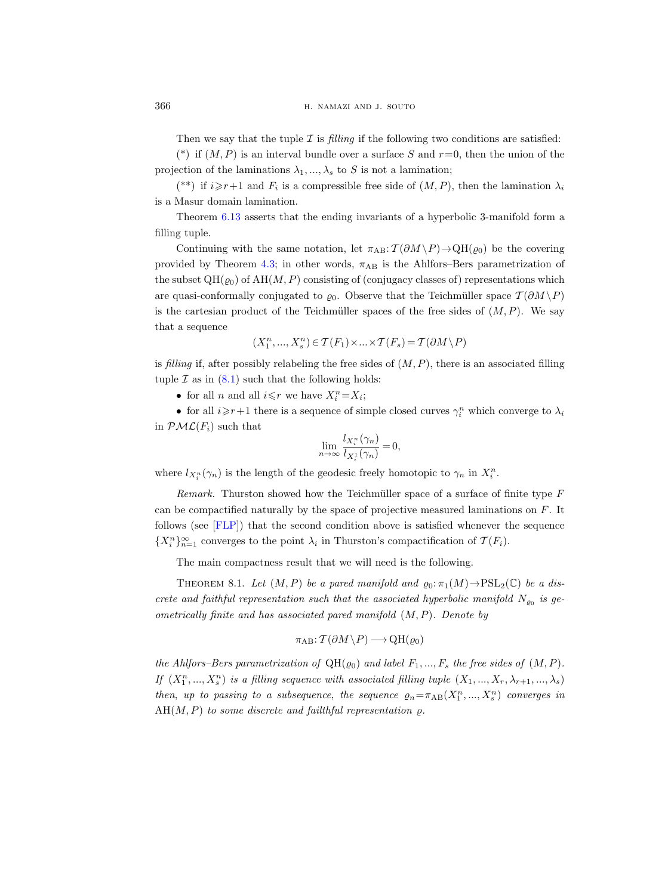Then we say that the tuple  $\mathcal I$  is *filling* if the following two conditions are satisfied:

(\*) if  $(M, P)$  is an interval bundle over a surface S and  $r=0$ , then the union of the projection of the laminations  $\lambda_1, ..., \lambda_s$  to S is not a lamination;

(\*\*) if  $i \geq r+1$  and  $F_i$  is a compressible free side of  $(M, P)$ , then the lamination  $\lambda_i$ is a Masur domain lamination.

Theorem [6.13](#page-36-0) asserts that the ending invariants of a hyperbolic 3-manifold form a filling tuple.

Continuing with the same notation, let  $\pi_{AB} : \mathcal{T}(\partial M \setminus P) \to \mathrm{QH}(\varrho_0)$  be the covering provided by Theorem [4.3;](#page-25-0) in other words,  $\pi_{AB}$  is the Ahlfors–Bers parametrization of the subset  $QH(\varrho_0)$  of  $AH(M, P)$  consisting of (conjugacy classes of) representations which are quasi-conformally conjugated to  $\rho_0$ . Observe that the Teichmüller space  $\mathcal{T}(\partial M \setminus P)$ is the cartesian product of the Teichmüller spaces of the free sides of  $(M, P)$ . We say that a sequence

$$
(X_1^n, ..., X_s^n) \in \mathcal{T}(F_1) \times ... \times \mathcal{T}(F_s) = \mathcal{T}(\partial M \setminus P)
$$

is filling if, after possibly relabeling the free sides of  $(M, P)$ , there is an associated filling tuple  $\mathcal I$  as in  $(8.1)$  such that the following holds:

• for all *n* and all  $i \leq r$  we have  $X_i^n = X_i$ ;

• for all  $i \geq r+1$  there is a sequence of simple closed curves  $\gamma_i^n$  which converge to  $\lambda_i$ in  $\mathcal{PML}(F_i)$  such that

$$
\lim_{n \to \infty} \frac{l_{X_i^n}(\gamma_n)}{l_{X_i^1}(\gamma_n)} = 0,
$$

where  $l_{X_i^n}(\gamma_n)$  is the length of the geodesic freely homotopic to  $\gamma_n$  in  $X_i^n$ .

Remark. Thurston showed how the Teichmüller space of a surface of finite type  $F$ can be compactified naturally by the space of projective measured laminations on F. It follows (see [\[FLP\]](#page-70-4)) that the second condition above is satisfied whenever the sequence  ${X_i^n}_{n=1}^\infty$  converges to the point  $\lambda_i$  in Thurston's compactification of  $\mathcal{T}(F_i)$ .

The main compactness result that we will need is the following.

<span id="page-43-0"></span>THEOREM 8.1. Let  $(M, P)$  be a pared manifold and  $\varrho_0: \pi_1(M) \to \mathrm{PSL}_2(\mathbb{C})$  be a discrete and faithful representation such that the associated hyperbolic manifold  $N_{\varrho_0}$  is geometrically finite and has associated pared manifold  $(M, P)$ . Denote by

$$
\pi_{AB} \colon \mathcal{T}(\partial M \setminus P) \longrightarrow \mathrm{QH}(\varrho_0)
$$

the Ahlfors–Bers parametrization of  $QH(\varrho_0)$  and label  $F_1, ..., F_s$  the free sides of  $(M, P)$ . If  $(X_1^n, ..., X_s^n)$  is a filling sequence with associated filling tuple  $(X_1, ..., X_r, \lambda_{r+1}, ..., \lambda_s)$ then, up to passing to a subsequence, the sequence  $\rho_n = \pi_{AB}(X_1^n, ..., X_s^n)$  converges in  $AH(M, P)$  to some discrete and failthful representation  $\rho$ .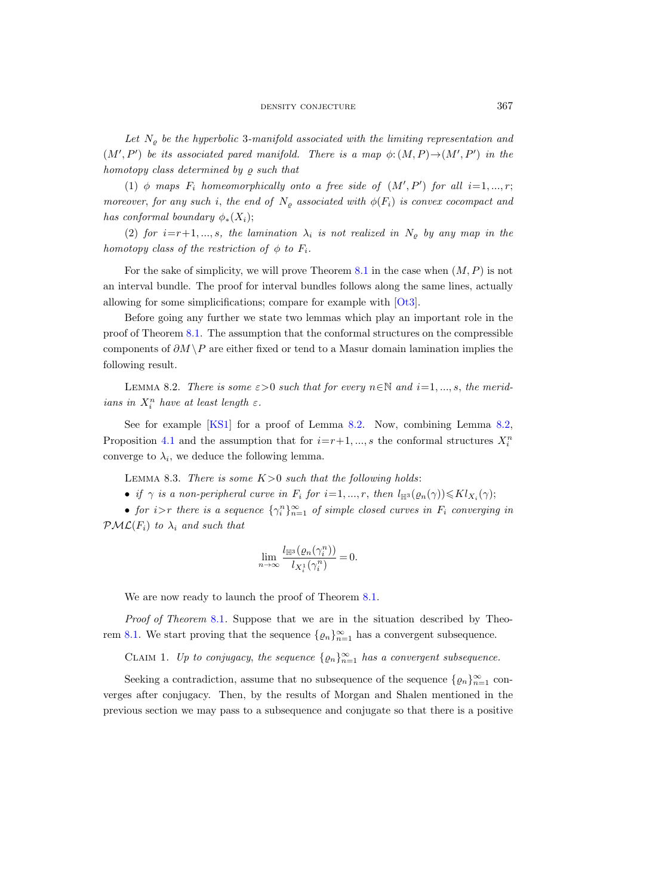Let  $N_{\rho}$  be the hyperbolic 3-manifold associated with the limiting representation and  $(M', P')$  be its associated pared manifold. There is a map  $\phi: (M, P) \rightarrow (M', P')$  in the homotopy class determined by  $\rho$  such that

(1)  $\phi$  maps  $F_i$  homeomorphically onto a free side of  $(M', P')$  for all  $i=1, ..., r;$ moreover, for any such i, the end of  $N_{\varrho}$  associated with  $\phi(F_i)$  is convex cocompact and has conformal boundary  $\phi_*(X_i)$ ;

(2) for  $i=r+1, ..., s$ , the lamination  $\lambda_i$  is not realized in  $N_{\varrho}$  by any map in the homotopy class of the restriction of  $\phi$  to  $F_i$ .

For the sake of simplicity, we will prove Theorem [8.1](#page-43-0) in the case when  $(M, P)$  is not an interval bundle. The proof for interval bundles follows along the same lines, actually allowing for some simplicifications; compare for example with [\[Ot3\]](#page-71-7).

Before going any further we state two lemmas which play an important role in the proof of Theorem [8.1.](#page-43-0) The assumption that the conformal structures on the compressible components of  $\partial M \backslash P$  are either fixed or tend to a Masur domain lamination implies the following result.

<span id="page-44-0"></span>LEMMA 8.2. There is some  $\varepsilon > 0$  such that for every  $n \in \mathbb{N}$  and  $i = 1, ..., s$ , the meridians in  $X_i^n$  have at least length  $\varepsilon$ .

See for example [\[KS1\]](#page-70-3) for a proof of Lemma [8.2.](#page-44-0) Now, combining Lemma [8.2,](#page-44-0) Proposition [4.1](#page-23-0) and the assumption that for  $i=r+1, ..., s$  the conformal structures  $X_i^n$ converge to  $\lambda_i$ , we deduce the following lemma.

<span id="page-44-1"></span>LEMMA 8.3. There is some  $K>0$  such that the following holds:

• if  $\gamma$  is a non-peripheral curve in  $F_i$  for  $i=1,\dots,r$ , then  $l_{\mathbb{H}^3}(\varrho_n(\gamma))\leqslant Kl_{X_i}(\gamma)$ ;

• for  $i>r$  there is a sequence  $\{\gamma_i^n\}_{n=1}^{\infty}$  of simple closed curves in  $F_i$  converging in  $\mathcal{PML}(F_i)$  to  $\lambda_i$  and such that

$$
\lim_{n \to \infty} \frac{l_{\mathbb{H}^3}(\varrho_n(\gamma_i^n))}{l_{X_i^1}(\gamma_i^n)} = 0.
$$

We are now ready to launch the proof of Theorem [8.1.](#page-43-0)

Proof of Theorem [8.1](#page-43-0). Suppose that we are in the situation described by Theo-rem [8.1.](#page-43-0) We start proving that the sequence  $\{ \varrho_n \}_{n=1}^{\infty}$  has a convergent subsequence.

CLAIM 1. Up to conjugacy, the sequence  $\{\varrho_n\}_{n=1}^{\infty}$  has a convergent subsequence.

Seeking a contradiction, assume that no subsequence of the sequence  $\{\varrho_n\}_{n=1}^{\infty}$  converges after conjugacy. Then, by the results of Morgan and Shalen mentioned in the previous section we may pass to a subsequence and conjugate so that there is a positive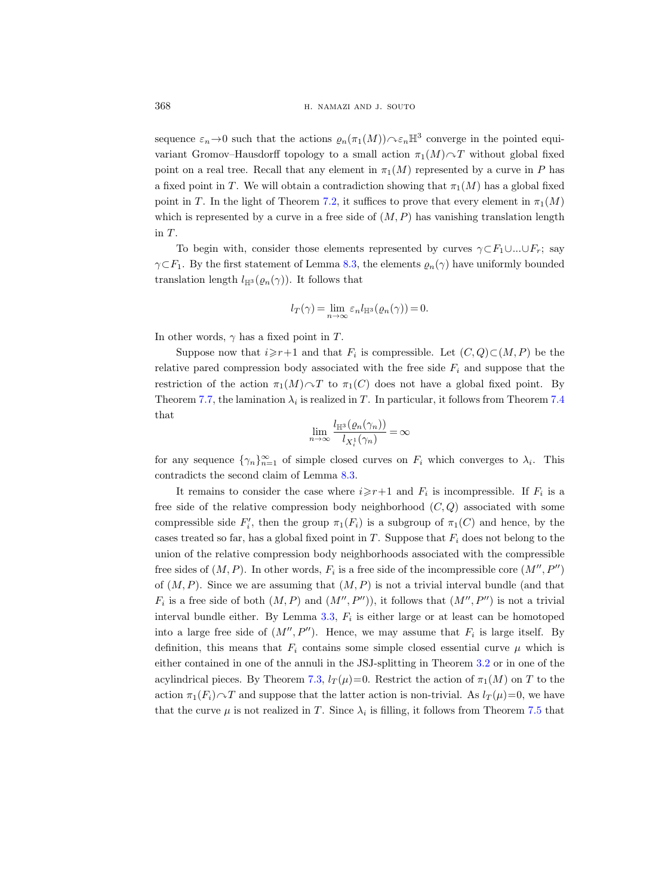sequence  $\varepsilon_n \to 0$  such that the actions  $\varrho_n(\pi_1(M)) \sim \varepsilon_n \mathbb{H}^3$  converge in the pointed equivariant Gromov–Hausdorff topology to a small action  $\pi_1(M)\cap T$  without global fixed point on a real tree. Recall that any element in  $\pi_1(M)$  represented by a curve in P has a fixed point in T. We will obtain a contradiction showing that  $\pi_1(M)$  has a global fixed point in T. In the light of Theorem [7.2,](#page-40-1) it suffices to prove that every element in  $\pi_1(M)$ which is represented by a curve in a free side of  $(M, P)$  has vanishing translation length in T.

To begin with, consider those elements represented by curves  $\gamma \subset F_1 \cup ... \cup F_r$ ; say  $\gamma \subset F_1$ . By the first statement of Lemma [8.3,](#page-44-1) the elements  $\varrho_n(\gamma)$  have uniformly bounded translation length  $l_{\mathbb{H}^3}(\varrho_n(\gamma))$ . It follows that

$$
l_T(\gamma) = \lim_{n \to \infty} \varepsilon_n l_{\mathbb{H}^3}(\varrho_n(\gamma)) = 0.
$$

In other words,  $\gamma$  has a fixed point in T.

Suppose now that  $i \geq r+1$  and that  $F_i$  is compressible. Let  $(C, Q) \subset (M, P)$  be the relative pared compression body associated with the free side  $F_i$  and suppose that the restriction of the action  $\pi_1(M)\sim T$  to  $\pi_1(C)$  does not have a global fixed point. By Theorem [7.7,](#page-42-1) the lamination  $\lambda_i$  is realized in T. In particular, it follows from Theorem [7.4](#page-41-0) that

$$
\lim_{n \to \infty} \frac{l_{\mathbb{H}^3}(\varrho_n(\gamma_n))}{l_{X_i^1}(\gamma_n)} = \infty
$$

for any sequence  $\{\gamma_n\}_{n=1}^{\infty}$  of simple closed curves on  $F_i$  which converges to  $\lambda_i$ . This contradicts the second claim of Lemma [8.3.](#page-44-1)

It remains to consider the case where  $i \geq r+1$  and  $F_i$  is incompressible. If  $F_i$  is a free side of the relative compression body neighborhood  $(C, Q)$  associated with some compressible side  $F'_i$ , then the group  $\pi_1(F_i)$  is a subgroup of  $\pi_1(C)$  and hence, by the cases treated so far, has a global fixed point in T. Suppose that  $F_i$  does not belong to the union of the relative compression body neighborhoods associated with the compressible free sides of  $(M, P)$ . In other words,  $F_i$  is a free side of the incompressible core  $(M'', P'')$ of  $(M, P)$ . Since we are assuming that  $(M, P)$  is not a trivial interval bundle (and that  $F_i$  is a free side of both  $(M, P)$  and  $(M'', P'')$ , it follows that  $(M'', P'')$  is not a trivial interval bundle either. By Lemma  $3.3$ ,  $F_i$  is either large or at least can be homotoped into a large free side of  $(M'', P'')$ . Hence, we may assume that  $F_i$  is large itself. By definition, this means that  $F_i$  contains some simple closed essential curve  $\mu$  which is either contained in one of the annuli in the JSJ-splitting in Theorem [3.2](#page-10-0) or in one of the acylindrical pieces. By Theorem [7.3,](#page-40-0)  $l_T(\mu)=0$ . Restrict the action of  $\pi_1(M)$  on T to the action  $\pi_1(F_i) \cap T$  and suppose that the latter action is non-trivial. As  $l_T(\mu)=0$ , we have that the curve  $\mu$  is not realized in T. Since  $\lambda_i$  is filling, it follows from Theorem [7.5](#page-41-1) that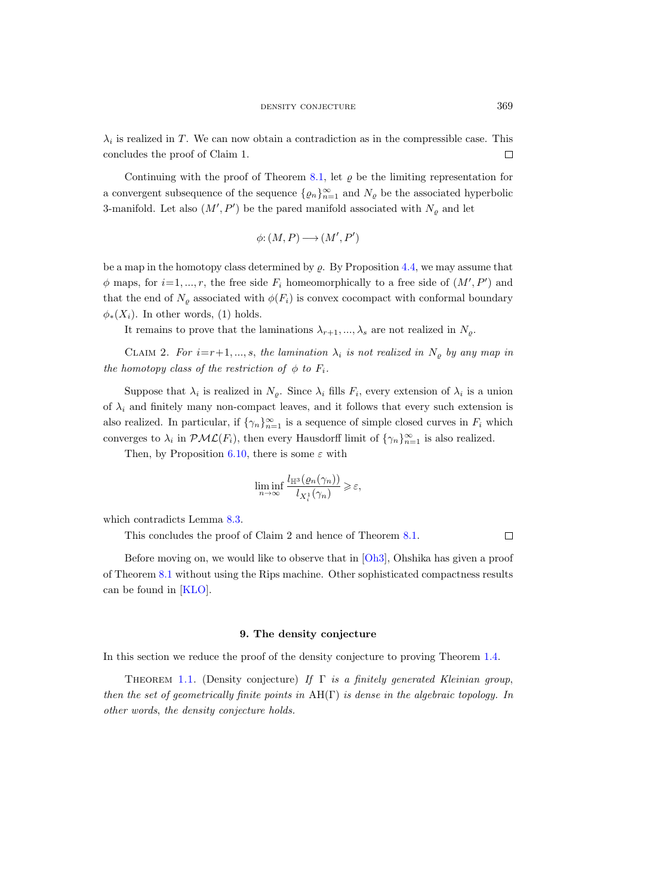$\lambda_i$  is realized in T. We can now obtain a contradiction as in the compressible case. This concludes the proof of Claim 1.  $\Box$ 

Continuing with the proof of Theorem [8.1,](#page-43-0) let  $\rho$  be the limiting representation for a convergent subsequence of the sequence  $\{ \varrho_n \}_{n=1}^{\infty}$  and  $N_{\varrho}$  be the associated hyperbolic 3-manifold. Let also  $(M', P')$  be the pared manifold associated with  $N_{\varrho}$  and let

$$
\phi\colon (M,P)\longrightarrow (M',P')
$$

be a map in the homotopy class determined by  $\rho$ . By Proposition [4.4,](#page-26-0) we may assume that  $\phi$  maps, for  $i=1,\ldots,r$ , the free side  $F_i$  homeomorphically to a free side of  $(M',P')$  and that the end of  $N_{\rho}$  associated with  $\phi(F_i)$  is convex cocompact with conformal boundary  $\phi_*(X_i)$ . In other words, (1) holds.

It remains to prove that the laminations  $\lambda_{r+1},...,\lambda_s$  are not realized in  $N_\rho$ .

CLAIM 2. For  $i=r+1, ..., s$ , the lamination  $\lambda_i$  is not realized in  $N_{\varrho}$  by any map in the homotopy class of the restriction of  $\phi$  to  $F_i$ .

Suppose that  $\lambda_i$  is realized in  $N_{\varrho}$ . Since  $\lambda_i$  fills  $F_i$ , every extension of  $\lambda_i$  is a union of  $\lambda_i$  and finitely many non-compact leaves, and it follows that every such extension is also realized. In particular, if  $\{\gamma_n\}_{n=1}^{\infty}$  is a sequence of simple closed curves in  $F_i$  which converges to  $\lambda_i$  in  $\mathcal{PML}(F_i)$ , then every Hausdorff limit of  $\{\gamma_n\}_{n=1}^{\infty}$  is also realized.

Then, by Proposition [6.10,](#page-35-1) there is some  $\varepsilon$  with

$$
\liminf_{n \to \infty} \frac{l_{\mathbb{H}^3}(\varrho_n(\gamma_n))}{l_{X_i^1}(\gamma_n)} \geqslant \varepsilon,
$$

which contradicts Lemma [8.3.](#page-44-1)

This concludes the proof of Claim 2 and hence of Theorem [8.1.](#page-43-0)

 $\Box$ 

Before moving on, we would like to observe that in [\[Oh3\]](#page-71-12), Ohshika has given a proof of Theorem [8.1](#page-43-0) without using the Rips machine. Other sophisticated compactness results can be found in [\[KLO\]](#page-70-5).

## 9. The density conjecture

<span id="page-46-0"></span>In this section we reduce the proof of the density conjecture to proving Theorem [1.4.](#page-3-0)

THEOREM [1.1.](#page-1-0) (Density conjecture) If  $\Gamma$  is a finitely generated Kleinian group, then the set of geometrically finite points in  $AH(\Gamma)$  is dense in the algebraic topology. In other words, the density conjecture holds.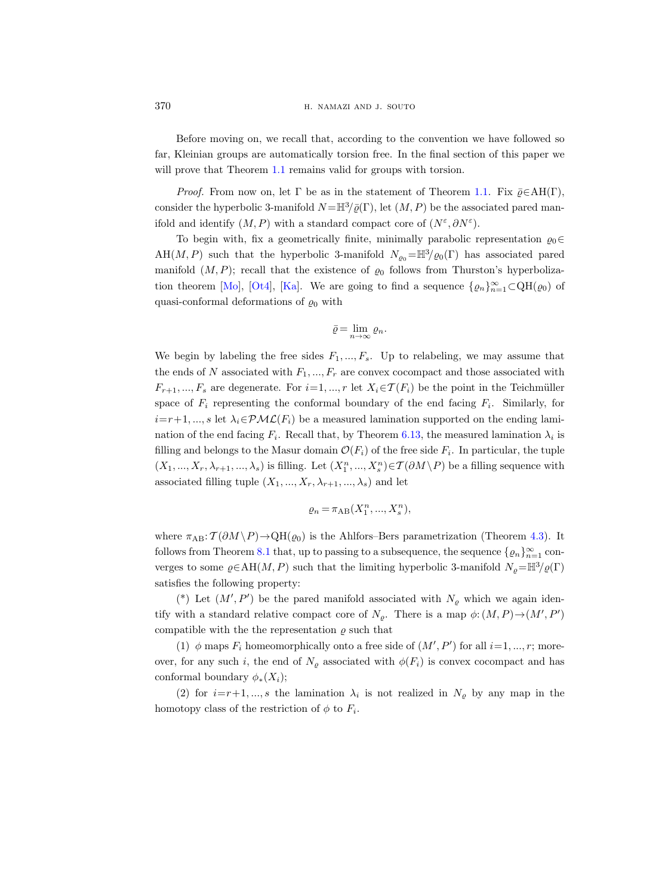370 **h.** namazi and j. souto

Before moving on, we recall that, according to the convention we have followed so far, Kleinian groups are automatically torsion free. In the final section of this paper we will prove that Theorem [1.1](#page-1-0) remains valid for groups with torsion.

*Proof.* From now on, let Γ be as in the statement of Theorem [1.1.](#page-1-0) Fix  $\bar{\rho} \in AH(\Gamma)$ , consider the hyperbolic 3-manifold  $N = \mathbb{H}^3/\bar{\varrho}(\Gamma)$ , let  $(M, P)$  be the associated pared manifold and identify  $(M, P)$  with a standard compact core of  $(N^{\varepsilon}, \partial N^{\varepsilon})$ .

To begin with, fix a geometrically finite, minimally parabolic representation  $\varrho_0 \in$ AH(M, P) such that the hyperbolic 3-manifold  $N_{\rho_0}=\mathbb{H}^3/\rho_0(\Gamma)$  has associated pared manifold  $(M, P)$ ; recall that the existence of  $\varrho_0$  follows from Thurston's hyperboliza-tion theorem [\[Mo\]](#page-71-13), [\[Ot4\]](#page-71-14), [\[Ka\]](#page-70-2). We are going to find a sequence  $\{\varrho_n\}_{n=1}^{\infty} \subset QH(\varrho_0)$  of quasi-conformal deformations of  $\varrho_0$  with

$$
\bar{\varrho} = \lim_{n \to \infty} \varrho_n.
$$

We begin by labeling the free sides  $F_1, ..., F_s$ . Up to relabeling, we may assume that the ends of N associated with  $F_1, ..., F_r$  are convex cocompact and those associated with  $F_{r+1},..., F_s$  are degenerate. For  $i=1,...,r$  let  $X_i \in \mathcal{T}(F_i)$  be the point in the Teichmüller space of  $F_i$  representing the conformal boundary of the end facing  $F_i$ . Similarly, for  $i=r+1, ..., s$  let  $\lambda_i \in \mathcal{PML}(F_i)$  be a measured lamination supported on the ending lamination of the end facing  $F_i$ . Recall that, by Theorem [6.13,](#page-36-0) the measured lamination  $\lambda_i$  is filling and belongs to the Masur domain  $\mathcal{O}(F_i)$  of the free side  $F_i$ . In particular, the tuple  $(X_1, ..., X_r, \lambda_{r+1}, ..., \lambda_s)$  is filling. Let  $(X_1^n, ..., X_s^n) \in \mathcal{T}(\partial M \setminus P)$  be a filling sequence with associated filling tuple  $(X_1, ..., X_r, \lambda_{r+1}, ..., \lambda_s)$  and let

$$
\varrho_n = \pi_{AB}(X_1^n, ..., X_s^n),
$$

where  $\pi_{AB} : \mathcal{T}(\partial M \setminus P) \to \mathrm{QH}(\varrho_0)$  is the Ahlfors–Bers parametrization (Theorem [4.3\)](#page-25-0). It follows from Theorem [8.1](#page-43-0) that, up to passing to a subsequence, the sequence  $\{\varrho_n\}_{n=1}^{\infty}$  converges to some  $\varrho \in AH(M, P)$  such that the limiting hyperbolic 3-manifold  $N_{\varrho}=\mathbb{H}^3/\varrho(\Gamma)$ satisfies the following property:

(\*) Let  $(M', P')$  be the pared manifold associated with  $N_{\varrho}$  which we again identify with a standard relative compact core of  $N_{\varrho}$ . There is a map  $\phi: (M, P) \rightarrow (M', P')$ compatible with the the representation  $\rho$  such that

(1)  $\phi$  maps  $F_i$  homeomorphically onto a free side of  $(M', P')$  for all  $i=1, ..., r$ ; moreover, for any such i, the end of  $N_{\rho}$  associated with  $\phi(F_i)$  is convex cocompact and has conformal boundary  $\phi_*(X_i);$ 

(2) for  $i=r+1, ..., s$  the lamination  $\lambda_i$  is not realized in  $N_{\varrho}$  by any map in the homotopy class of the restriction of  $\phi$  to  $F_i$ .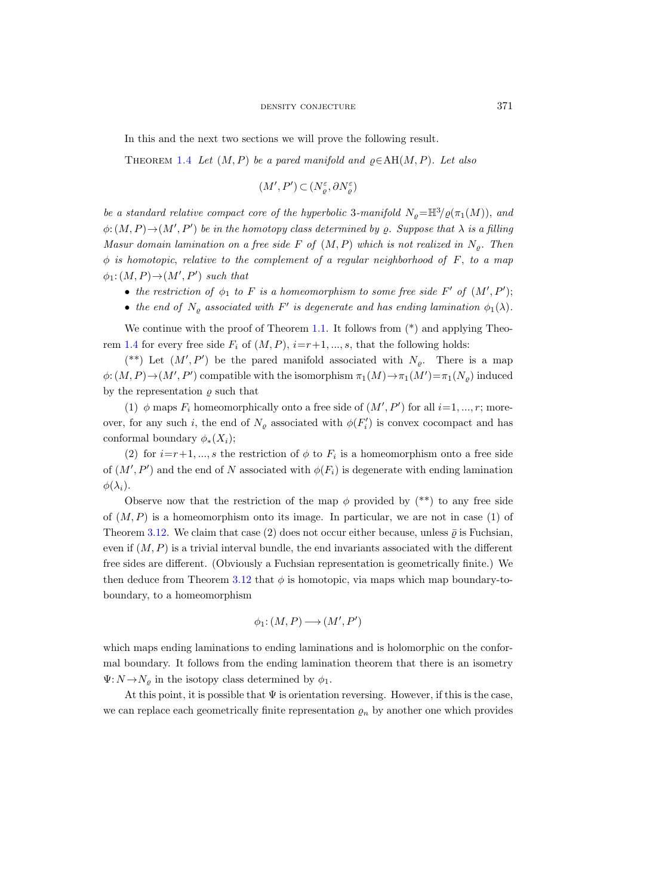In this and the next two sections we will prove the following result.

THEOREM [1.4](#page-3-0) Let  $(M, P)$  be a pared manifold and  $\rho \in AH(M, P)$ . Let also

$$
(M',P')\subset (N^\varepsilon_\varrho,\partial N^\varepsilon_\varrho)
$$

be a standard relative compact core of the hyperbolic 3-manifold  $N_{\rho}=\mathbb{H}^3/\rho(\pi_1(M))$ , and  $\phi: (M, P) \to (M', P')$  be in the homotopy class determined by  $\rho$ . Suppose that  $\lambda$  is a filling Masur domain lamination on a free side F of  $(M, P)$  which is not realized in  $N<sub>o</sub>$ . Then  $\phi$  is homotopic, relative to the complement of a regular neighborhood of F, to a map  $\phi_1: (M, P) \to (M', P')$  such that

- the restriction of  $\phi_1$  to F is a homeomorphism to some free side F' of  $(M', P')$ ;
- the end of  $N_{\varrho}$  associated with F' is degenerate and has ending lamination  $\phi_1(\lambda)$ .

We continue with the proof of Theorem [1.1.](#page-1-0) It follows from  $(*)$  and applying Theo-rem [1.4](#page-3-0) for every free side  $F_i$  of  $(M, P)$ ,  $i=r+1, ..., s$ , that the following holds:

(\*\*) Let  $(M', P')$  be the pared manifold associated with  $N_{\varrho}$ . There is a map  $\phi: (M, P) \to (M', P')$  compatible with the isomorphism  $\pi_1(M) \to \pi_1(M') = \pi_1(N_g)$  induced by the representation  $\rho$  such that

(1)  $\phi$  maps  $F_i$  homeomorphically onto a free side of  $(M', P')$  for all  $i=1, ..., r$ ; moreover, for any such i, the end of  $N_{\varrho}$  associated with  $\phi(F_i')$  is convex cocompact and has conformal boundary  $\phi_*(X_i);$ 

(2) for  $i=r+1, ..., s$  the restriction of  $\phi$  to  $F_i$  is a homeomorphism onto a free side of  $(M', P')$  and the end of N associated with  $\phi(F_i)$  is degenerate with ending lamination  $\phi(\lambda_i)$ .

Observe now that the restriction of the map  $\phi$  provided by (\*\*) to any free side of  $(M, P)$  is a homeomorphism onto its image. In particular, we are not in case (1) of Theorem [3.12.](#page-15-0) We claim that case (2) does not occur either because, unless  $\bar{\rho}$  is Fuchsian, even if  $(M, P)$  is a trivial interval bundle, the end invariants associated with the different free sides are different. (Obviously a Fuchsian representation is geometrically finite.) We then deduce from Theorem [3.12](#page-15-0) that  $\phi$  is homotopic, via maps which map boundary-toboundary, to a homeomorphism

$$
\phi_1\hbox{\rm :}\ (M,P)\longrightarrow (M',P')
$$

which maps ending laminations to ending laminations and is holomorphic on the conformal boundary. It follows from the ending lamination theorem that there is an isometry  $\Psi: N \rightarrow N_{\rho}$  in the isotopy class determined by  $\phi_1$ .

At this point, it is possible that  $\Psi$  is orientation reversing. However, if this is the case, we can replace each geometrically finite representation  $\varrho_n$  by another one which provides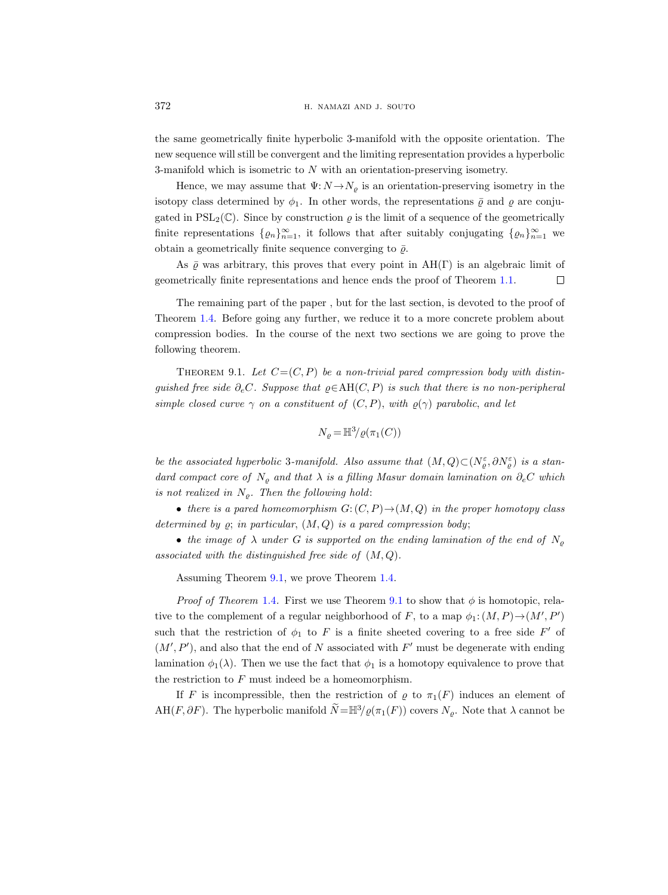the same geometrically finite hyperbolic 3-manifold with the opposite orientation. The new sequence will still be convergent and the limiting representation provides a hyperbolic 3-manifold which is isometric to N with an orientation-preserving isometry.

Hence, we may assume that  $\Psi: N \to N_\rho$  is an orientation-preserving isometry in the isotopy class determined by  $\phi_1$ . In other words, the representations  $\bar{\varrho}$  and  $\varrho$  are conjugated in  $PSL_2(\mathbb{C})$ . Since by construction  $\varrho$  is the limit of a sequence of the geometrically finite representations  $\{\varrho_n\}_{n=1}^{\infty}$ , it follows that after suitably conjugating  $\{\varrho_n\}_{n=1}^{\infty}$  we obtain a geometrically finite sequence converging to  $\bar{\varrho}$ .

As  $\bar{\varrho}$  was arbitrary, this proves that every point in AH(Γ) is an algebraic limit of geometrically finite representations and hence ends the proof of Theorem [1.1.](#page-1-0)  $\Box$ 

The remaining part of the paper , but for the last section, is devoted to the proof of Theorem [1.4.](#page-3-0) Before going any further, we reduce it to a more concrete problem about compression bodies. In the course of the next two sections we are going to prove the following theorem.

<span id="page-49-0"></span>THEOREM 9.1. Let  $C=(C, P)$  be a non-trivial pared compression body with distinquished free side  $\partial_e C$ . Suppose that  $\rho \in AH(C, P)$  is such that there is no non-peripheral simple closed curve  $\gamma$  on a constituent of  $(C, P)$ , with  $\varrho(\gamma)$  parabolic, and let

$$
N_{\varrho} = \mathbb{H}^3/\varrho(\pi_1(C))
$$

be the associated hyperbolic 3-manifold. Also assume that  $(M,Q) \subset (N_{\varrho}^{\varepsilon},\partial N_{\varrho}^{\varepsilon})$  is a standard compact core of  $N_{\varrho}$  and that  $\lambda$  is a filling Masur domain lamination on  $\partial_{\varepsilon}C$  which is not realized in  $N<sub>\rho</sub>$ . Then the following hold:

• there is a pared homeomorphism  $G: (C, P) \to (M, Q)$  in the proper homotopy class determined by  $\rho$ ; in particular,  $(M, Q)$  is a pared compression body;

• the image of  $\lambda$  under G is supported on the ending lamination of the end of  $N_o$ associated with the distinguished free side of  $(M, Q)$ .

Assuming Theorem [9.1,](#page-49-0) we prove Theorem [1.4.](#page-3-0)

*Proof of Theorem [1.4](#page-3-0).* First we use Theorem [9.1](#page-49-0) to show that  $\phi$  is homotopic, relative to the complement of a regular neighborhood of F, to a map  $\phi_1$ :  $(M, P)$  $\rightarrow$  $(M', P')$ such that the restriction of  $\phi_1$  to F is a finite sheeted covering to a free side F' of  $(M', P')$ , and also that the end of N associated with F' must be degenerate with ending lamination  $\phi_1(\lambda)$ . Then we use the fact that  $\phi_1$  is a homotopy equivalence to prove that the restriction to  $F$  must indeed be a homeomorphism.

If F is incompressible, then the restriction of  $\rho$  to  $\pi_1(F)$  induces an element of AH(F, $\partial F$ ). The hyperbolic manifold  $\widetilde{N}=\mathbb{H}^3/\varrho(\pi_1(F))$  covers  $N_\varrho$ . Note that  $\lambda$  cannot be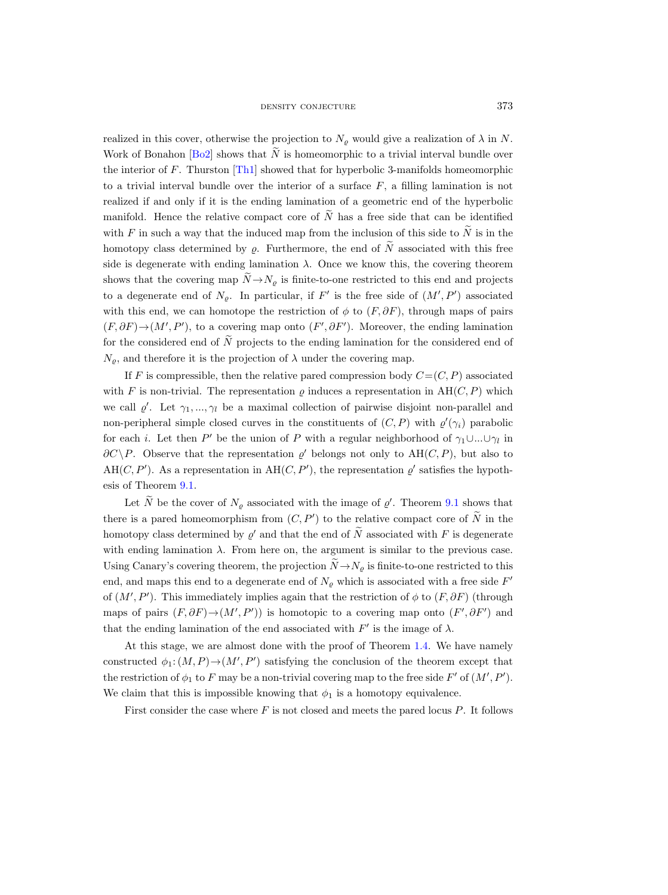realized in this cover, otherwise the projection to  $N_{\rho}$  would give a realization of  $\lambda$  in N. Work of Bonahon [\[Bo2\]](#page-69-1) shows that  $\tilde{N}$  is homeomorphic to a trivial interval bundle over the interior of F. Thurston [\[Th1\]](#page-72-0) showed that for hyperbolic 3-manifolds homeomorphic to a trivial interval bundle over the interior of a surface  $F$ , a filling lamination is not realized if and only if it is the ending lamination of a geometric end of the hyperbolic manifold. Hence the relative compact core of  $\tilde{N}$  has a free side that can be identified with F in such a way that the induced map from the inclusion of this side to  $\tilde{N}$  is in the homotopy class determined by  $\rho$ . Furthermore, the end of  $\tilde{N}$  associated with this free side is degenerate with ending lamination  $\lambda$ . Once we know this, the covering theorem shows that the covering map  $\widetilde{N} \rightarrow N_{\varrho}$  is finite-to-one restricted to this end and projects to a degenerate end of  $N_{\varrho}$ . In particular, if F' is the free side of  $(M', P')$  associated with this end, we can homotope the restriction of  $\phi$  to  $(F, \partial F)$ , through maps of pairs  $(F, \partial F) \to (M', P')$ , to a covering map onto  $(F', \partial F')$ . Moreover, the ending lamination for the considered end of  $\widetilde{N}$  projects to the ending lamination for the considered end of  $N_{\varrho}$ , and therefore it is the projection of  $\lambda$  under the covering map.

If F is compressible, then the relative pared compression body  $C=(C, P)$  associated with F is non-trivial. The representation  $\varrho$  induces a representation in AH(C, P) which we call  $\varrho'$ . Let  $\gamma_1, ..., \gamma_l$  be a maximal collection of pairwise disjoint non-parallel and non-peripheral simple closed curves in the constituents of  $(C, P)$  with  $\varrho'(\gamma_i)$  parabolic for each *i*. Let then  $P'$  be the union of P with a regular neighborhood of  $\gamma_1 \cup ... \cup \gamma_l$  in  $\partial C \backslash P$ . Observe that the representation  $\rho'$  belongs not only to AH(C, P), but also to AH(C, P'). As a representation in  $AH(C, P')$ , the representation  $\varrho'$  satisfies the hypothesis of Theorem [9.1.](#page-49-0)

Let N be the cover of  $N_{\varrho}$  associated with the image of  $\varrho'$ . Theorem [9.1](#page-49-0) shows that there is a pared homeomorphism from  $(C, P')$  to the relative compact core of  $\tilde{N}$  in the homotopy class determined by  $\varrho'$  and that the end of  $\widetilde{N}$  associated with F is degenerate with ending lamination  $\lambda$ . From here on, the argument is similar to the previous case. Using Canary's covering theorem, the projection  $\tilde{N} \rightarrow N_{\rho}$  is finite-to-one restricted to this end, and maps this end to a degenerate end of  $N_{\varrho}$  which is associated with a free side  $F'$ of  $(M', P')$ . This immediately implies again that the restriction of  $\phi$  to  $(F, \partial F)$  (through maps of pairs  $(F, \partial F) \rightarrow (M', P')$  is homotopic to a covering map onto  $(F', \partial F')$  and that the ending lamination of the end associated with  $F'$  is the image of  $\lambda$ .

At this stage, we are almost done with the proof of Theorem [1.4.](#page-3-0) We have namely constructed  $\phi_1: (M, P) \to (M', P')$  satisfying the conclusion of the theorem except that the restriction of  $\phi_1$  to F may be a non-trivial covering map to the free side F' of  $(M', P')$ . We claim that this is impossible knowing that  $\phi_1$  is a homotopy equivalence.

First consider the case where  $F$  is not closed and meets the pared locus  $P$ . It follows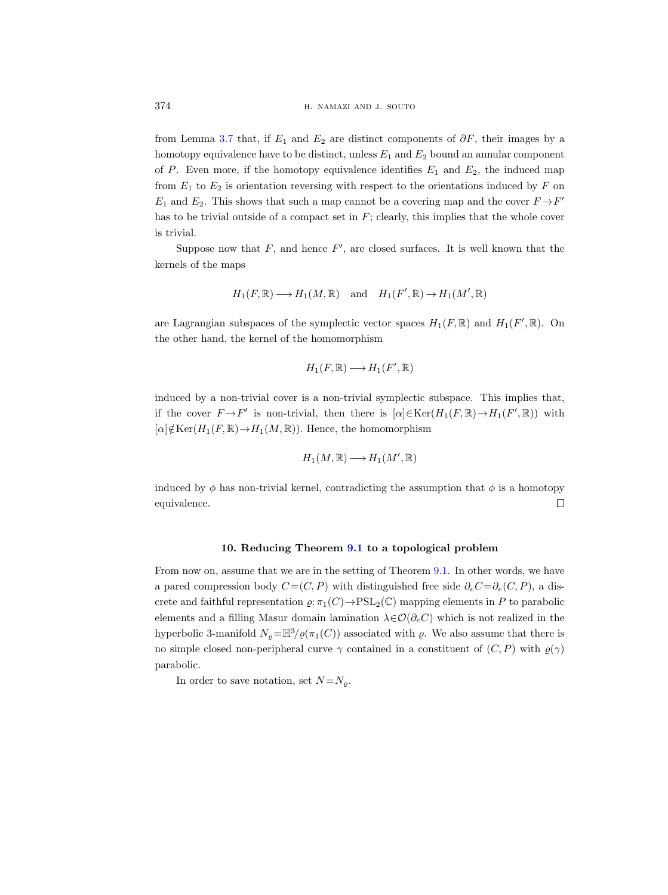from Lemma [3.7](#page-14-0) that, if  $E_1$  and  $E_2$  are distinct components of  $\partial F$ , their images by a homotopy equivalence have to be distinct, unless  $E_1$  and  $E_2$  bound an annular component of P. Even more, if the homotopy equivalence identifies  $E_1$  and  $E_2$ , the induced map from  $E_1$  to  $E_2$  is orientation reversing with respect to the orientations induced by F on  $E_1$  and  $E_2$ . This shows that such a map cannot be a covering map and the cover  $F \rightarrow F'$ has to be trivial outside of a compact set in  $F$ ; clearly, this implies that the whole cover is trivial.

Suppose now that  $F$ , and hence  $F'$ , are closed surfaces. It is well known that the kernels of the maps

$$
H_1(F, \mathbb{R}) \longrightarrow H_1(M, \mathbb{R})
$$
 and  $H_1(F', \mathbb{R}) \longrightarrow H_1(M', \mathbb{R})$ 

are Lagrangian subspaces of the symplectic vector spaces  $H_1(F, \mathbb{R})$  and  $H_1(F', \mathbb{R})$ . On the other hand, the kernel of the homomorphism

$$
H_1(F,\mathbb{R})\longrightarrow H_1(F',\mathbb{R})
$$

induced by a non-trivial cover is a non-trivial symplectic subspace. This implies that, if the cover  $F \to F'$  is non-trivial, then there is  $[\alpha] \in \text{Ker}(H_1(F, \mathbb{R}) \to H_1(F', \mathbb{R}))$  with  $[\alpha]\notin\text{Ker}(H_1(F,\mathbb{R})\to H_1(M,\mathbb{R}))$ . Hence, the homomorphism

$$
H_1(M,\mathbb{R})\longrightarrow H_1(M',\mathbb{R})
$$

induced by  $\phi$  has non-trivial kernel, contradicting the assumption that  $\phi$  is a homotopy equivalence.  $\Box$ 

### 10. Reducing Theorem [9.1](#page-49-0) to a topological problem

From now on, assume that we are in the setting of Theorem [9.1.](#page-49-0) In other words, we have a pared compression body  $C=(C, P)$  with distinguished free side  $\partial_e C=\partial_e(C, P)$ , a discrete and faithful representation  $\rho: \pi_1(C) \to \text{PSL}_2(\mathbb{C})$  mapping elements in P to parabolic elements and a filling Masur domain lamination  $\lambda \in \mathcal{O}(\partial_e C)$  which is not realized in the hyperbolic 3-manifold  $N_{\varrho}=\mathbb{H}^3/\varrho(\pi_1(C))$  associated with  $\varrho$ . We also assume that there is no simple closed non-peripheral curve  $\gamma$  contained in a constituent of  $(C, P)$  with  $\varrho(\gamma)$ parabolic.

In order to save notation, set  $N = N<sub>\rho</sub>$ .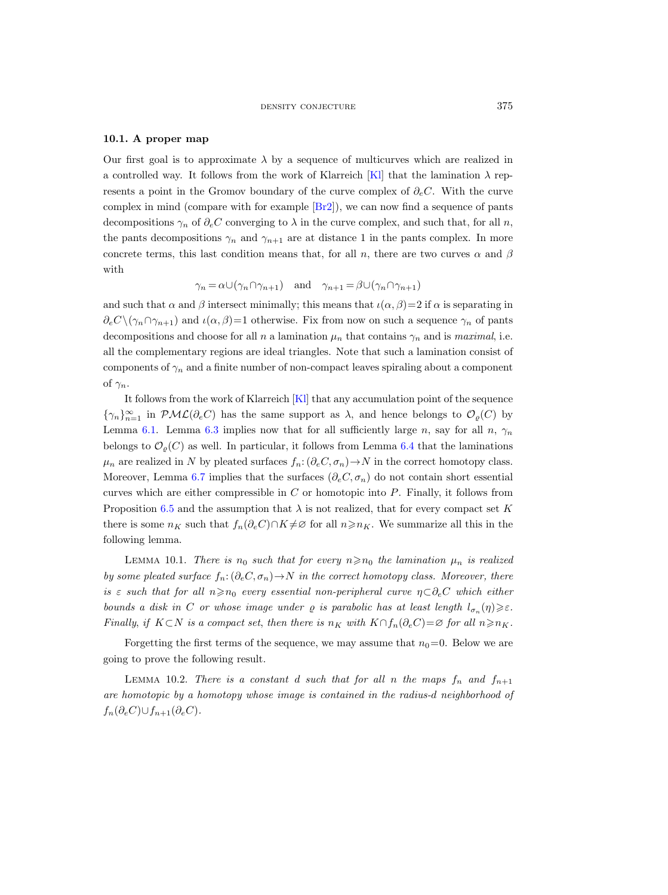#### 10.1. A proper map

Our first goal is to approximate  $\lambda$  by a sequence of multicurves which are realized in a controlled way. It follows from the work of Klarreich [\[Kl\]](#page-70-6) that the lamination  $\lambda$  represents a point in the Gromov boundary of the curve complex of  $\partial_{\epsilon} C$ . With the curve complex in mind (compare with for example [\[Br2\]](#page-69-6)), we can now find a sequence of pants decompositions  $\gamma_n$  of  $\partial_e C$  converging to  $\lambda$  in the curve complex, and such that, for all n, the pants decompositions  $\gamma_n$  and  $\gamma_{n+1}$  are at distance 1 in the pants complex. In more concrete terms, this last condition means that, for all n, there are two curves  $\alpha$  and  $\beta$ with

$$
\gamma_n = \alpha \cup (\gamma_n \cap \gamma_{n+1})
$$
 and  $\gamma_{n+1} = \beta \cup (\gamma_n \cap \gamma_{n+1})$ 

and such that  $\alpha$  and  $\beta$  intersect minimally; this means that  $\iota(\alpha, \beta)=2$  if  $\alpha$  is separating in  $\partial_e C \setminus (\gamma_n \cap \gamma_{n+1})$  and  $\iota(\alpha, \beta) = 1$  otherwise. Fix from now on such a sequence  $\gamma_n$  of pants decompositions and choose for all n a lamination  $\mu_n$  that contains  $\gamma_n$  and is maximal, i.e. all the complementary regions are ideal triangles. Note that such a lamination consist of components of  $\gamma_n$  and a finite number of non-compact leaves spiraling about a component of  $\gamma_n$ .

It follows from the work of Klarreich [\[Kl\]](#page-70-6) that any accumulation point of the sequence  ${\gamma_n}_{n=1}^{\infty}$  in  $\mathcal{PML}(\partial_e C)$  has the same support as  $\lambda$ , and hence belongs to  $\mathcal{O}_{\rho}(C)$  by Lemma [6.1.](#page-31-0) Lemma [6.3](#page-33-1) implies now that for all sufficiently large n, say for all n,  $\gamma_n$ belongs to  $\mathcal{O}_{\rho}(C)$  as well. In particular, it follows from Lemma [6.4](#page-33-2) that the laminations  $\mu_n$  are realized in N by pleated surfaces  $f_n: (\partial_e C, \sigma_n) \to N$  in the correct homotopy class. Moreover, Lemma [6.7](#page-34-0) implies that the surfaces  $(\partial_e C, \sigma_n)$  do not contain short essential curves which are either compressible in  $C$  or homotopic into  $P$ . Finally, it follows from Proposition [6.5](#page-33-0) and the assumption that  $\lambda$  is not realized, that for every compact set K there is some  $n_K$  such that  $f_n(\partial_e C) \cap K \neq \emptyset$  for all  $n \geq n_K$ . We summarize all this in the following lemma.

<span id="page-52-1"></span>LEMMA 10.1. There is  $n_0$  such that for every  $n \ge n_0$  the lamination  $\mu_n$  is realized by some pleated surface  $f_n: (\partial_e C, \sigma_n) \to N$  in the correct homotopy class. Moreover, there is  $\varepsilon$  such that for all  $n\geqslant n_0$  every essential non-peripheral curve  $\eta\subset \partial_eC$  which either bounds a disk in C or whose image under  $\rho$  is parabolic has at least length  $l_{\sigma_n}(\eta) \geqslant \varepsilon$ . Finally, if  $K\subset N$  is a compact set, then there is  $n_K$  with  $K\cap f_n(\partial_e C)=\emptyset$  for all  $n\geq n_K$ .

Forgetting the first terms of the sequence, we may assume that  $n_0=0$ . Below we are going to prove the following result.

<span id="page-52-0"></span>LEMMA 10.2. There is a constant d such that for all n the maps  $f_n$  and  $f_{n+1}$ are homotopic by a homotopy whose image is contained in the radius-d neighborhood of  $f_n(\partial_e C) \cup f_{n+1}(\partial_e C)$ .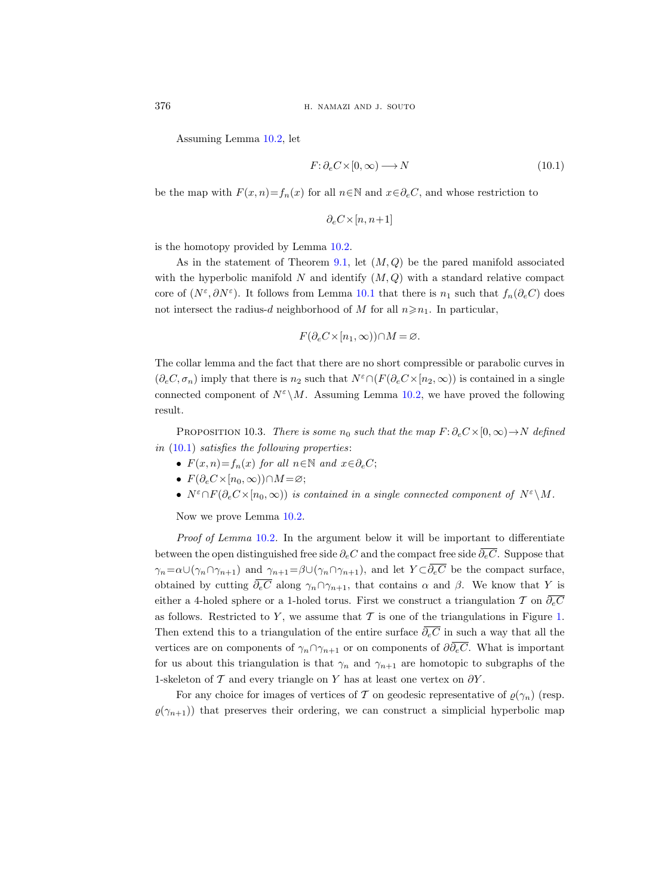Assuming Lemma [10.2,](#page-52-0) let

<span id="page-53-0"></span>
$$
F: \partial_e C \times [0, \infty) \longrightarrow N \tag{10.1}
$$

be the map with  $F(x, n) = f_n(x)$  for all  $n \in \mathbb{N}$  and  $x \in \partial_e C$ , and whose restriction to

$$
\partial_e C \times [n, n+1]
$$

is the homotopy provided by Lemma [10.2.](#page-52-0)

As in the statement of Theorem [9.1,](#page-49-0) let  $(M, Q)$  be the pared manifold associated with the hyperbolic manifold N and identify  $(M, Q)$  with a standard relative compact core of  $(N^{\varepsilon}, \partial N^{\varepsilon})$ . It follows from Lemma [10.1](#page-52-1) that there is  $n_1$  such that  $f_n(\partial_e C)$  does not intersect the radius-d neighborhood of M for all  $n \geq n_1$ . In particular,

$$
F(\partial_e C \times [n_1, \infty)) \cap M = \varnothing.
$$

The collar lemma and the fact that there are no short compressible or parabolic curves in  $(\partial_e C, \sigma_n)$  imply that there is  $n_2$  such that  $N^{\varepsilon} \cap (F(\partial_e C \times [n_2, \infty)))$  is contained in a single connected component of  $N^{\varepsilon} \backslash M$ . Assuming Lemma [10.2,](#page-52-0) we have proved the following result.

<span id="page-53-1"></span>PROPOSITION 10.3. There is some  $n_0$  such that the map  $F: \partial_e C \times [0, \infty) \to N$  defined in  $(10.1)$  satisfies the following properties:

- $F(x, n) = f_n(x)$  for all  $n \in \mathbb{N}$  and  $x \in \partial_e C$ ;
- $F(\partial_e C \times [n_0, \infty)) \cap M = \varnothing;$
- $N^{\varepsilon} \cap F(\partial_e C \times [n_0, \infty))$  is contained in a single connected component of  $N^{\varepsilon} \backslash M$ .

Now we prove Lemma [10.2.](#page-52-0)

Proof of Lemma [10.2](#page-52-0). In the argument below it will be important to differentiate between the open distinguished free side  $\partial_e C$  and the compact free side  $\overline{\partial_e C}$ . Suppose that  $\gamma_n=\alpha\cup(\gamma_n\cap\gamma_{n+1})$  and  $\gamma_{n+1}=\beta\cup(\gamma_n\cap\gamma_{n+1})$ , and let  $Y\subset\overline{\partial_eC}$  be the compact surface, obtained by cutting  $\overline{\partial_e C}$  along  $\gamma_n \cap \gamma_{n+1}$ , that contains  $\alpha$  and  $\beta$ . We know that Y is either a 4-holed sphere or a 1-holed torus. First we construct a triangulation  $\mathcal T$  on  $\overline{\partial_e C}$ as follows. Restricted to Y, we assume that  $T$  is one of the triangulations in Figure [1.](#page-54-0) Then extend this to a triangulation of the entire surface  $\overline{\partial_e C}$  in such a way that all the vertices are on components of  $\gamma_n \cap \gamma_{n+1}$  or on components of  $\partial \overline{\partial_e C}$ . What is important for us about this triangulation is that  $\gamma_n$  and  $\gamma_{n+1}$  are homotopic to subgraphs of the 1-skeleton of  $\mathcal T$  and every triangle on Y has at least one vertex on  $\partial Y$ .

For any choice for images of vertices of T on geodesic representative of  $\varrho(\gamma_n)$  (resp.  $\varrho(\gamma_{n+1})$  that preserves their ordering, we can construct a simplicial hyperbolic map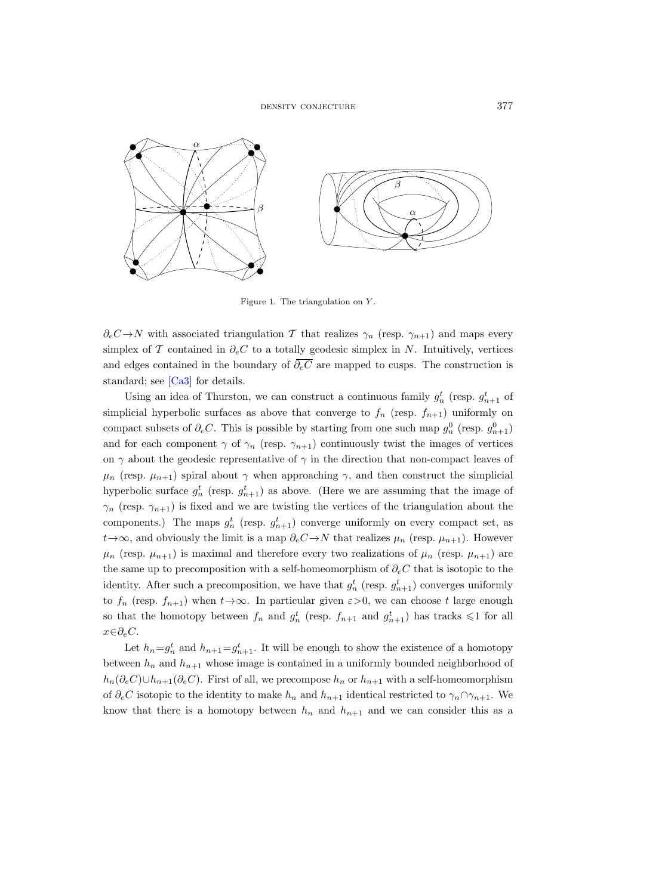

<span id="page-54-0"></span>Figure 1. The triangulation on  $Y$ .

 $\partial_e C \rightarrow N$  with associated triangulation T that realizes  $\gamma_n$  (resp.  $\gamma_{n+1}$ ) and maps every simplex of T contained in  $\partial_e C$  to a totally geodesic simplex in N. Intuitively, vertices and edges contained in the boundary of  $\partial_{\epsilon}C$  are mapped to cusps. The construction is standard; see [\[Ca3\]](#page-70-0) for details.

Using an idea of Thurston, we can construct a continuous family  $g_n^t$  (resp.  $g_{n+1}^t$  of simplicial hyperbolic surfaces as above that converge to  $f_n$  (resp.  $f_{n+1}$ ) uniformly on compact subsets of  $\partial_e C$ . This is possible by starting from one such map  $g_n^0$  (resp.  $g_{n+1}^0$ ) and for each component  $\gamma$  of  $\gamma_n$  (resp.  $\gamma_{n+1}$ ) continuously twist the images of vertices on  $\gamma$  about the geodesic representative of  $\gamma$  in the direction that non-compact leaves of  $\mu_n$  (resp.  $\mu_{n+1}$ ) spiral about  $\gamma$  when approaching  $\gamma$ , and then construct the simplicial hyperbolic surface  $g_n^t$  (resp.  $g_{n+1}^t$ ) as above. (Here we are assuming that the image of  $\gamma_n$  (resp.  $\gamma_{n+1}$ ) is fixed and we are twisting the vertices of the triangulation about the components.) The maps  $g_n^t$  (resp.  $g_{n+1}^t$ ) converge uniformly on every compact set, as  $t \rightarrow \infty$ , and obviously the limit is a map  $\partial_e C \rightarrow N$  that realizes  $\mu_n$  (resp.  $\mu_{n+1}$ ). However  $\mu_n$  (resp.  $\mu_{n+1}$ ) is maximal and therefore every two realizations of  $\mu_n$  (resp.  $\mu_{n+1}$ ) are the same up to precomposition with a self-homeomorphism of  $\partial_{e}C$  that is isotopic to the identity. After such a precomposition, we have that  $g_n^t$  (resp.  $g_{n+1}^t$ ) converges uniformly to  $f_n$  (resp.  $f_{n+1}$ ) when  $t \to \infty$ . In particular given  $\varepsilon > 0$ , we can choose t large enough so that the homotopy between  $f_n$  and  $g_n^t$  (resp.  $f_{n+1}$  and  $g_{n+1}^t$ ) has tracks  $\leq 1$  for all  $x \in \partial_e C$ .

Let  $h_n = g_n^t$  and  $h_{n+1} = g_{n+1}^t$ . It will be enough to show the existence of a homotopy between  $h_n$  and  $h_{n+1}$  whose image is contained in a uniformly bounded neighborhood of  $h_n(\partial_e C)\cup h_{n+1}(\partial_e C)$ . First of all, we precompose  $h_n$  or  $h_{n+1}$  with a self-homeomorphism of  $\partial_e C$  isotopic to the identity to make  $h_n$  and  $h_{n+1}$  identical restricted to  $\gamma_n \cap \gamma_{n+1}$ . We know that there is a homotopy between  $h_n$  and  $h_{n+1}$  and we can consider this as a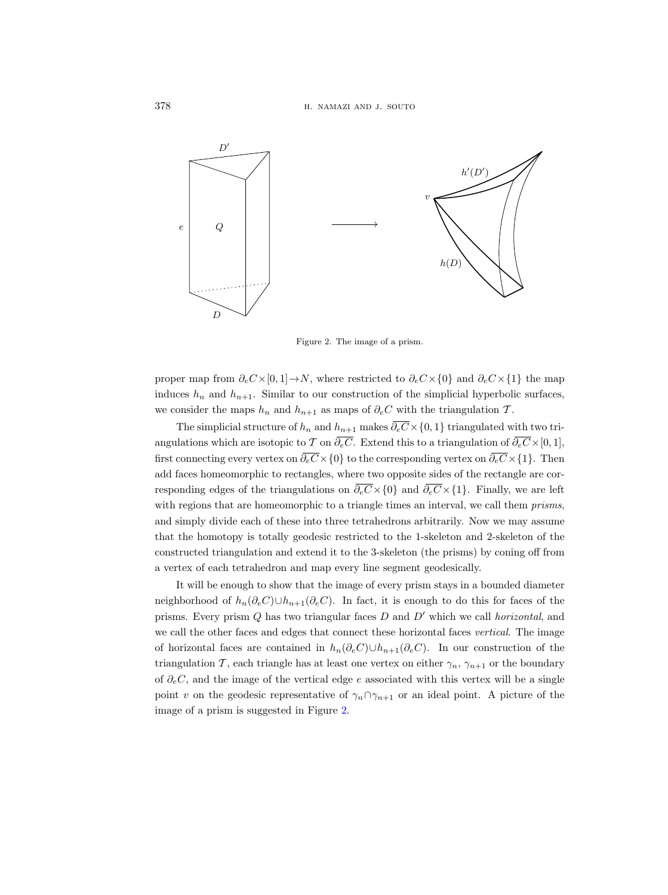

<span id="page-55-0"></span>Figure 2. The image of a prism.

proper map from  $\partial_e C \times [0,1] \to N$ , where restricted to  $\partial_e C \times \{0\}$  and  $\partial_e C \times \{1\}$  the map induces  $h_n$  and  $h_{n+1}$ . Similar to our construction of the simplicial hyperbolic surfaces, we consider the maps  $h_n$  and  $h_{n+1}$  as maps of  $\partial_e C$  with the triangulation T.

The simplicial structure of  $h_n$  and  $h_{n+1}$  makes  $\overline{\partial_e C} \times \{0,1\}$  triangulated with two triangulations which are isotopic to T on  $\overline{\partial_{\epsilon}C}$ . Extend this to a triangulation of  $\overline{\partial_{\epsilon}C}\times[0,1],$ first connecting every vertex on  $\overline{\partial_e C} \times \{0\}$  to the corresponding vertex on  $\overline{\partial_e C} \times \{1\}$ . Then add faces homeomorphic to rectangles, where two opposite sides of the rectangle are corresponding edges of the triangulations on  $\partial_{\epsilon} \overline{C} \times \{0\}$  and  $\partial_{\epsilon} \overline{C} \times \{1\}$ . Finally, we are left with regions that are homeomorphic to a triangle times an interval, we call them *prisms*, and simply divide each of these into three tetrahedrons arbitrarily. Now we may assume that the homotopy is totally geodesic restricted to the 1-skeleton and 2-skeleton of the constructed triangulation and extend it to the 3-skeleton (the prisms) by coning off from a vertex of each tetrahedron and map every line segment geodesically.

It will be enough to show that the image of every prism stays in a bounded diameter neighborhood of  $h_n(\partial_e C) \cup h_{n+1}(\partial_e C)$ . In fact, it is enough to do this for faces of the prisms. Every prism  $Q$  has two triangular faces  $D$  and  $D'$  which we call *horizontal*, and we call the other faces and edges that connect these horizontal faces vertical. The image of horizontal faces are contained in  $h_n(\partial_e C) \cup h_{n+1}(\partial_e C)$ . In our construction of the triangulation T, each triangle has at least one vertex on either  $\gamma_n$ ,  $\gamma_{n+1}$  or the boundary of  $\partial_e C$ , and the image of the vertical edge e associated with this vertex will be a single point v on the geodesic representative of  $\gamma_n \cap \gamma_{n+1}$  or an ideal point. A picture of the image of a prism is suggested in Figure [2.](#page-55-0)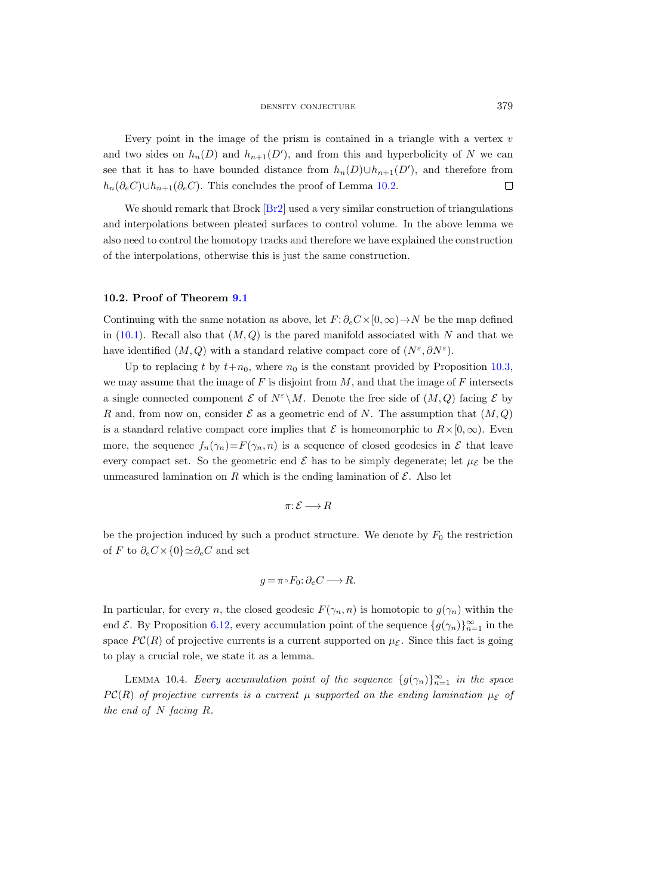Every point in the image of the prism is contained in a triangle with a vertex  $v$ and two sides on  $h_n(D)$  and  $h_{n+1}(D')$ , and from this and hyperbolicity of N we can see that it has to have bounded distance from  $h_n(D) \cup h_{n+1}(D')$ , and therefore from  $h_n(\partial_e C) \cup h_{n+1}(\partial_e C)$ . This concludes the proof of Lemma [10.2.](#page-52-0)  $\Box$ 

We should remark that Brock  $[Br2]$  used a very similar construction of triangulations and interpolations between pleated surfaces to control volume. In the above lemma we also need to control the homotopy tracks and therefore we have explained the construction of the interpolations, otherwise this is just the same construction.

# 10.2. Proof of Theorem [9.1](#page-49-0)

Continuing with the same notation as above, let  $F: \partial_e C \times [0, \infty) \to N$  be the map defined in [\(10.1\)](#page-53-0). Recall also that  $(M, Q)$  is the pared manifold associated with N and that we have identified  $(M, Q)$  with a standard relative compact core of  $(N^{\varepsilon}, \partial N^{\varepsilon})$ .

Up to replacing t by  $t+n_0$ , where  $n_0$  is the constant provided by Proposition [10.3,](#page-53-1) we may assume that the image of  $F$  is disjoint from  $M$ , and that the image of  $F$  intersects a single connected component  $\mathcal{E}$  of  $N^{\varepsilon} \backslash M$ . Denote the free side of  $(M, Q)$  facing  $\mathcal{E}$  by R and, from now on, consider  $\mathcal E$  as a geometric end of N. The assumption that  $(M,Q)$ is a standard relative compact core implies that  $\mathcal E$  is homeomorphic to  $R\times[0,\infty)$ . Even more, the sequence  $f_n(\gamma_n)=F(\gamma_n, n)$  is a sequence of closed geodesics in  $\mathcal E$  that leave every compact set. So the geometric end  $\mathcal E$  has to be simply degenerate; let  $\mu_{\mathcal E}$  be the unmeasured lamination on R which is the ending lamination of  $\mathcal{E}$ . Also let

$$
\pi \colon \mathcal{E} \longrightarrow R
$$

be the projection induced by such a product structure. We denote by  $F_0$  the restriction of F to  $\partial_e C \times \{0\} \simeq \partial_e C$  and set

$$
g = \pi \circ F_0 \colon \partial_e C \longrightarrow R.
$$

In particular, for every n, the closed geodesic  $F(\gamma_n, n)$  is homotopic to  $g(\gamma_n)$  within the end  $\mathcal{E}$ . By Proposition [6.12,](#page-36-1) every accumulation point of the sequence  $\{g(\gamma_n)\}_{n=1}^{\infty}$  in the space  $PC(R)$  of projective currents is a current supported on  $\mu_{\mathcal{E}}$ . Since this fact is going to play a crucial role, we state it as a lemma.

<span id="page-56-0"></span>LEMMA 10.4. Every accumulation point of the sequence  $\{g(\gamma_n)\}_{n=1}^{\infty}$  in the space  $PC(R)$  of projective currents is a current  $\mu$  supported on the ending lamination  $\mu_{\mathcal{E}}$  of the end of N facing R.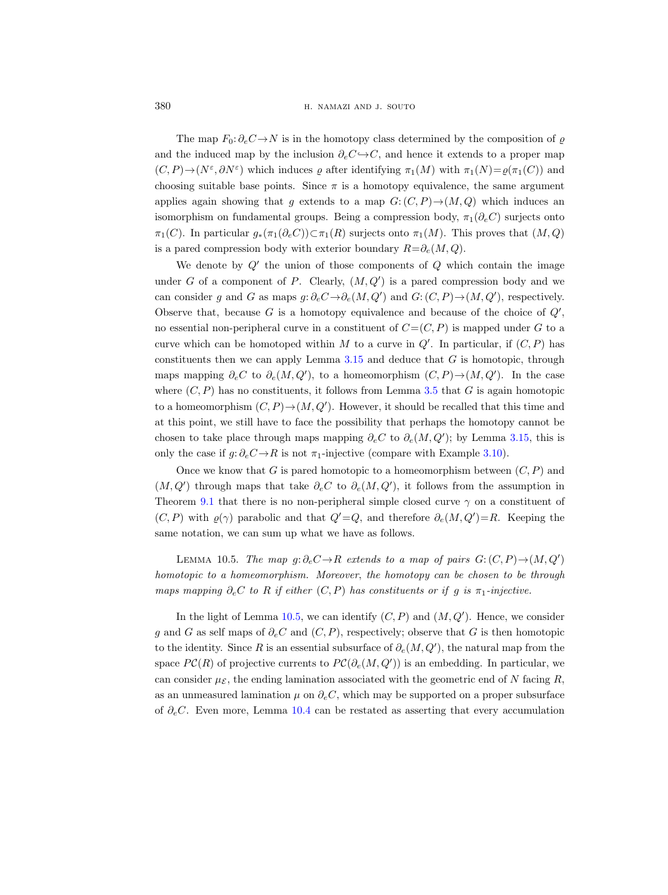380 **h. namazi and j. souto** 

The map  $F_0: \partial_e C \to N$  is in the homotopy class determined by the composition of  $\varrho$ and the induced map by the inclusion  $\partial_{e}C \rightarrow C$ , and hence it extends to a proper map  $(C, P) \to (N^{\varepsilon}, \partial N^{\varepsilon})$  which induces  $\varrho$  after identifying  $\pi_1(M)$  with  $\pi_1(N) = \varrho(\pi_1(C))$  and choosing suitable base points. Since  $\pi$  is a homotopy equivalence, the same argument applies again showing that g extends to a map  $G: (C, P) \rightarrow (M, Q)$  which induces an isomorphism on fundamental groups. Being a compression body,  $\pi_1(\partial_e C)$  surjects onto  $\pi_1(C)$ . In particular  $g_*(\pi_1(\partial_e C)) \subset \pi_1(R)$  surjects onto  $\pi_1(M)$ . This proves that  $(M,Q)$ is a pared compression body with exterior boundary  $R=\partial_e(M,Q)$ .

We denote by  $Q'$  the union of those components of  $Q$  which contain the image under G of a component of P. Clearly,  $(M, Q')$  is a pared compression body and we can consider g and G as maps  $g: \partial_e C \to \partial_e(M, Q')$  and  $G: (C, P) \to (M, Q')$ , respectively. Observe that, because  $G$  is a homotopy equivalence and because of the choice of  $Q'$ , no essential non-peripheral curve in a constituent of  $C=(C, P)$  is mapped under G to a curve which can be homotoped within M to a curve in  $Q'$ . In particular, if  $(C, P)$  has constituents then we can apply Lemma  $3.15$  and deduce that G is homotopic, through maps mapping  $\partial_e C$  to  $\partial_e (M, Q')$ , to a homeomorphism  $(C, P) \rightarrow (M, Q')$ . In the case where  $(C, P)$  has no constituents, it follows from Lemma [3.5](#page-12-0) that G is again homotopic to a homeomorphism  $(C, P) \rightarrow (M, Q')$ . However, it should be recalled that this time and at this point, we still have to face the possibility that perhaps the homotopy cannot be chosen to take place through maps mapping  $\partial_e C$  to  $\partial_e (M, Q')$ ; by Lemma [3.15,](#page-20-0) this is only the case if  $g: \partial_e C \rightarrow R$  is not  $\pi_1$ -injective (compare with Example [3.10\)](#page-14-1).

Once we know that G is pared homotopic to a homeomorphism between  $(C, P)$  and  $(M, Q')$  through maps that take  $\partial_e C$  to  $\partial_e(M, Q')$ , it follows from the assumption in Theorem [9.1](#page-49-0) that there is no non-peripheral simple closed curve  $\gamma$  on a constituent of  $(C, P)$  with  $\varrho(\gamma)$  parabolic and that  $Q' = Q$ , and therefore  $\partial_e(M, Q') = R$ . Keeping the same notation, we can sum up what we have as follows.

<span id="page-57-0"></span>LEMMA 10.5. The map  $g: \partial_e C \to R$  extends to a map of pairs  $G: (C, P) \to (M, Q')$ homotopic to a homeomorphism. Moreover, the homotopy can be chosen to be through maps mapping  $\partial_e C$  to R if either  $(C, P)$  has constituents or if g is  $\pi_1$ -injective.

In the light of Lemma [10.5,](#page-57-0) we can identify  $(C, P)$  and  $(M, Q')$ . Hence, we consider g and G as self maps of  $\partial_e C$  and  $(C, P)$ , respectively; observe that G is then homotopic to the identity. Since R is an essential subsurface of  $\partial_e(M, Q')$ , the natural map from the space  $PC(R)$  of projective currents to  $PC(\partial_e(M, Q'))$  is an embedding. In particular, we can consider  $\mu_{\mathcal{E}}$ , the ending lamination associated with the geometric end of N facing R, as an unmeasured lamination  $\mu$  on  $\partial_{e}C$ , which may be supported on a proper subsurface of  $\partial_e C$ . Even more, Lemma [10.4](#page-56-0) can be restated as asserting that every accumulation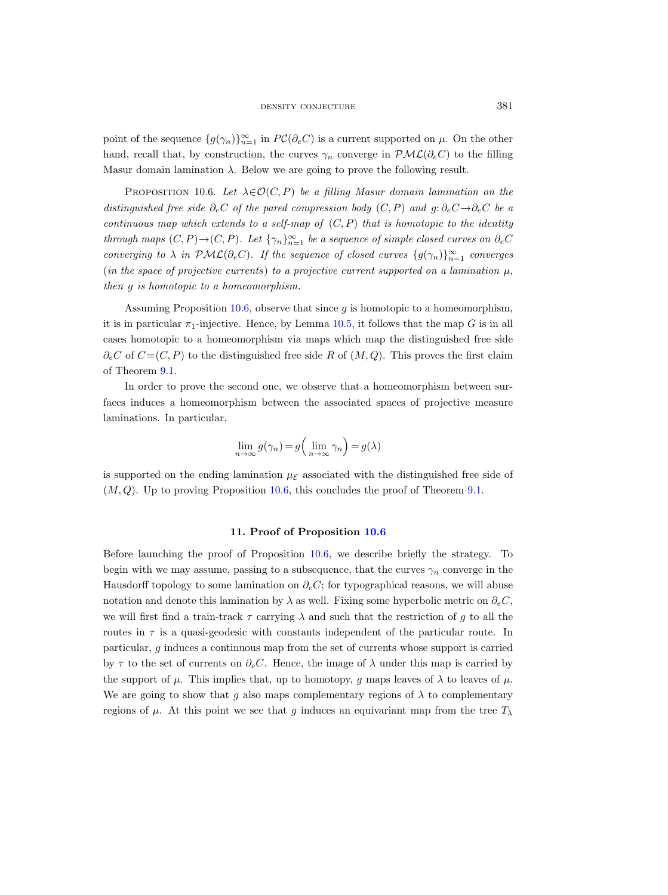point of the sequence  $\{g(\gamma_n)\}_{n=1}^{\infty}$  in  $P\mathcal{C}(\partial_e C)$  is a current supported on  $\mu$ . On the other hand, recall that, by construction, the curves  $\gamma_n$  converge in  $\mathcal{PML}(\partial_e C)$  to the filling Masur domain lamination  $\lambda$ . Below we are going to prove the following result.

<span id="page-58-0"></span>PROPOSITION 10.6. Let  $\lambda \in \mathcal{O}(C, P)$  be a filling Masur domain lamination on the distinguished free side  $\partial_e C$  of the pared compression body  $(C, P)$  and  $g: \partial_e C \rightarrow \partial_e C$  be a continuous map which extends to a self-map of  $(C, P)$  that is homotopic to the identity through maps  $(C, P) \rightarrow (C, P)$ . Let  $\{\gamma_n\}_{n=1}^{\infty}$  be a sequence of simple closed curves on  $\partial_e C$ converging to  $\lambda$  in  $\mathcal{PML}(\partial_e C)$ . If the sequence of closed curves  $\{g(\gamma_n)\}_{n=1}^{\infty}$  converges (in the space of projective currents) to a projective current supported on a lamination  $\mu$ . then g is homotopic to a homeomorphism.

Assuming Proposition [10.6,](#page-58-0) observe that since  $q$  is homotopic to a homeomorphism, it is in particular  $\pi_1$ -injective. Hence, by Lemma [10.5,](#page-57-0) it follows that the map G is in all cases homotopic to a homeomorphism via maps which map the distinguished free side  $\partial_e C$  of  $C=(C, P)$  to the distinguished free side R of  $(M, Q)$ . This proves the first claim of Theorem [9.1.](#page-49-0)

In order to prove the second one, we observe that a homeomorphism between surfaces induces a homeomorphism between the associated spaces of projective measure laminations. In particular,

$$
\lim_{n \to \infty} g(\gamma_n) = g\left(\lim_{n \to \infty} \gamma_n\right) = g(\lambda)
$$

is supported on the ending lamination  $\mu_{\mathcal{E}}$  associated with the distinguished free side of  $(M, Q)$ . Up to proving Proposition [10.6,](#page-58-0) this concludes the proof of Theorem [9.1.](#page-49-0)

# 11. Proof of Proposition [10.6](#page-58-0)

Before launching the proof of Proposition [10.6,](#page-58-0) we describe briefly the strategy. To begin with we may assume, passing to a subsequence, that the curves  $\gamma_n$  converge in the Hausdorff topology to some lamination on  $\partial_e C$ ; for typographical reasons, we will abuse notation and denote this lamination by  $\lambda$  as well. Fixing some hyperbolic metric on  $\partial_e C$ , we will first find a train-track  $\tau$  carrying  $\lambda$  and such that the restriction of g to all the routes in  $\tau$  is a quasi-geodesic with constants independent of the particular route. In particular, g induces a continuous map from the set of currents whose support is carried by  $\tau$  to the set of currents on  $\partial_{e}C$ . Hence, the image of  $\lambda$  under this map is carried by the support of  $\mu$ . This implies that, up to homotopy, g maps leaves of  $\lambda$  to leaves of  $\mu$ . We are going to show that g also maps complementary regions of  $\lambda$  to complementary regions of  $\mu$ . At this point we see that g induces an equivariant map from the tree  $T_{\lambda}$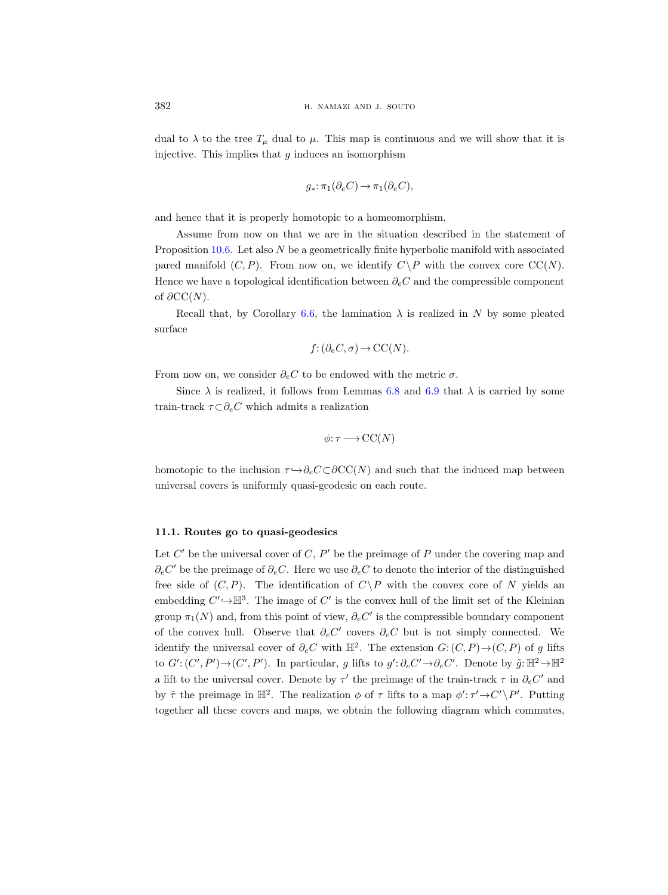dual to  $\lambda$  to the tree  $T_{\mu}$  dual to  $\mu$ . This map is continuous and we will show that it is injective. This implies that  $g$  induces an isomorphism

$$
g_*: \pi_1(\partial_e C) \to \pi_1(\partial_e C),
$$

and hence that it is properly homotopic to a homeomorphism.

Assume from now on that we are in the situation described in the statement of Proposition [10.6.](#page-58-0) Let also N be a geometrically finite hyperbolic manifold with associated pared manifold  $(C, P)$ . From now on, we identify  $C \backslash P$  with the convex core  $\mathrm{CC}(N)$ . Hence we have a topological identification between  $\partial_{e}C$  and the compressible component of  $\partial CC(N)$ .

Recall that, by Corollary [6.6,](#page-34-1) the lamination  $\lambda$  is realized in N by some pleated surface

$$
f: (\partial_e C, \sigma) \to \mathrm{CC}(N).
$$

From now on, we consider  $\partial_e C$  to be endowed with the metric  $\sigma$ .

Since  $\lambda$  is realized, it follows from Lemmas [6.8](#page-34-2) and [6.9](#page-35-0) that  $\lambda$  is carried by some train-track  $\tau \subset \partial_e C$  which admits a realization

$$
\phi\colon\tau\longrightarrow \mathrm{CC}(N)
$$

homotopic to the inclusion  $\tau \rightarrow \partial_e C \subset \partial CC(N)$  and such that the induced map between universal covers is uniformly quasi-geodesic on each route.

# 11.1. Routes go to quasi-geodesics

Let  $C'$  be the universal cover of  $C, P'$  be the preimage of P under the covering map and  $\partial_e C'$  be the preimage of  $\partial_e C$ . Here we use  $\partial_e C$  to denote the interior of the distinguished free side of  $(C, P)$ . The identification of  $C \backslash P$  with the convex core of N yields an embedding  $C' \hookrightarrow \mathbb{H}^3$ . The image of  $C'$  is the convex hull of the limit set of the Kleinian group  $\pi_1(N)$  and, from this point of view,  $\partial_e C'$  is the compressible boundary component of the convex hull. Observe that  $\partial_e C'$  covers  $\partial_e C$  but is not simply connected. We identify the universal cover of  $\partial_e C$  with  $\mathbb{H}^2$ . The extension  $G: (C, P) \to (C, P)$  of g lifts to  $G': (C', P') \to (C', P')$ . In particular, g lifts to  $g': \partial_e C' \to \partial_e C'$ . Denote by  $\tilde{g}: \mathbb{H}^2 \to \mathbb{H}^2$ a lift to the universal cover. Denote by  $\tau'$  the preimage of the train-track  $\tau$  in  $\partial_{e}C'$  and by  $\tilde{\tau}$  the preimage in  $\mathbb{H}^2$ . The realization  $\phi$  of  $\tau$  lifts to a map  $\phi': \tau' \to C' \setminus P'$ . Putting together all these covers and maps, we obtain the following diagram which commutes,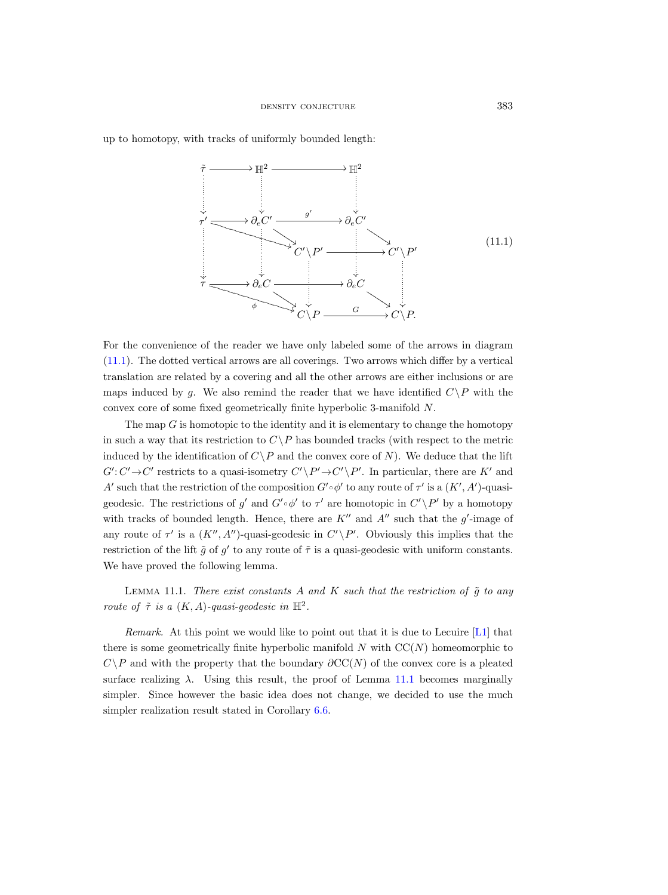<span id="page-60-0"></span>up to homotopy, with tracks of uniformly bounded length:



For the convenience of the reader we have only labeled some of the arrows in diagram [\(11.1\)](#page-60-0). The dotted vertical arrows are all coverings. Two arrows which differ by a vertical translation are related by a covering and all the other arrows are either inclusions or are maps induced by g. We also remind the reader that we have identified  $C\backslash P$  with the convex core of some fixed geometrically finite hyperbolic 3-manifold N.

The map  $G$  is homotopic to the identity and it is elementary to change the homotopy in such a way that its restriction to  $C\backslash P$  has bounded tracks (with respect to the metric induced by the identification of  $C\backslash P$  and the convex core of N). We deduce that the lift  $G': C' \to C'$  restricts to a quasi-isometry  $C' \setminus P' \to C' \setminus P'$ . In particular, there are K' and A' such that the restriction of the composition  $G' \circ \phi'$  to any route of  $\tau'$  is a  $(K', A')$ -quasigeodesic. The restrictions of g' and  $G' \circ \phi'$  to  $\tau'$  are homotopic in  $C' \backslash P'$  by a homotopy with tracks of bounded length. Hence, there are  $K''$  and  $A''$  such that the  $g'$ -image of any route of  $\tau'$  is a  $(K'', A'')$ -quasi-geodesic in  $C' \backslash P'$ . Obviously this implies that the restriction of the lift  $\tilde{g}$  of  $g'$  to any route of  $\tilde{\tau}$  is a quasi-geodesic with uniform constants. We have proved the following lemma.

<span id="page-60-1"></span>LEMMA 11.1. There exist constants A and K such that the restriction of  $\tilde{g}$  to any route of  $\tilde{\tau}$  is a  $(K, A)$ -quasi-geodesic in  $\mathbb{H}^2$ .

Remark. At this point we would like to point out that it is due to Lecuire [\[L1\]](#page-71-11) that there is some geometrically finite hyperbolic manifold  $N$  with  $CC(N)$  homeomorphic to  $C\ P$  and with the property that the boundary  $\partial CC(N)$  of the convex core is a pleated surface realizing  $\lambda$ . Using this result, the proof of Lemma [11.1](#page-60-1) becomes marginally simpler. Since however the basic idea does not change, we decided to use the much simpler realization result stated in Corollary [6.6.](#page-34-1)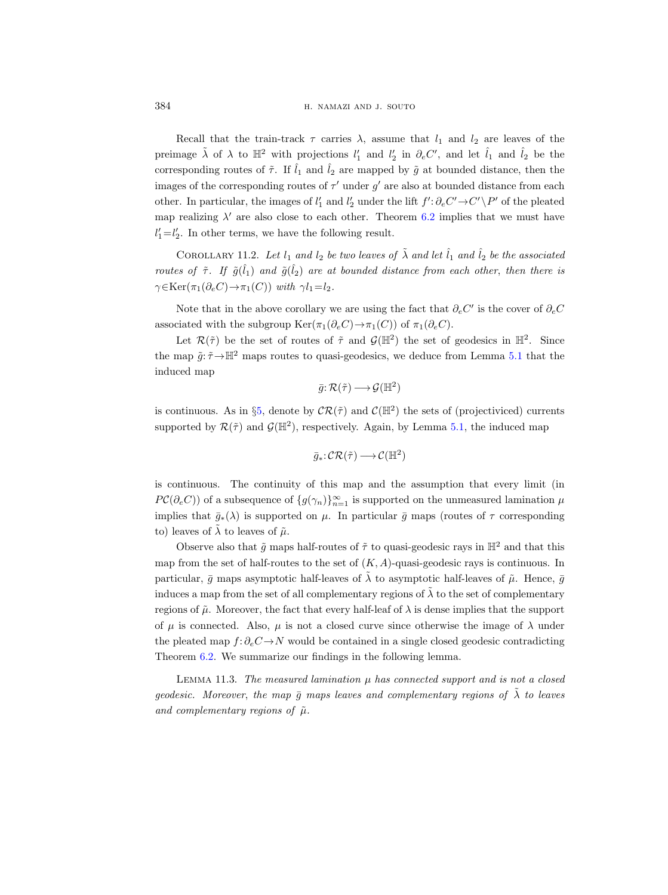384 **h.** namazi and j. souto

Recall that the train-track  $\tau$  carries  $\lambda$ , assume that  $l_1$  and  $l_2$  are leaves of the preimage  $\tilde{\lambda}$  of  $\lambda$  to  $\mathbb{H}^2$  with projections  $l'_1$  and  $l'_2$  in  $\partial_e C'$ , and let  $\hat{l}_1$  and  $\hat{l}_2$  be the corresponding routes of  $\tilde{\tau}$ . If  $\hat{l}_1$  and  $\hat{l}_2$  are mapped by  $\tilde{g}$  at bounded distance, then the images of the corresponding routes of  $\tau'$  under  $g'$  are also at bounded distance from each other. In particular, the images of  $l'_1$  and  $l'_2$  under the lift  $f' : \partial_e C' \to C' \setminus P'$  of the pleated map realizing  $\lambda'$  are also close to each other. Theorem [6.2](#page-33-3) implies that we must have  $l'_1 = l'_2$ . In other terms, we have the following result.

<span id="page-61-1"></span>COROLLARY 11.2. Let  $l_1$  and  $l_2$  be two leaves of  $\tilde{\lambda}$  and let  $\hat{l}_1$  and  $\hat{l}_2$  be the associated routes of  $\tilde{\tau}$ . If  $\tilde{g}(\hat{l}_1)$  and  $\tilde{g}(\hat{l}_2)$  are at bounded distance from each other, then there is  $\gamma \in \text{Ker}(\pi_1(\partial_e C) \to \pi_1(C))$  with  $\gamma l_1 = l_2$ .

Note that in the above corollary we are using the fact that  $\partial_e C'$  is the cover of  $\partial_e C$ associated with the subgroup  $\text{Ker}(\pi_1(\partial_e C) \to \pi_1(C))$  of  $\pi_1(\partial_e C)$ .

Let  $\mathcal{R}(\tilde{\tau})$  be the set of routes of  $\tilde{\tau}$  and  $\mathcal{G}(\mathbb{H}^2)$  the set of geodesics in  $\mathbb{H}^2$ . Since the map  $\tilde{g}: \tilde{\tau} \to \mathbb{H}^2$  maps routes to quasi-geodesics, we deduce from Lemma [5.1](#page-30-0) that the induced map

$$
\bar{g} \colon \mathcal{R}(\tilde{\tau}) \longrightarrow \mathcal{G}(\mathbb{H}^2)
$$

is continuous. As in §[5,](#page-27-0) denote by  $\mathcal{CR}(\tilde{\tau})$  and  $\mathcal{C}(\mathbb{H}^2)$  the sets of (projectiviced) currents supported by  $\mathcal{R}(\tilde{\tau})$  and  $\mathcal{G}(\mathbb{H}^2)$ , respectively. Again, by Lemma [5.1,](#page-30-0) the induced map

$$
\bar{g}_* \colon \mathcal{CR}(\tilde{\tau}) \longrightarrow \mathcal{C}(\mathbb{H}^2)
$$

is continuous. The continuity of this map and the assumption that every limit (in  $PC(\partial_e C)$  of a subsequence of  $\{g(\gamma_n)\}_{n=1}^{\infty}$  is supported on the unmeasured lamination  $\mu$ implies that  $\bar{g}_*(\lambda)$  is supported on  $\mu$ . In particular  $\bar{g}$  maps (routes of  $\tau$  corresponding to) leaves of  $\tilde{\lambda}$  to leaves of  $\tilde{\mu}$ .

Observe also that  $\tilde{g}$  maps half-routes of  $\tilde{\tau}$  to quasi-geodesic rays in  $\mathbb{H}^2$  and that this map from the set of half-routes to the set of  $(K, A)$ -quasi-geodesic rays is continuous. In particular,  $\bar{q}$  maps asymptotic half-leaves of  $\tilde{\lambda}$  to asymptotic half-leaves of  $\tilde{\mu}$ . Hence,  $\bar{q}$ induces a map from the set of all complementary regions of  $\lambda$  to the set of complementary regions of  $\tilde{\mu}$ . Moreover, the fact that every half-leaf of  $\lambda$  is dense implies that the support of  $\mu$  is connected. Also,  $\mu$  is not a closed curve since otherwise the image of  $\lambda$  under the pleated map  $f: \partial_e C \to N$  would be contained in a single closed geodesic contradicting Theorem [6.2.](#page-33-3) We summarize our findings in the following lemma.

<span id="page-61-0"></span>LEMMA 11.3. The measured lamination  $\mu$  has connected support and is not a closed geodesic. Moreover, the map  $\bar{g}$  maps leaves and complementary regions of  $\tilde{\lambda}$  to leaves and complementary regions of  $\tilde{\mu}$ .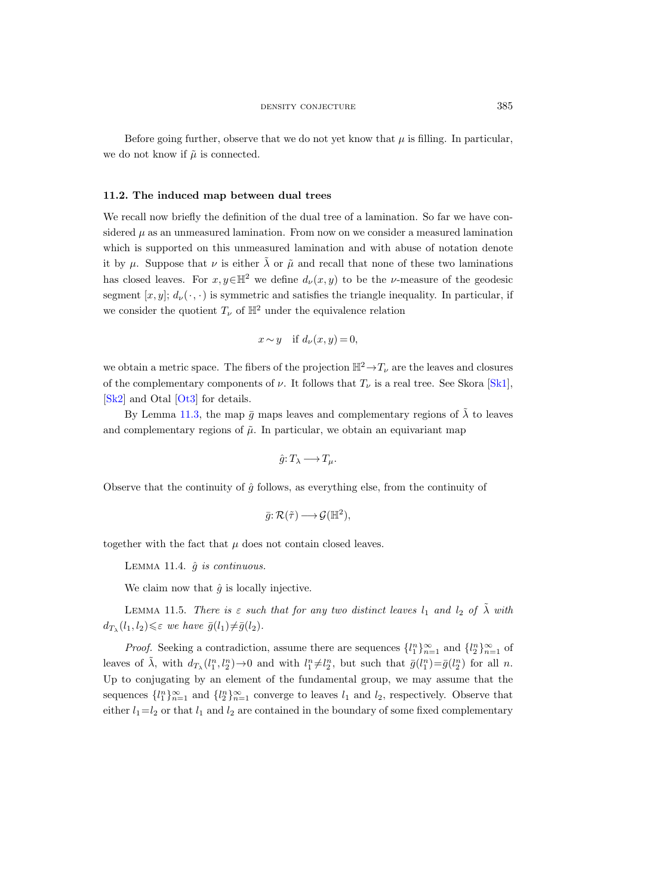Before going further, observe that we do not yet know that  $\mu$  is filling. In particular, we do not know if  $\tilde{\mu}$  is connected.

# 11.2. The induced map between dual trees

We recall now briefly the definition of the dual tree of a lamination. So far we have considered  $\mu$  as an unmeasured lamination. From now on we consider a measured lamination which is supported on this unmeasured lamination and with abuse of notation denote it by  $\mu$ . Suppose that  $\nu$  is either  $\tilde{\lambda}$  or  $\tilde{\mu}$  and recall that none of these two laminations has closed leaves. For  $x, y \in \mathbb{H}^2$  we define  $d_{\nu}(x, y)$  to be the *v*-measure of the geodesic segment  $[x, y]$ ;  $d_{\nu}(\cdot, \cdot)$  is symmetric and satisfies the triangle inequality. In particular, if we consider the quotient  $T_{\nu}$  of  $\mathbb{H}^2$  under the equivalence relation

$$
x \sim y \quad \text{if } d_{\nu}(x, y) = 0,
$$

we obtain a metric space. The fibers of the projection  $\mathbb{H}^2 \to T_{\nu}$  are the leaves and closures of the complementary components of  $\nu$ . It follows that  $T_{\nu}$  is a real tree. See Skora [\[Sk1\]](#page-71-5), [\[Sk2\]](#page-71-6) and Otal [\[Ot3\]](#page-71-7) for details.

By Lemma [11.3,](#page-61-0) the map  $\bar{g}$  maps leaves and complementary regions of  $\tilde{\lambda}$  to leaves and complementary regions of  $\tilde{\mu}$ . In particular, we obtain an equivariant map

$$
\hat{g} \colon T_{\lambda} \longrightarrow T_{\mu}.
$$

Observe that the continuity of  $\hat{g}$  follows, as everything else, from the continuity of

$$
\bar{g} \colon \mathcal{R}(\tilde{\tau}) \longrightarrow \mathcal{G}(\mathbb{H}^2),
$$

together with the fact that  $\mu$  does not contain closed leaves.

LEMMA 11.4.  $\hat{g}$  is continuous.

We claim now that  $\hat{g}$  is locally injective.

LEMMA 11.5. There is  $\varepsilon$  such that for any two distinct leaves  $l_1$  and  $l_2$  of  $\tilde{\lambda}$  with  $d_{T_{\lambda}}(l_1, l_2) \leqslant \varepsilon$  we have  $\bar{g}(l_1) \neq \bar{g}(l_2)$ .

*Proof.* Seeking a contradiction, assume there are sequences  $\{l_1^n\}_{n=1}^{\infty}$  and  $\{l_2^n\}_{n=1}^{\infty}$  of leaves of  $\tilde{\lambda}$ , with  $d_{T_{\lambda}}(l_1^n, l_2^n) \to 0$  and with  $l_1^n \neq l_2^n$ , but such that  $\bar{g}(l_1^n) = \bar{g}(l_2^n)$  for all n. Up to conjugating by an element of the fundamental group, we may assume that the sequences  $\{l_1^n\}_{n=1}^{\infty}$  and  $\{l_2^n\}_{n=1}^{\infty}$  converge to leaves  $l_1$  and  $l_2$ , respectively. Observe that either  $l_1=l_2$  or that  $l_1$  and  $l_2$  are contained in the boundary of some fixed complementary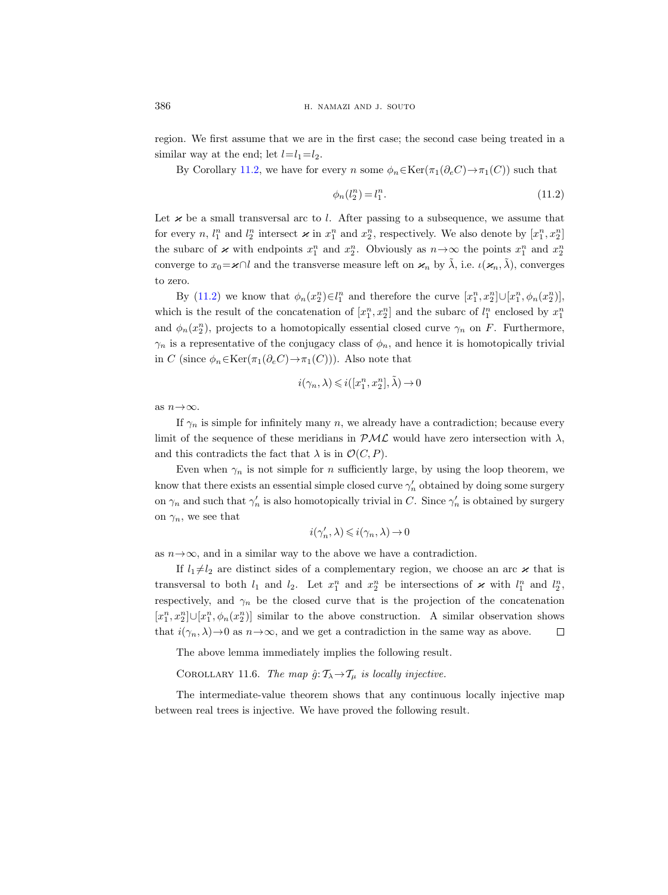region. We first assume that we are in the first case; the second case being treated in a similar way at the end; let  $l=l_1=l_2$ .

By Corollary [11.2,](#page-61-1) we have for every n some  $\phi_n \in \text{Ker}(\pi_1(\partial_e C) \to \pi_1(C))$  such that

<span id="page-63-0"></span>
$$
\phi_n(l_2^n) = l_1^n. \tag{11.2}
$$

Let  $\times$  be a small transversal arc to l. After passing to a subsequence, we assume that for every n,  $l_1^n$  and  $l_2^n$  intersect  $\varkappa$  in  $x_1^n$  and  $x_2^n$ , respectively. We also denote by  $[x_1^n, x_2^n]$ the subarc of  $\varkappa$  with endpoints  $x_1^n$  and  $x_2^n$ . Obviously as  $n \to \infty$  the points  $x_1^n$  and  $x_2^n$ converge to  $x_0 = \varkappa \cap l$  and the transverse measure left on  $\varkappa_n$  by  $\tilde{\lambda}$ , i.e.  $\iota(\varkappa_n, \tilde{\lambda})$ , converges to zero.

By [\(11.2\)](#page-63-0) we know that  $\phi_n(x_2^n) \in l_1^n$  and therefore the curve  $[x_1^n, x_2^n] \cup [x_1^n, \phi_n(x_2^n)],$ which is the result of the concatenation of  $[x_1^n, x_2^n]$  and the subarc of  $l_1^n$  enclosed by  $x_1^n$ and  $\phi_n(x_2^n)$ , projects to a homotopically essential closed curve  $\gamma_n$  on F. Furthermore,  $\gamma_n$  is a representative of the conjugacy class of  $\phi_n$ , and hence it is homotopically trivial in C (since  $\phi_n \in \text{Ker}(\pi_1(\partial_e C) \to \pi_1(C))$ ). Also note that

$$
i(\gamma_n,\lambda)\leqslant i([x_1^n,x_2^n],\tilde{\lambda})\to 0
$$

as  $n \rightarrow \infty$ .

If  $\gamma_n$  is simple for infinitely many n, we already have a contradiction; because every limit of the sequence of these meridians in  $\mathcal{PML}$  would have zero intersection with  $\lambda$ , and this contradicts the fact that  $\lambda$  is in  $\mathcal{O}(C, P)$ .

Even when  $\gamma_n$  is not simple for *n* sufficiently large, by using the loop theorem, we know that there exists an essential simple closed curve  $\gamma'_n$  obtained by doing some surgery on  $\gamma_n$  and such that  $\gamma'_n$  is also homotopically trivial in C. Since  $\gamma'_n$  is obtained by surgery on  $\gamma_n$ , we see that

$$
i(\gamma_n',\lambda)\leqslant i(\gamma_n,\lambda)\to 0
$$

as  $n \rightarrow \infty$ , and in a similar way to the above we have a contradiction.

If  $l_1 \neq l_2$  are distinct sides of a complementary region, we choose an arc  $\varkappa$  that is transversal to both  $l_1$  and  $l_2$ . Let  $x_1^n$  and  $x_2^n$  be intersections of  $\varkappa$  with  $l_1^n$  and  $l_2^n$ , respectively, and  $\gamma_n$  be the closed curve that is the projection of the concatenation  $[x_1^n, x_2^n] \cup [x_1^n, \phi_n(x_2^n)]$  similar to the above construction. A similar observation shows that  $i(\gamma_n, \lambda) \rightarrow 0$  as  $n \rightarrow \infty$ , and we get a contradiction in the same way as above.  $\Box$ 

The above lemma immediately implies the following result.

COROLLARY 11.6. The map  $\hat{g}: \mathcal{T}_{\lambda} \rightarrow \mathcal{T}_{\mu}$  is locally injective.

<span id="page-63-1"></span>The intermediate-value theorem shows that any continuous locally injective map between real trees is injective. We have proved the following result.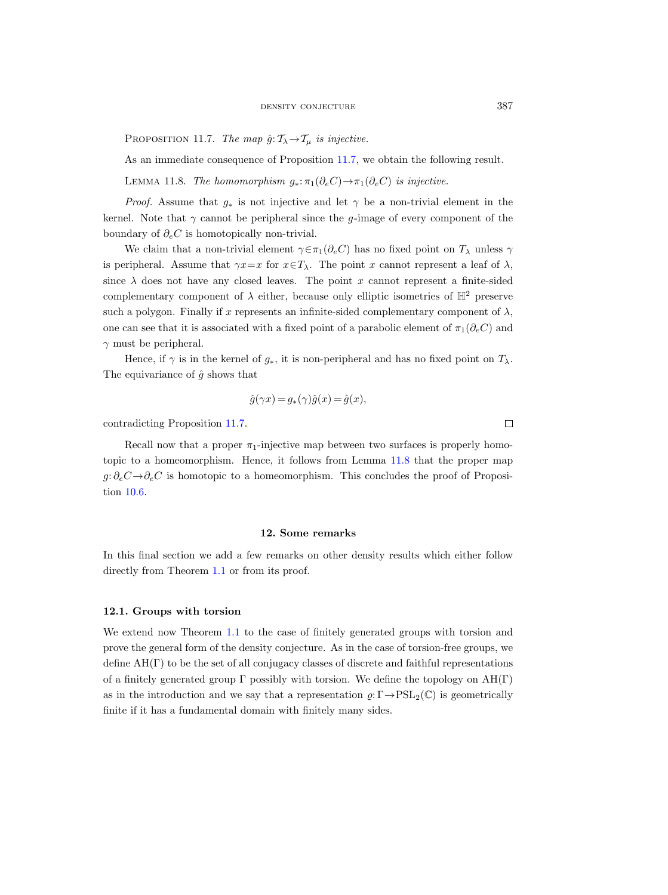PROPOSITION 11.7. The map  $\hat{g}: \mathcal{T}_{\lambda} \rightarrow \mathcal{T}_{\mu}$  is injective.

As an immediate consequence of Proposition [11.7,](#page-63-1) we obtain the following result.

<span id="page-64-0"></span>LEMMA 11.8. The homomorphism  $g_*: \pi_1(\partial_e C) \to \pi_1(\partial_e C)$  is injective.

*Proof.* Assume that  $g_*$  is not injective and let  $\gamma$  be a non-trivial element in the kernel. Note that  $\gamma$  cannot be peripheral since the g-image of every component of the boundary of  $\partial_e C$  is homotopically non-trivial.

We claim that a non-trivial element  $\gamma \in \pi_1(\partial_e C)$  has no fixed point on  $T_\lambda$  unless  $\gamma$ is peripheral. Assume that  $\gamma x=x$  for  $x\in\mathcal{T}_{\lambda}$ . The point x cannot represent a leaf of  $\lambda$ , since  $\lambda$  does not have any closed leaves. The point x cannot represent a finite-sided complementary component of  $\lambda$  either, because only elliptic isometries of  $\mathbb{H}^2$  preserve such a polygon. Finally if x represents an infinite-sided complementary component of  $\lambda$ , one can see that it is associated with a fixed point of a parabolic element of  $\pi_1(\partial_e C)$  and  $\gamma$  must be peripheral.

Hence, if  $\gamma$  is in the kernel of  $g_*$ , it is non-peripheral and has no fixed point on  $T_\lambda$ . The equivariance of  $\hat{g}$  shows that

$$
\hat{g}(\gamma x) = g_*(\gamma)\hat{g}(x) = \hat{g}(x),
$$

contradicting Proposition [11.7.](#page-63-1)

Recall now that a proper  $\pi_1$ -injective map between two surfaces is properly homotopic to a homeomorphism. Hence, it follows from Lemma [11.8](#page-64-0) that the proper map  $g: \partial_e C \rightarrow \partial_e C$  is homotopic to a homeomorphism. This concludes the proof of Proposition [10.6.](#page-58-0)

#### 12. Some remarks

In this final section we add a few remarks on other density results which either follow directly from Theorem [1.1](#page-1-0) or from its proof.

#### 12.1. Groups with torsion

We extend now Theorem [1.1](#page-1-0) to the case of finitely generated groups with torsion and prove the general form of the density conjecture. As in the case of torsion-free groups, we define  $AH(\Gamma)$  to be the set of all conjugacy classes of discrete and faithful representations of a finitely generated group  $\Gamma$  possibly with torsion. We define the topology on  $AH(\Gamma)$ as in the introduction and we say that a representation  $\varrho: \Gamma \to \mathrm{PSL}_2(\mathbb{C})$  is geometrically finite if it has a fundamental domain with finitely many sides.

 $\Box$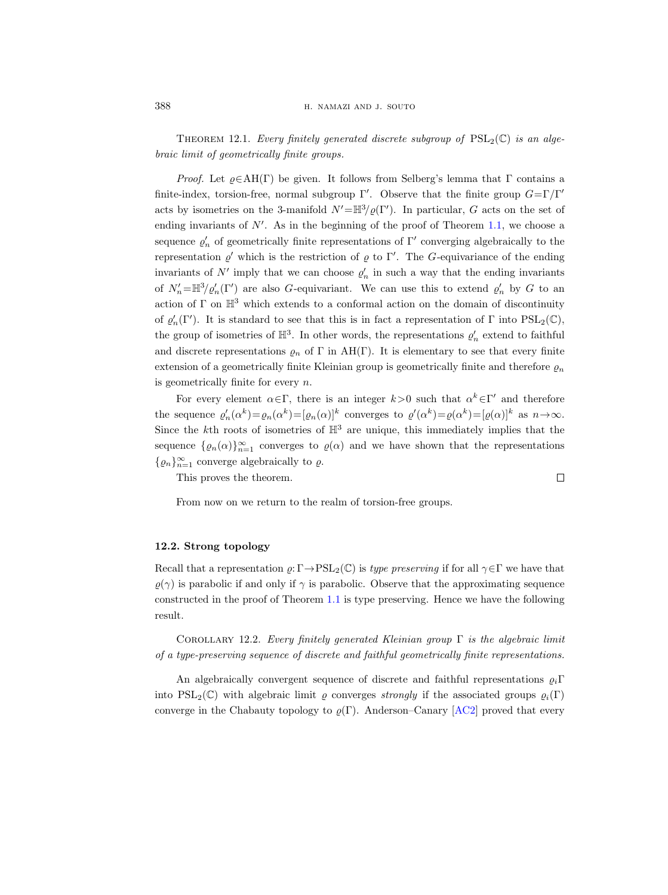388 **h. namazi and j. souto** 

THEOREM 12.1. Every finitely generated discrete subgroup of  $PSL_2(\mathbb{C})$  is an algebraic limit of geometrically finite groups.

*Proof.* Let  $\rho \in AH(\Gamma)$  be given. It follows from Selberg's lemma that  $\Gamma$  contains a finite-index, torsion-free, normal subgroup  $\Gamma'$ . Observe that the finite group  $G = \Gamma / \Gamma'$ acts by isometries on the 3-manifold  $N' = \mathbb{H}^3/\varrho(\Gamma')$ . In particular, G acts on the set of ending invariants of  $N'$ . As in the beginning of the proof of Theorem [1.1,](#page-1-0) we choose a sequence  $\varrho_n'$  of geometrically finite representations of  $\Gamma'$  converging algebraically to the representation  $\varrho'$  which is the restriction of  $\varrho$  to Γ'. The G-equivariance of the ending invariants of  $N'$  imply that we can choose  $\varrho_n'$  in such a way that the ending invariants of  $N'_n = \mathbb{H}^3 \big/ \varrho'_n(\Gamma')$  are also G-equivariant. We can use this to extend  $\varrho'_n$  by G to an action of  $\Gamma$  on  $\mathbb{H}^3$  which extends to a conformal action on the domain of discontinuity of  $\varrho'_n(\Gamma')$ . It is standard to see that this is in fact a representation of  $\Gamma$  into  $PSL_2(\mathbb{C})$ , the group of isometries of  $\mathbb{H}^3$ . In other words, the representations  $\varrho_n'$  extend to faithful and discrete representations  $\varrho_n$  of  $\Gamma$  in AH( $\Gamma$ ). It is elementary to see that every finite extension of a geometrically finite Kleinian group is geometrically finite and therefore  $\rho_n$ is geometrically finite for every n.

For every element  $\alpha \in \Gamma$ , there is an integer  $k > 0$  such that  $\alpha^k \in \Gamma'$  and therefore the sequence  $\varrho'_n(\alpha^k) = \varrho_n(\alpha^k) = [\varrho_n(\alpha)]^k$  converges to  $\varrho'(\alpha^k) = \varrho(\alpha^k) = [\varrho(\alpha)]^k$  as  $n \to \infty$ . Since the kth roots of isometries of  $H^3$  are unique, this immediately implies that the sequence  $\{\varrho_n(\alpha)\}_{n=1}^{\infty}$  converges to  $\varrho(\alpha)$  and we have shown that the representations  $\{\varrho_n\}_{n=1}^{\infty}$  converge algebraically to  $\varrho$ .

 $\Box$ 

This proves the theorem.

From now on we return to the realm of torsion-free groups.

# 12.2. Strong topology

Recall that a representation  $\rho: \Gamma \to \mathrm{PSL}_2(\mathbb{C})$  is type preserving if for all  $\gamma \in \Gamma$  we have that  $\rho(\gamma)$  is parabolic if and only if  $\gamma$  is parabolic. Observe that the approximating sequence constructed in the proof of Theorem [1.1](#page-1-0) is type preserving. Hence we have the following result.

<span id="page-65-0"></span>COROLLARY 12.2. Every finitely generated Kleinian group  $\Gamma$  is the algebraic limit of a type-preserving sequence of discrete and faithful geometrically finite representations.

An algebraically convergent sequence of discrete and faithful representations  $\rho_i\Gamma$ into  $PSL_2(\mathbb{C})$  with algebraic limit  $\varrho$  converges strongly if the associated groups  $\varrho_i(\Gamma)$ converge in the Chabauty topology to  $\varrho(\Gamma)$ . Anderson–Canary [\[AC2\]](#page-69-7) proved that every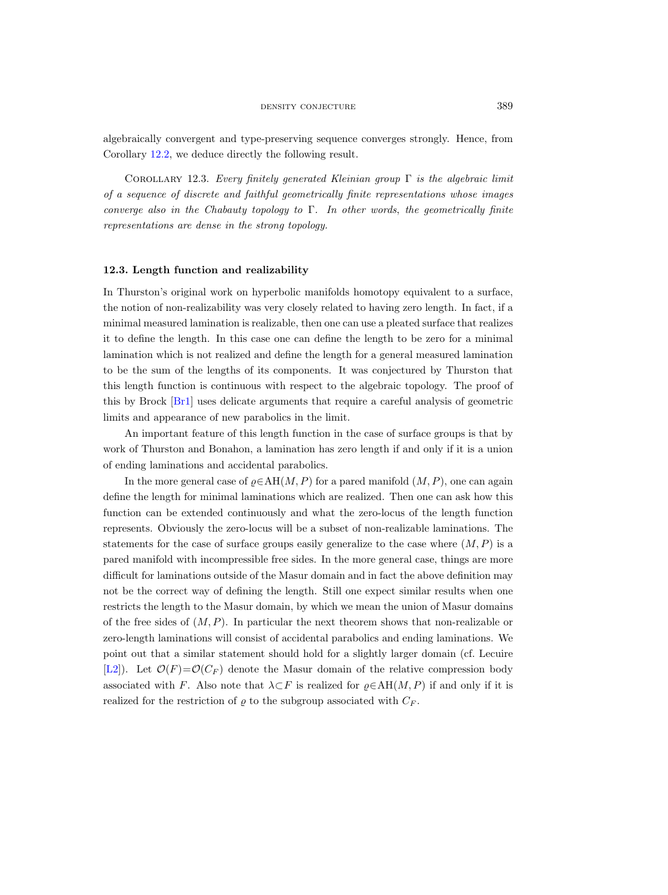algebraically convergent and type-preserving sequence converges strongly. Hence, from Corollary [12.2,](#page-65-0) we deduce directly the following result.

COROLLARY 12.3. Every finitely generated Kleinian group  $\Gamma$  is the algebraic limit of a sequence of discrete and faithful geometrically finite representations whose images converge also in the Chabauty topology to  $\Gamma$ . In other words, the geometrically finite representations are dense in the strong topology.

### 12.3. Length function and realizability

In Thurston's original work on hyperbolic manifolds homotopy equivalent to a surface, the notion of non-realizability was very closely related to having zero length. In fact, if a minimal measured lamination is realizable, then one can use a pleated surface that realizes it to define the length. In this case one can define the length to be zero for a minimal lamination which is not realized and define the length for a general measured lamination to be the sum of the lengths of its components. It was conjectured by Thurston that this length function is continuous with respect to the algebraic topology. The proof of this by Brock [\[Br1\]](#page-69-0) uses delicate arguments that require a careful analysis of geometric limits and appearance of new parabolics in the limit.

An important feature of this length function in the case of surface groups is that by work of Thurston and Bonahon, a lamination has zero length if and only if it is a union of ending laminations and accidental parabolics.

In the more general case of  $\rho \in AH(M, P)$  for a pared manifold  $(M, P)$ , one can again define the length for minimal laminations which are realized. Then one can ask how this function can be extended continuously and what the zero-locus of the length function represents. Obviously the zero-locus will be a subset of non-realizable laminations. The statements for the case of surface groups easily generalize to the case where  $(M, P)$  is a pared manifold with incompressible free sides. In the more general case, things are more difficult for laminations outside of the Masur domain and in fact the above definition may not be the correct way of defining the length. Still one expect similar results when one restricts the length to the Masur domain, by which we mean the union of Masur domains of the free sides of  $(M, P)$ . In particular the next theorem shows that non-realizable or zero-length laminations will consist of accidental parabolics and ending laminations. We point out that a similar statement should hold for a slightly larger domain (cf. Lecuire [\[L2\]](#page-71-15)). Let  $\mathcal{O}(F) = \mathcal{O}(C_F)$  denote the Masur domain of the relative compression body associated with F. Also note that  $\lambda \subset F$  is realized for  $\rho \in AH(M, P)$  if and only if it is realized for the restriction of  $\rho$  to the subgroup associated with  $C_F$ .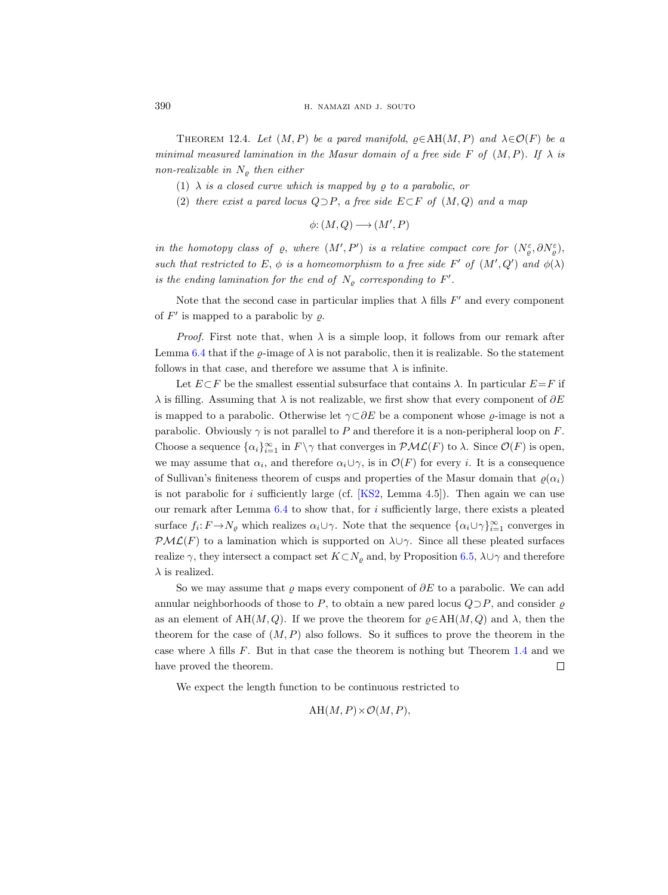THEOREM 12.4. Let  $(M, P)$  be a pared manifold,  $\rho \in AH(M, P)$  and  $\lambda \in \mathcal{O}(F)$  be a minimal measured lamination in the Masur domain of a free side F of  $(M, P)$ . If  $\lambda$  is non-realizable in  $N_{\varrho}$  then either

- (1)  $\lambda$  is a closed curve which is mapped by  $\rho$  to a parabolic, or
- (2) there exist a pared locus  $Q \supset P$ , a free side  $E \subset F$  of  $(M, Q)$  and a map

$$
\phi\hbox{\rm :}\ (M,Q)\longrightarrow (M',P)
$$

in the homotopy class of  $\rho$ , where  $(M', P')$  is a relative compact core for  $(N_{\varrho}^{\varepsilon}, \partial N_{\varrho}^{\varepsilon}),$ such that restricted to E,  $\phi$  is a homeomorphism to a free side F' of  $(M', Q')$  and  $\phi(\lambda)$ is the ending lamination for the end of  $N_{\varrho}$  corresponding to F'.

Note that the second case in particular implies that  $\lambda$  fills  $F'$  and every component of  $F'$  is mapped to a parabolic by  $\varrho$ .

*Proof.* First note that, when  $\lambda$  is a simple loop, it follows from our remark after Lemma [6.4](#page-33-2) that if the  $\varrho$ -image of  $\lambda$  is not parabolic, then it is realizable. So the statement follows in that case, and therefore we assume that  $\lambda$  is infinite.

Let  $E\subset F$  be the smallest essential subsurface that contains  $\lambda$ . In particular  $E=F$  if  $\lambda$  is filling. Assuming that  $\lambda$  is not realizable, we first show that every component of  $\partial E$ is mapped to a parabolic. Otherwise let  $\gamma \subset \partial E$  be a component whose  $\varrho$ -image is not a parabolic. Obviously  $\gamma$  is not parallel to P and therefore it is a non-peripheral loop on F. Choose a sequence  $\{\alpha_i\}_{i=1}^{\infty}$  in  $F \setminus \gamma$  that converges in  $\mathcal{PML}(F)$  to  $\lambda$ . Since  $\mathcal{O}(F)$  is open, we may assume that  $\alpha_i$ , and therefore  $\alpha_i \cup \gamma$ , is in  $\mathcal{O}(F)$  for every i. It is a consequence of Sullivan's finiteness theorem of cusps and properties of the Masur domain that  $\varrho(\alpha_i)$ is not parabolic for i sufficiently large (cf.  $[KS2, Lemma 4.5]$ ). Then again we can use our remark after Lemma  $6.4$  to show that, for i sufficiently large, there exists a pleated surface  $f_i: F \to N_\varrho$  which realizes  $\alpha_i \cup \gamma$ . Note that the sequence  $\{\alpha_i \cup \gamma\}_{i=1}^\infty$  converges in  $\mathcal{PML}(F)$  to a lamination which is supported on  $\lambda \cup \gamma$ . Since all these pleated surfaces realize  $\gamma$ , they intersect a compact set  $K\subset N_{\varrho}$  and, by Proposition [6.5,](#page-33-0)  $\lambda\cup\gamma$  and therefore  $\lambda$  is realized.

So we may assume that  $\varrho$  maps every component of  $\partial E$  to a parabolic. We can add annular neighborhoods of those to P, to obtain a new pared locus  $Q \supset P$ , and consider  $\varrho$ as an element of  $AH(M,Q)$ . If we prove the theorem for  $\varrho \in AH(M,Q)$  and  $\lambda$ , then the theorem for the case of  $(M, P)$  also follows. So it suffices to prove the theorem in the case where  $\lambda$  fills F. But in that case the theorem is nothing but Theorem [1.4](#page-3-0) and we have proved the theorem.  $\Box$ 

We expect the length function to be continuous restricted to

$$
AH(M, P) \times \mathcal{O}(M, P),
$$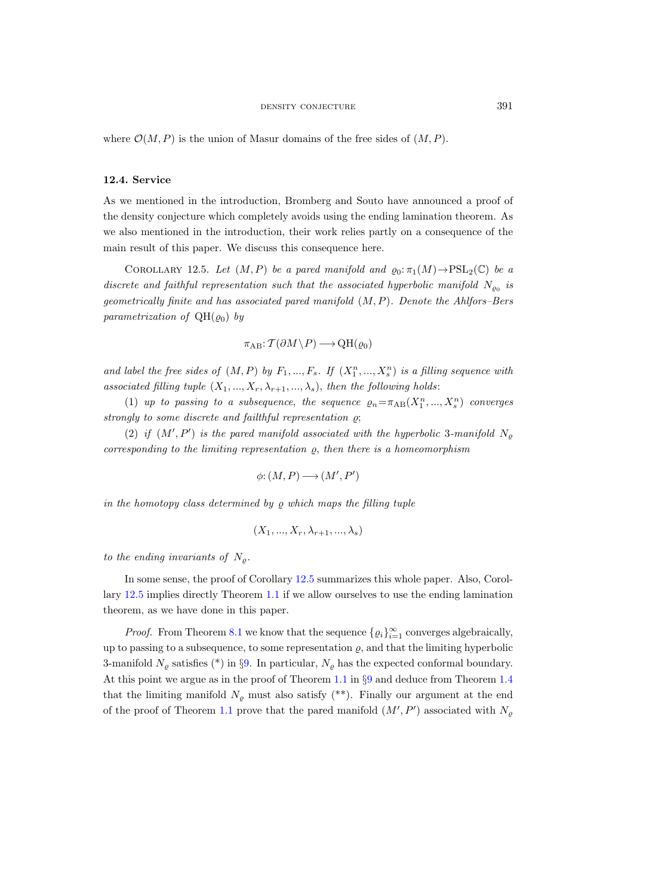where  $\mathcal{O}(M, P)$  is the union of Masur domains of the free sides of  $(M, P)$ .

# 12.4. Service

As we mentioned in the introduction, Bromberg and Souto have announced a proof of the density conjecture which completely avoids using the ending lamination theorem. As we also mentioned in the introduction, their work relies partly on a consequence of the main result of this paper. We discuss this consequence here.

<span id="page-68-0"></span>COROLLARY 12.5. Let  $(M, P)$  be a pared manifold and  $\varrho_0: \pi_1(M) \to PSL_2(\mathbb{C})$  be a discrete and faithful representation such that the associated hyperbolic manifold  $N_{\varrho_0}$  is geometrically finite and has associated pared manifold  $(M, P)$ . Denote the Ahlfors–Bers parametrization of  $QH(\varrho_0)$  by

$$
\pi_{AB} \colon \mathcal{T}(\partial M \setminus P) \longrightarrow \mathrm{QH}(\varrho_0)
$$

and label the free sides of  $(M, P)$  by  $F_1, ..., F_s$ . If  $(X_1^n, ..., X_s^n)$  is a filling sequence with associated filling tuple  $(X_1, ..., X_r, \lambda_{r+1}, ..., \lambda_s)$ , then the following holds:

(1) up to passing to a subsequence, the sequence  $\rho_n = \pi_{AB}(X_1^n, ..., X_s^n)$  converges strongly to some discrete and failthful representation  $\rho$ ;

(2) if  $(M', P')$  is the pared manifold associated with the hyperbolic 3-manifold  $N_{\varrho}$ corresponding to the limiting representation  $\rho$ , then there is a homeomorphism

$$
\phi\colon (M,P)\longrightarrow (M',P')
$$

in the homotopy class determined by  $\rho$  which maps the filling tuple

$$
(X_1, \ldots, X_r, \lambda_{r+1}, \ldots, \lambda_s)
$$

to the ending invariants of  $N_{\varrho}$ .

In some sense, the proof of Corollary [12.5](#page-68-0) summarizes this whole paper. Also, Corollary [12.5](#page-68-0) implies directly Theorem [1.1](#page-1-0) if we allow ourselves to use the ending lamination theorem, as we have done in this paper.

*Proof.* From Theorem [8.1](#page-43-0) we know that the sequence  $\{ \varrho_i \}_{i=1}^{\infty}$  converges algebraically, up to passing to a subsequence, to some representation  $\rho$ , and that the limiting hyperbolic 3-manifold  $N_{\varrho}$  satisfies (\*) in §[9.](#page-46-0) In particular,  $N_{\varrho}$  has the expected conformal boundary. At this point we argue as in the proof of Theorem [1.1](#page-1-0) in §[9](#page-46-0) and deduce from Theorem [1.4](#page-3-0) that the limiting manifold  $N_\rho$  must also satisfy (\*\*). Finally our argument at the end of the proof of Theorem [1.1](#page-1-0) prove that the pared manifold  $(M', P')$  associated with  $N_{\varrho}$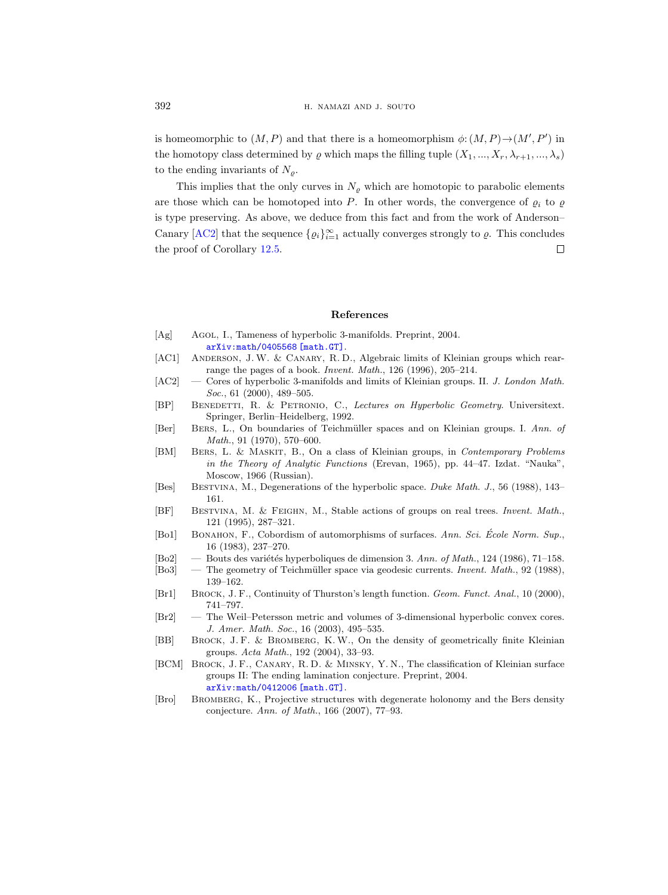is homeomorphic to  $(M, P)$  and that there is a homeomorphism  $\phi: (M, P) \to (M', P')$  in the homotopy class determined by  $\varrho$  which maps the filling tuple  $(X_1, ..., X_r, \lambda_{r+1}, ..., \lambda_s)$ to the ending invariants of  $N_{\varrho}$ .

This implies that the only curves in  $N_{\varrho}$  which are homotopic to parabolic elements are those which can be homotoped into P. In other words, the convergence of  $\varrho_i$  to  $\varrho$ is type preserving. As above, we deduce from this fact and from the work of Anderson– Canary [\[AC2\]](#page-69-7) that the sequence  $\{\varrho_i\}_{i=1}^{\infty}$  actually converges strongly to  $\varrho$ . This concludes the proof of Corollary [12.5.](#page-68-0)  $\Box$ 

#### References

- <span id="page-69-3"></span>[Ag] AGOL, I., Tameness of hyperbolic 3-manifolds. Preprint, 2004. [arXiv:math/0405568 \[math.GT\]](http://arxiv.org/abs/math/0405568).
- [AC1] ANDERSON, J.W. & CANARY, R.D., Algebraic limits of Kleinian groups which rearrange the pages of a book. Invent. Math., 126 (1996), 205–214.
- <span id="page-69-7"></span>[AC2] — Cores of hyperbolic 3-manifolds and limits of Kleinian groups. II. J. London Math. Soc., 61 (2000), 489-505.
- [BP] Benedetti, R. & Petronio, C., Lectures on Hyperbolic Geometry. Universitext. Springer, Berlin–Heidelberg, 1992.
- [Ber] BERS, L., On boundaries of Teichmüller spaces and on Kleinian groups. I. Ann. of Math., 91 (1970), 570–600.
- [BM] Bers, L. & Maskit, B., On a class of Kleinian groups, in Contemporary Problems in the Theory of Analytic Functions (Erevan, 1965), pp. 44–47. Izdat. "Nauka", Moscow, 1966 (Russian).
- <span id="page-69-4"></span>[Bes] Bestvina, M., Degenerations of the hyperbolic space. Duke Math. J., 56 (1988), 143– 161.
- <span id="page-69-5"></span>[BF] Bestvina, M. & Feighn, M., Stable actions of groups on real trees. Invent. Math., 121 (1995), 287–321.
- [Bo1] BONAHON, F., Cobordism of automorphisms of surfaces. Ann. Sci. École Norm. Sup., 16 (1983), 237–270.
- <span id="page-69-1"></span>[Bo2] — Bouts des variétés hyperboliques de dimension 3. Ann. of Math., 124 (1986), 71–158.
- [Bo3] The geometry of Teichmüller space via geodesic currents. *Invent. Math.*, 92 (1988), 139–162.
- <span id="page-69-0"></span>[Br1] Brock, J. F., Continuity of Thurston's length function. Geom. Funct. Anal., 10 (2000), 741–797.
- <span id="page-69-6"></span>[Br2] — The Weil–Petersson metric and volumes of 3-dimensional hyperbolic convex cores. J. Amer. Math. Soc., 16 (2003), 495–535.
- [BB] Brock, J. F. & Bromberg, K.W., On the density of geometrically finite Kleinian groups. Acta Math., 192 (2004), 33–93.
- <span id="page-69-2"></span>[BCM] Brock, J. F., Canary, R. D. & Minsky, Y. N., The classification of Kleinian surface groups II: The ending lamination conjecture. Preprint, 2004. [arXiv:math/0412006 \[math.GT\]](http://arxiv.org/abs/math/0412006).
- [Bro] Bromberg, K., Projective structures with degenerate holonomy and the Bers density conjecture. Ann. of Math., 166 (2007), 77–93.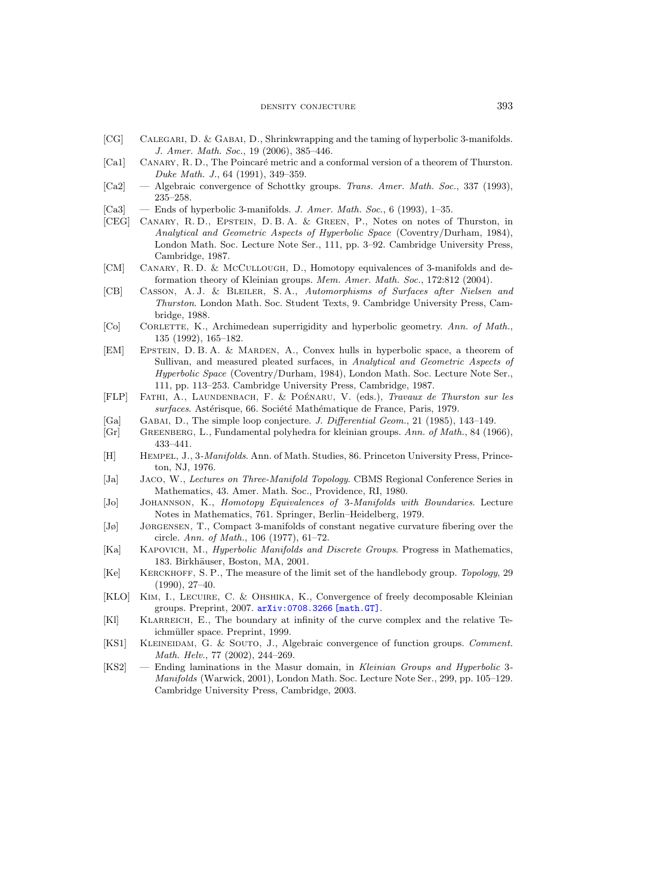- <span id="page-70-1"></span>[CG] CALEGARI, D. & GABAI, D., Shrinkwrapping and the taming of hyperbolic 3-manifolds. J. Amer. Math. Soc., 19 (2006), 385–446.
- [Ca1] CANARY, R. D., The Poincaré metric and a conformal version of a theorem of Thurston. Duke Math. J., 64 (1991), 349–359.
- [Ca2] Algebraic convergence of Schottky groups. Trans. Amer. Math. Soc., 337 (1993), 235–258.
- <span id="page-70-0"></span>[Ca3] — Ends of hyperbolic 3-manifolds. J. Amer. Math. Soc., 6 (1993), 1-35.
- [CEG] Canary, R. D., Epstein, D. B. A. & Green, P., Notes on notes of Thurston, in Analytical and Geometric Aspects of Hyperbolic Space (Coventry/Durham, 1984), London Math. Soc. Lecture Note Ser., 111, pp. 3–92. Cambridge University Press, Cambridge, 1987.
- [CM] CANARY, R.D. & McCullough, D., Homotopy equivalences of 3-manifolds and deformation theory of Kleinian groups. Mem. Amer. Math. Soc., 172:812 (2004).
- [CB] Casson, A. J. & Bleiler, S. A., Automorphisms of Surfaces after Nielsen and Thurston. London Math. Soc. Student Texts, 9. Cambridge University Press, Cambridge, 1988.
- [Co] CORLETTE, K., Archimedean superrigidity and hyperbolic geometry. Ann. of Math., 135 (1992), 165–182.
- [EM] Epstein, D. B. A. & Marden, A., Convex hulls in hyperbolic space, a theorem of Sullivan, and measured pleated surfaces, in Analytical and Geometric Aspects of Hyperbolic Space (Coventry/Durham, 1984), London Math. Soc. Lecture Note Ser., 111, pp. 113–253. Cambridge University Press, Cambridge, 1987.
- <span id="page-70-4"></span>[FLP] FATHI, A., LAUNDENBACH, F. & POÉNARU, V. (eds.), Travaux de Thurston sur les surfaces. Astérisque, 66. Société Mathématique de France, Paris, 1979.
- [Ga] Gabai, D., The simple loop conjecture. J. Differential Geom., 21 (1985), 143–149.
- [Gr] GREENBERG, L., Fundamental polyhedra for kleinian groups. Ann. of Math., 84 (1966), 433–441.
- [H] Hempel, J., 3-Manifolds. Ann. of Math. Studies, 86. Princeton University Press, Princeton, NJ, 1976.
- [Ja] Jaco, W., Lectures on Three-Manifold Topology. CBMS Regional Conference Series in Mathematics, 43. Amer. Math. Soc., Providence, RI, 1980.
- [Jo] Johannson, K., Homotopy Equivalences of 3-Manifolds with Boundaries. Lecture Notes in Mathematics, 761. Springer, Berlin–Heidelberg, 1979.
- [Jø] Jørgensen, T., Compact 3-manifolds of constant negative curvature fibering over the circle. Ann. of Math., 106 (1977), 61–72.
- <span id="page-70-2"></span>[Ka] KAPOVICH, M., *Hyperbolic Manifolds and Discrete Groups*. Progress in Mathematics, 183. Birkhäuser, Boston, MA, 2001.
- [Ke] KERCKHOFF, S. P., The measure of the limit set of the handlebody group. Topology, 29 (1990), 27–40.
- <span id="page-70-5"></span>[KLO] Kim, I., Lecuire, C. & Ohshika, K., Convergence of freely decomposable Kleinian groups. Preprint, 2007. [arXiv:0708.3266](http://arxiv.org/abs/0708.3266) [math.GT].
- <span id="page-70-6"></span>[Kl] Klarreich, E., The boundary at infinity of the curve complex and the relative Teichmüller space. Preprint, 1999.
- <span id="page-70-3"></span>[KS1] KLEINEIDAM, G. & SOUTO, J., Algebraic convergence of function groups. Comment. Math. Helv., 77 (2002), 244–269.
- <span id="page-70-7"></span>[KS2] — Ending laminations in the Masur domain, in Kleinian Groups and Hyperbolic 3-Manifolds (Warwick, 2001), London Math. Soc. Lecture Note Ser., 299, pp. 105–129. Cambridge University Press, Cambridge, 2003.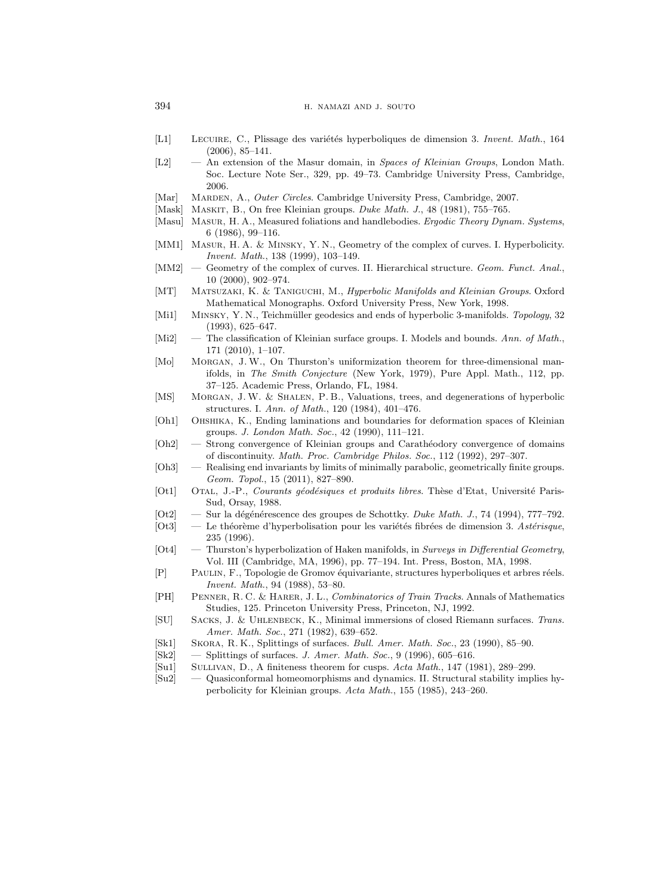- <span id="page-71-11"></span>[L1] Lecuire, C., Plissage des variétés hyperboliques de dimension 3. Invent. Math., 164 (2006), 85–141.
- <span id="page-71-15"></span>[L2] — An extension of the Masur domain, in Spaces of Kleinian Groups, London Math. Soc. Lecture Note Ser., 329, pp. 49–73. Cambridge University Press, Cambridge, 2006.
- [Mar] MARDEN, A., *Outer Circles*. Cambridge University Press, Cambridge, 2007.
- [Mask] MASKIT, B., On free Kleinian groups. Duke Math. J., 48 (1981), 755–765.
- [Masu] MASUR, H. A., Measured foliations and handlebodies. Ergodic Theory Dynam. Systems, 6 (1986), 99–116.
- <span id="page-71-3"></span>[MM1] Masur, H. A. & Minsky, Y. N., Geometry of the complex of curves. I. Hyperbolicity. Invent. Math., 138 (1999), 103–149.
- <span id="page-71-4"></span>[MM2] — Geometry of the complex of curves. II. Hierarchical structure. Geom. Funct. Anal., 10 (2000), 902–974.
- [MT] MATSUZAKI, K. & TANIGUCHI, M., *Hyperbolic Manifolds and Kleinian Groups*. Oxford Mathematical Monographs. Oxford University Press, New York, 1998.
- <span id="page-71-2"></span>[Mi1] MINSKY, Y. N., Teichmüller geodesics and ends of hyperbolic 3-manifolds. Topology, 32 (1993), 625–647.
- <span id="page-71-1"></span>[Mi2] — The classification of Kleinian surface groups. I. Models and bounds. Ann. of Math., 171 (2010), 1–107.
- <span id="page-71-13"></span>[Mo] MORGAN, J.W., On Thurston's uniformization theorem for three-dimensional manifolds, in The Smith Conjecture (New York, 1979), Pure Appl. Math., 112, pp. 37–125. Academic Press, Orlando, FL, 1984.
- <span id="page-71-8"></span>[MS] MORGAN, J. W. & SHALEN, P. B., Valuations, trees, and degenerations of hyperbolic structures. I. Ann. of Math., 120 (1984), 401–476.
- [Oh1] Ohshika, K., Ending laminations and boundaries for deformation spaces of Kleinian groups. J. London Math. Soc., 42 (1990), 111–121.
- [Oh2] Strong convergence of Kleinian groups and Carathéodory convergence of domains of discontinuity. Math. Proc. Cambridge Philos. Soc., 112 (1992), 297–307.
- <span id="page-71-12"></span>[Oh3] — Realising end invariants by limits of minimally parabolic, geometrically finite groups. Geom. Topol., 15 (2011), 827–890.
- <span id="page-71-10"></span>[Ot1] OTAL, J.-P., Courants géodésiques et produits libres. Thèse d'Etat, Université Paris-Sud, Orsay, 1988.
- <span id="page-71-0"></span> $[Ot2]$  — Sur la dégénérescence des groupes de Schottky. Duke Math. J., 74 (1994), 777–792.
- <span id="page-71-7"></span> $[0t3]$  — Le théorème d'hyperbolisation pour les variétés fibrées de dimension 3. Astérisque, 235 (1996).
- <span id="page-71-14"></span> $[Ot4]$  — Thurston's hyperbolization of Haken manifolds, in Surveys in Differential Geometry, Vol. III (Cambridge, MA, 1996), pp. 77–194. Int. Press, Boston, MA, 1998.
- <span id="page-71-9"></span>[P] PAULIN, F., Topologie de Gromov équivariante, structures hyperboliques et arbres réels. Invent. Math., 94 (1988), 53–80.
- [PH] Penner, R. C. & Harer, J. L., Combinatorics of Train Tracks. Annals of Mathematics Studies, 125. Princeton University Press, Princeton, NJ, 1992.
- [SU] Sacks, J. & Uhlenbeck, K., Minimal immersions of closed Riemann surfaces. Trans. Amer. Math. Soc., 271 (1982), 639–652.
- <span id="page-71-5"></span>[Sk1] Skora, R. K., Splittings of surfaces. Bull. Amer. Math. Soc., 23 (1990), 85–90.
- <span id="page-71-6"></span>[Sk2]  $-$  Splittings of surfaces. J. Amer. Math. Soc., 9 (1996), 605-616.
- [Su1] Sullivan, D., A finiteness theorem for cusps. Acta Math., 147 (1981), 289–299.
- [Su2] Quasiconformal homeomorphisms and dynamics. II. Structural stability implies hyperbolicity for Kleinian groups. Acta Math., 155 (1985), 243–260.